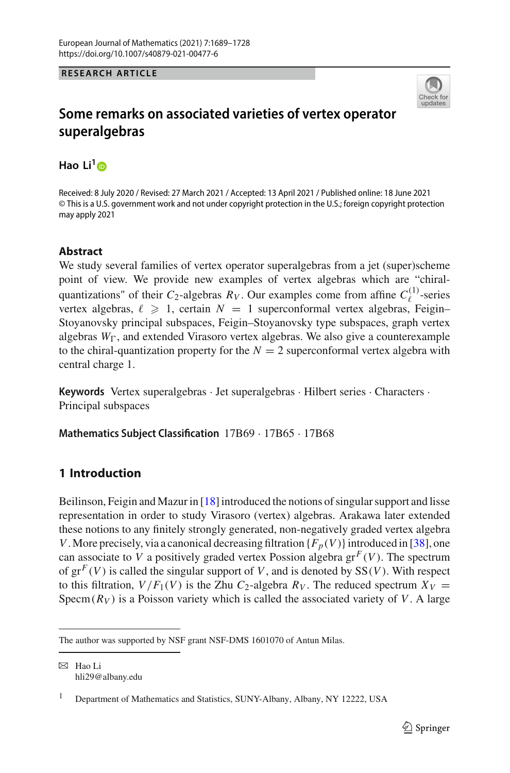## **RESEARCH ARTICLE**



# **Some remarks on associated varieties of vertex operator superalgebras**

**Hao Li[1](http://orcid.org/0000-0001-9955-1133)**

Received: 8 July 2020 / Revised: 27 March 2021 / Accepted: 13 April 2021 / Published online: 18 June 2021 © This is a U.S. government work and not under copyright protection in the U.S.; foreign copyright protection may apply 2021

## **Abstract**

We study several families of vertex operator superalgebras from a jet (super)scheme point of view. We provide new examples of vertex algebras which are "chiralquantizations" of their  $C_2$ -algebras  $R_V$ . Our examples come from affine  $C_{\ell}^{(1)}$ -series vertex algebras,  $\ell \geq 1$ , certain  $N = 1$  superconformal vertex algebras, Feigin– Stoyanovsky principal subspaces, Feigin–Stoyanovsky type subspaces, graph vertex algebras  $W_{\Gamma}$ , and extended Virasoro vertex algebras. We also give a counterexample to the chiral-quantization property for the  $N = 2$  superconformal vertex algebra with central charge 1.

**Keywords** Vertex superalgebras · Jet superalgebras · Hilbert series · Characters · Principal subspaces

**Mathematics Subject Classification** 17B69 · 17B65 · 17B68

## **1 Introduction**

Beilinson, Feigin and Mazur in  $[18]$  introduced the notions of singular support and lisse representation in order to study Virasoro (vertex) algebras. Arakawa later extended these notions to any finitely strongly generated, non-negatively graded vertex algebra *V*. More precisely, via a canonical decreasing filtration  ${F_p(V)}$  introduced in [\[38](#page-38-0)], one can associate to *V* a positively graded vertex Possion algebra  $gr<sup>F</sup>(V)$ . The spectrum of  $gr<sup>F</sup>(V)$  is called the singular support of *V*, and is denoted by SS(*V*). With respect to this filtration,  $V/F_1(V)$  is the Zhu  $C_2$ -algebra  $R_V$ . The reduced spectrum  $X_V =$ Specm( $R_V$ ) is a Poisson variety which is called the associated variety of V. A large

The author was supported by NSF grant NSF-DMS 1601070 of Antun Milas.

B Hao Li hli29@albany.edu

<sup>&</sup>lt;sup>1</sup> Department of Mathematics and Statistics, SUNY-Albany, Albany, NY 12222, USA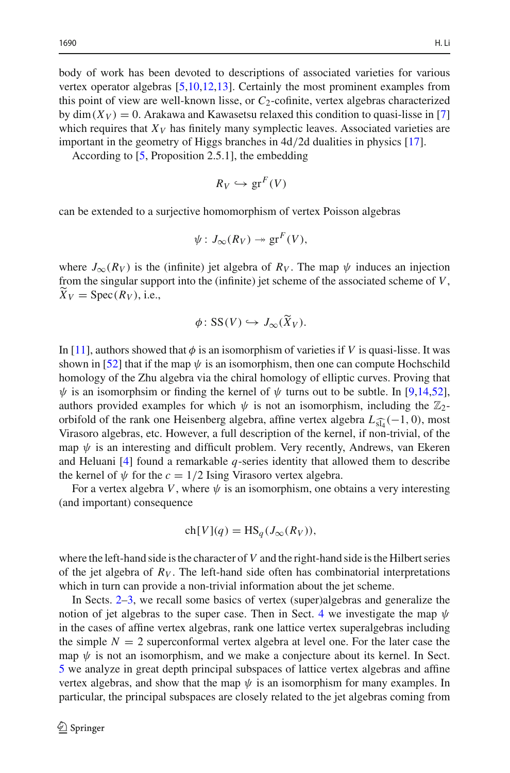body of work has been devoted to descriptions of associated varieties for various vertex operator algebras [\[5](#page-37-1)[,10](#page-37-2)[,12](#page-37-3)[,13\]](#page-37-4). Certainly the most prominent examples from this point of view are well-known lisse, or  $C_2$ -cofinite, vertex algebras characterized by  $\dim(X_V) = 0$ . Arakawa and Kawasetsu relaxed this condition to quasi-lisse in [\[7\]](#page-37-5) which requires that  $X_V$  has finitely many symplectic leaves. Associated varieties are important in the geometry of Higgs branches in 4d/2d dualities in physics [\[17\]](#page-37-6).

According to [\[5](#page-37-1), Proposition 2.5.1], the embedding

$$
R_V \hookrightarrow \operatorname{gr}^F(V)
$$

can be extended to a surjective homomorphism of vertex Poisson algebras

$$
\psi: J_{\infty}(R_V) \twoheadrightarrow \operatorname{gr}^F(V),
$$

where  $J_{\infty}(R_V)$  is the (infinite) jet algebra of  $R_V$ . The map  $\psi$  induces an injection where  $J_{\infty}(R_V)$  is the (infinite) jet algebra of  $R_V$ . The map  $\psi$  induces an injection from the singular support into the (infinite) jet scheme of the associated scheme of *V*,  $\ddot{X}_V = \text{Spec}(R_V)$ , i.e., the (infinite) jet sche<br> $\phi$ : SS(*V*)  $\hookrightarrow$  *J*<sub>∞</sub>( $\widetilde{X}$ 

$$
\phi \colon \mathrm{SS}(V) \hookrightarrow J_{\infty}(\widetilde{X}_V).
$$

In [\[11](#page-37-7)], authors showed that  $\phi$  is an isomorphism of varieties if *V* is quasi-lisse. It was shown in [\[52\]](#page-39-0) that if the map  $\psi$  is an isomorphism, then one can compute Hochschild homology of the Zhu algebra via the chiral homology of elliptic curves. Proving that  $\psi$  is an isomorphsim or finding the kernel of  $\psi$  turns out to be subtle. In [\[9](#page-37-8)[,14](#page-37-9)[,52](#page-39-0)], authors provided examples for which  $\psi$  is not an isomorphism, including the  $\mathbb{Z}_2$ -<br>orbifold of the rank one Heisenberg algeb authors provided examples for which  $\psi$  is not an isomorphism, including the  $\mathbb{Z}_2$ orbifold of the rank one Heisenberg algebra, affine vertex algebra  $L_{\widehat{d_1}}(-1, 0)$ , most Virasoro algebras, etc. However, a full description of the kernel, if non-trivial, of the map  $\psi$  is an interesting and difficult problem. Very recently, Andrews, van Ekeren and Heluani [\[4](#page-37-10)] found a remarkable *q*-series identity that allowed them to describe the kernel of  $\psi$  for the  $c = 1/2$  Ising Virasoro vertex algebra.

For a vertex algebra *V*, where  $\psi$  is an isomorphism, one obtains a very interesting (and important) consequence

$$
ch[V](q) = HS_q(J_\infty(R_V)),
$$

where the left-hand side is the character of  $V$  and the right-hand side is the Hilbert series of the jet algebra of  $R_V$ . The left-hand side often has combinatorial interpretations which in turn can provide a non-trivial information about the jet scheme.

In Sects. [2–](#page-2-0)[3,](#page-6-0) we recall some basics of vertex (super)algebras and generalize the notion of jet algebras to the super case. Then in Sect. [4](#page-8-0) we investigate the map  $\psi$ in the cases of affine vertex algebras, rank one lattice vertex superalgebras including the simple  $N = 2$  superconformal vertex algebra at level one. For the later case the map  $\psi$  is not an isomorphism, and we make a conjecture about its kernel. In Sect. [5](#page-18-0) we analyze in great depth principal subspaces of lattice vertex algebras and affine vertex algebras, and show that the map  $\psi$  is an isomorphism for many examples. In particular, the principal subspaces are closely related to the jet algebras coming from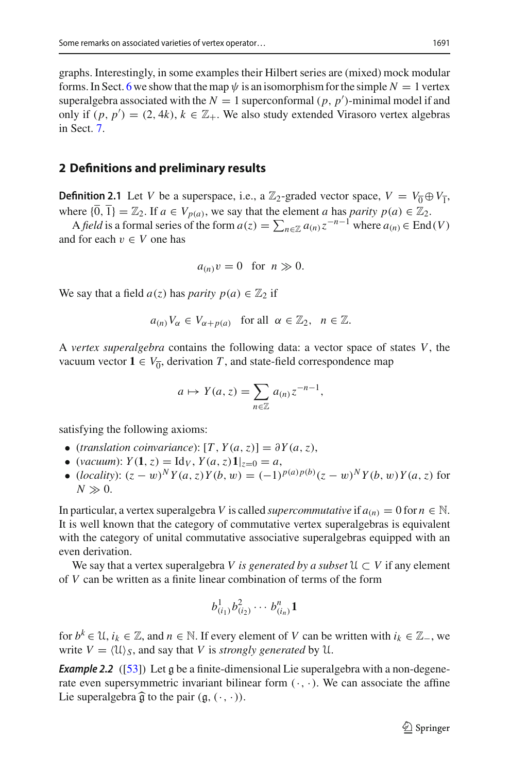graphs. Interestingly, in some examples their Hilbert series are (mixed) mock modular forms. In Sect. [6](#page-31-0) we show that the map  $\psi$  is an isomorphism for the simple  $N = 1$  vertex superalgebra associated with the  $N = 1$  superconformal  $(p, p')$ -minimal model if and only if  $(p, p') = (2, 4k)$ ,  $k \in \mathbb{Z}_+$ . We also study extended Virasoro vertex algebras in Sect. [7.](#page-35-0)

## <span id="page-2-0"></span>**2 Definitions and preliminary results**

**Definition 2.1** Let *V* be a superspace, i.e., a  $\mathbb{Z}_2$ -graded vector space,  $V = V_0 \oplus V_1$ , where  $\{\overline{0}, \overline{1}\} = \mathbb{Z}_2$ . If  $a \in V_{p(a)}$ , we say that the element *a* has *parity*  $p(a) \in \mathbb{Z}_2$ . **finition 2.1** Let *V* be a superspace, i.e., a  $\mathbb{Z}_2$ -graded vector space,  $V = V_0 \oplus V_1$ , ere  $\{\overline{0}, \overline{1}\} = \mathbb{Z}_2$ . If  $a \in V_{p(a)}$ , we say that the element *a* has *parity*  $p(a) \in \mathbb{Z}_2$ .<br>A *field* is a formal ser

and for each  $v \in V$  one has

$$
a_{(n)}v=0 \text{ for } n \gg 0.
$$

We say that a field  $a(z)$  has *parity*  $p(a) \in \mathbb{Z}_2$  if

$$
a_{(n)}V_{\alpha} \in V_{\alpha+p(a)}
$$
 for all  $\alpha \in \mathbb{Z}_2$ ,  $n \in \mathbb{Z}$ .

A *vertex superalgebra* contains the following data: a vector space of states *V*, the vacuum vector  $1 \in V_{\overline{0}}$ , derivation *T*, and state-field correspondence map pontains the following<br>rivation *T*, and state<br> $a \mapsto Y(a, z) = \sum$ 

$$
a \mapsto Y(a, z) = \sum_{n \in \mathbb{Z}} a_{(n)} z^{-n-1},
$$

satisfying the following axioms:

- (*translation coinvariance*):  $[T, Y(a, z)] = \partial Y(a, z)$ ,
- (*vacuum*):  $Y(1, z) = \text{Id}_V, Y(a, z) \mathbf{1}_{z=0} = a$ ,
- (*locality*):  $(z w)^N Y(a, z) Y(b, w) = (-1)^{p(a)p(b)} (z w)^N Y(b, w) Y(a, z)$  for  $N \gg 0$ .

In particular, a vertex superalgebra *V* is called *supercommutative* if  $a_{(n)} = 0$  for  $n \in \mathbb{N}$ . It is well known that the category of commutative vertex superalgebras is equivalent with the category of unital commutative associative superalgebras equipped with an even derivation.

We say that a vertex superalgebra *V* is generated by a subset  $\mathcal{U} \subset V$  if any element of *V* can be written as a finite linear combination of terms of the form

<span id="page-2-1"></span>
$$
b^1_{(i_1)}b^2_{(i_2)}\cdots b^n_{(i_n)}\mathbf{1}
$$

for  $b^k \in \mathcal{U}$ ,  $i_k \in \mathbb{Z}$ , and  $n \in \mathbb{N}$ . If every element of *V* can be written with  $i_k \in \mathbb{Z}_-$ , we write  $V = \langle \mathfrak{U} \rangle_S$ , and say that *V* is *strongly generated* by  $\mathfrak{U}$ .

**Example 2.2** ([\[53](#page-39-1)]) Let g be a finite-dimensional Lie superalgebra with a non-degenerate even supersymmetric invariant bilinear form  $(\cdot, \cdot)$ . We can associate the affine write  $V = \langle U \rangle_S$ , and say that V is *strong*<br>**Example 2.2** ([53]) Let g be a finite-dime<br>rate even supersymmetric invariant bilin<br>Lie superalgebra  $\widehat{g}$  to the pair (g, (·, ·)).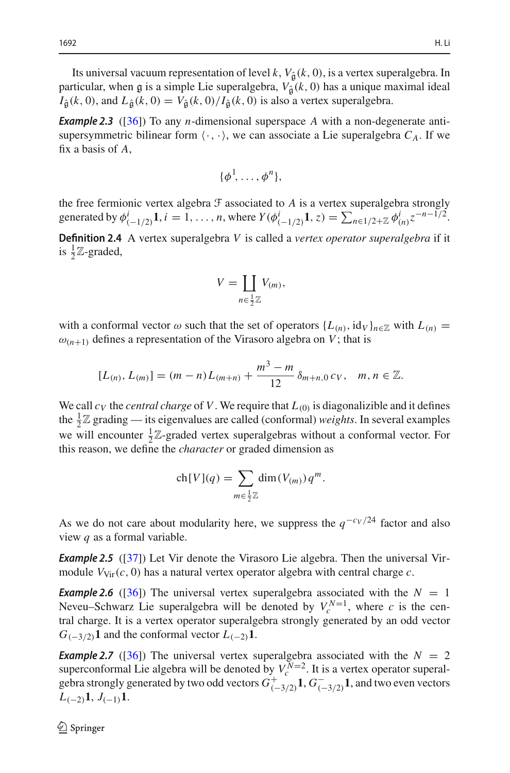Its universal vacuum representation of level  $k$ ,  $V_{\hat{a}}(k, 0)$ , is a vertex superalgebra. In particular, when g is a simple Lie superalgebra,  $V_{\hat{a}}(k, 0)$  has a unique maximal ideal  $I_{\hat{\mathfrak{a}}}(k,0)$ , and  $L_{\hat{\mathfrak{a}}}(k,0) = V_{\hat{\mathfrak{a}}}(k,0)/I_{\hat{\mathfrak{a}}}(k,0)$  is also a vertex superalgebra.

<span id="page-3-0"></span>*Example 2.3* ([\[36](#page-38-1)]) To any *n*-dimensional superspace *A* with a non-degenerate antisupersymmetric bilinear form  $\langle \cdot, \cdot \rangle$ , we can associate a Lie superalgebra  $C_A$ . If we fix a basis of *A*,

$$
\{\phi^1,\ldots,\phi^n\},\
$$

the free fermionic vertex algebra  $\mathcal F$  associated to  $A$  is a vertex superalgebra strongly  $\{\phi^1, \ldots, \phi^n\}$ ,<br>the free fermionic vertex algebra  $\mathcal F$  associated to  $A$  is a vertex superalgebra strongly<br>generated by  $\phi^i_{(-1/2)}\mathbf{1}, i = 1, \ldots, n$ , where  $Y(\phi^i_{(-1/2)}\mathbf{1}, z) = \sum_{n \in 1/2 + \mathbb{Z}} \phi^i_{(n)} z^{-n-1/2}$ .

**Definition 2.4** A vertex superalgebra *V* is called a *vertex operator superalgebra* if it is  $\frac{1}{2}\mathbb{Z}$ -graded, bra *V* is

$$
V = \coprod_{n \in \frac{1}{2}\mathbb{Z}} V_{(m)},
$$

with a conformal vector  $\omega$  such that the set of operators  $\{L_{(n)}, \text{id}_V\}_{n \in \mathbb{Z}}$  with  $L_{(n)} =$  $\omega_{(n+1)}$  defines a representation of the Virasoro algebra on *V*; that is

$$
[L_{(n)}, L_{(m)}] = (m - n)L_{(m+n)} + \frac{m^3 - m}{12} \delta_{m+n,0} c_V, \quad m, n \in \mathbb{Z}.
$$

We call  $c_V$  the *central charge* of V. We require that  $L_{(0)}$  is diagonalizible and it defines the  $\frac{1}{2}\mathbb{Z}$  grading — its eigenvalues are called (conformal) *weights*. In several examples we will encounter  $\frac{1}{2}\mathbb{Z}$ -graded vertex superalgebras without a conformal vector. For this reason, we define the *character* or graded dimension as mvalues are calle<br>aded vertex supe<br>*character* or gra<br>ch[*V*](*q*) =  $\sum$ 

$$
ch[V](q) = \sum_{m \in \frac{1}{2}\mathbb{Z}} dim(V_{(m)}) q^m.
$$

As we do not care about modularity here, we suppress the  $q^{-\frac{c_V}{24}}$  factor and also view *q* as a formal variable.

**Example 2.5** ([\[37](#page-38-2)]) Let Vir denote the Virasoro Lie algebra. Then the universal Virmodule  $V_{\text{Vir}}(c, 0)$  has a natural vertex operator algebra with central charge *c*.

**Example 2.6** ([\[36](#page-38-1)]) The universal vertex superalgebra associated with the  $N = 1$ Neveu–Schwarz Lie superalgebra will be denoted by  $V_c^{N=1}$ , where *c* is the central charge. It is a vertex operator superalgebra strongly generated by an odd vector  $G_{(-3/2)}$ **1** and the conformal vector  $L_{(-2)}$ **1**.

**Example 2.7** ([\[36](#page-38-1)]) The universal vertex superalgebra associated with the  $N = 2$ superconformal Lie algebra will be denoted by  $V_c^{N=2}$ . It is a vertex operator superalgebra strongly generated by two odd vectors  $G^+_{(-3/2)}\mathbf{1}, G^-_{(-3/2)}\mathbf{1}$ , and two even vectors  $L_{(-2)}1, J_{(-1)}1$ .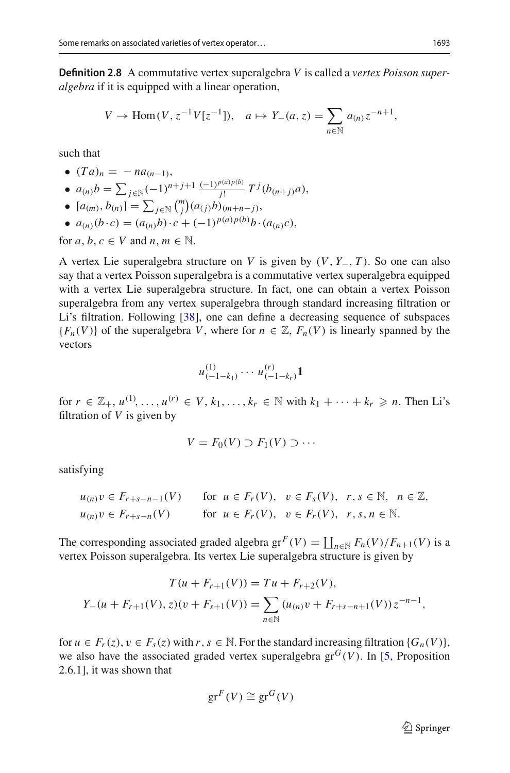**Definition 2.8** A commutative vertex superalgebra *V* is called a *vertex Poisson superalgebra* if it is equipped with a linear operation, **2.8** A commutative vertex superalgebra *V* is called it is equipped with a linear operation,<br>*V* → Hom(*V*,  $z^{-1}V[z^{-1}]$ ),  $a \mapsto Y_{-}(a, z) = \sum$ 

$$
V \to \text{Hom}(V, z^{-1}V[z^{-1}]), \quad a \mapsto Y_{-}(a, z) = \sum_{n \in \mathbb{N}} a_{(n)} z^{-n+1},
$$

such that

•  $(Ta)_n = -na_{(n-1)}$ **e**  $(Ta)_n = -na_{(n-1)},$ <br> **e**  $a_{(n)}b = \sum_{j \in \mathbb{N}} (-1)^{n+j+1} \frac{(-1)^{p(a)p(b)}}{j!} T^j(b_{(n+j)}a)$ **•** (*Ta*)<sub>*n*</sub> = − *na*<sub>(*n*</sub>)<br>
•  $a_{(n)}b = \sum_{j \in \mathbb{N}} (-a_{(m)}, b_{(n)}) = \sum_{j \in \mathbb{N}} (-a_{(m)}, b_{(n)})$ *<sup>j</sup>*∈<sup>N</sup> *m*  $\binom{n}{j}$ ( $a_{(j)}b$ )<sub>(*m*+*n*−*j*),</sub> ●  $a_{(n)}(b \cdot c) = (a_{(n)}b) \cdot c + (-1)^{p(a)p(b)}b \cdot (a_{(n)}c)$ ,

for  $a, b, c \in V$  and  $n, m \in \mathbb{N}$ .

A vertex Lie superalgebra structure on *V* is given by (*V*, *Y*−, *T* ). So one can also say that a vertex Poisson superalgebra is a commutative vertex superalgebra equipped with a vertex Lie superalgebra structure. In fact, one can obtain a vertex Poisson superalgebra from any vertex superalgebra through standard increasing filtration or Li's filtration. Following [\[38](#page-38-0)], one can define a decreasing sequence of subspaces  ${F_n(V)}$  of the superalgebra *V*, where for  $n \in \mathbb{Z}$ ,  $F_n(V)$  is linearly spanned by the vectors

$$
u_{(-1-k_1)}^{(1)} \cdots u_{(-1-k_r)}^{(r)} \mathbf{1}
$$

for  $r \in \mathbb{Z}_+$ ,  $u^{(1)}, \ldots, u^{(r)} \in V$ ,  $k_1, \ldots, k_r \in \mathbb{N}$  with  $k_1 + \cdots + k_r \geq n$ . Then Li's filtration of *V* is given by

$$
V = F_0(V) \supset F_1(V) \supset \cdots
$$

satisfying

$$
u_{(n)}v \in F_{r+s-n-1}(V) \quad \text{for } u \in F_r(V), \ v \in F_s(V), \ r, s \in \mathbb{N}, \ n \in \mathbb{Z},
$$
  
\n
$$
u_{(n)}v \in F_{r+s-n}(V) \quad \text{for } u \in F_r(V), \ v \in F_r(V), \ r, s, n \in \mathbb{N}.
$$
  
\nThe corresponding associated graded algebra  $\text{gr}^F(V) = \coprod_{n \in \mathbb{N}} F_n(V)/F_{n+1}(V)$ 

 $\coprod_{n\in\mathbb{N}} F_n(V)/F_{n+1}(V)$  is a

There corresponding associated graded algebra of 
$$
(V) - \prod_{n \in \mathbb{N}} F_n(V)/F_{n+1}(V)
$$
 vertex Poisson superalgebra. Its vertex Lie superalgebra structure is given by\n
$$
T(u + F_{r+1}(V)) = Tu + F_{r+2}(V),
$$
\n
$$
Y_{-}(u + F_{r+1}(V), z)(v + F_{s+1}(V)) = \sum_{n \in \mathbb{N}} (u_{(n)}v + F_{r+s-n+1}(V)) z^{-n-1},
$$

for  $u \in F_r(z)$ ,  $v \in F_s(z)$  with  $r, s \in \mathbb{N}$ . For the standard increasing filtration  $\{G_n(V)\}\$ , we also have the associated graded vertex superalgebra  $gr^G(V)$ . In [\[5](#page-37-1), Proposition 2.6.1], it was shown that

$$
\mathrm{gr}^F(V) \cong \mathrm{gr}^G(V)
$$

 $\mathcal{D}$  Springer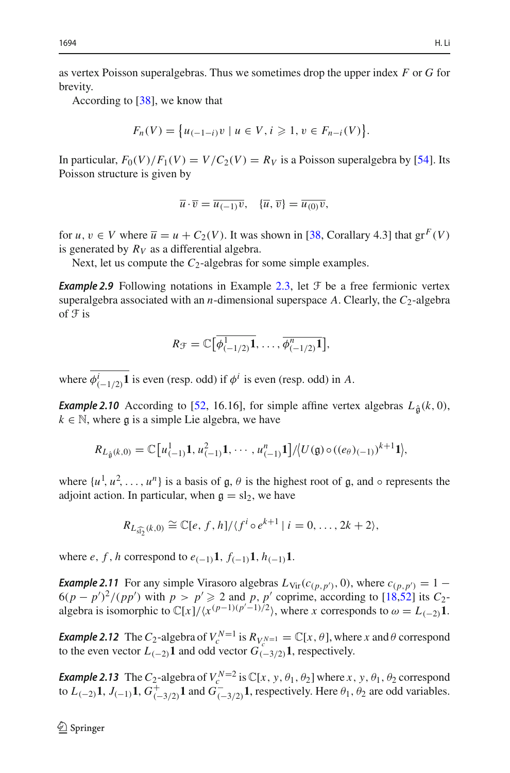as vertex Poisson superalgebras. Thus we sometimes drop the upper index *F* or *G* for brevity. *f*  $[38]$ , we k<br>*F<sub>n</sub>*(*V*) = {

According to [\[38](#page-38-0)], we know that

$$
F_n(V) = \{u_{(-1-i)}v \mid u \in V, i \geq 1, v \in F_{n-i}(V)\}.
$$

In particular,  $F_0(V)/F_1(V) = V/C_2(V) = R_V$  is a Poisson superalgebra by [\[54\]](#page-39-2). Its Poisson structure is given by

$$
\overline{u}\cdot\overline{v}=\overline{u_{(-1)}v},\quad \{\overline{u},\,\overline{v}\}=\overline{u_{(0)}v},
$$

for  $u, v \in V$  where  $\overline{u} = u + C_2(V)$ . It was shown in [\[38,](#page-38-0) Corallary 4.3] that  $gr^F(V)$ is generated by  $R_V$  as a differential algebra.

Next, let us compute the *C*<sub>2</sub>-algebras for some simple examples.

**Example 2.9** Following notations in Example [2.3,](#page-3-0) let  $\mathcal{F}$  be a free fermionic vertex superalgebra associated with an *n*-dimensional superspace A. Clearly, the  $C_2$ -algebra of  $\mathfrak F$  is

$$
R_{\mathcal{F}}=\mathbb{C}\big[\overline{\phi^1_{(-1/2)}\mathbf{1}},\ldots,\overline{\phi^n_{(-1/2)}\mathbf{1}}\big],
$$

where  $\phi^i_{(-1/2)}\mathbf{1}$  is even (resp. odd) if  $\phi^i$  is even (resp. odd) in *A*.

<span id="page-5-0"></span>*Example 2.10* According to [\[52,](#page-39-0) 16.16], for simple affine vertex algebras  $L_{\hat{\mathfrak{g}}}(k,0)$ ,  $k \in \mathbb{N}$ , where  $\mathfrak{g}$  is a simple Lie algebra, we have<br> $R_{L_{\hat{\mathfrak{g}}}(k,0)} = \mathbb{C}\big[u_{(-1)}^1\mathbf{1}, u_{(-1)}^2\mathbf{1}, \cdots, u_{(-1)}^n$  $k \in \mathbb{N}$ , where g is a simple Lie algebra, we have

$$
R_{L_{\hat{\mathfrak{g}}}(k,0)}=\mathbb{C}\big[u_{(-1)}^1, u_{(-1)}^2, \cdots, u_{(-1)}^n, 1\big]/\big\langle U(\mathfrak{g})\circ ((e_{\theta})_{(-1)})^{k+1}, \cdots, U_{(-n-1)}^n\big\rangle
$$

where  $\{u^1, u^2, \ldots, u^n\}$  is a basis of  $\mathfrak{g}, \theta$  is the highest root of  $\mathfrak{g}$ , and  $\circ$  represents the adjoint action. In particular, when  $\mathfrak{g} - \mathfrak{sl}_2$  we have adjoint action. In particular, when  $\mathfrak{g} = sl_2$ , we have

$$
R_{L_{\widehat{\mathfrak{sl}_2}}(k,0)} \cong \mathbb{C}[e, f, h]/\langle f^i \circ e^{k+1} | i = 0, \ldots, 2k+2 \rangle,
$$

where *e*, *f*, *h* correspond to  $e_{(-1)}\mathbf{1}$ ,  $f_{(-1)}\mathbf{1}$ ,  $h_{(-1)}\mathbf{1}$ .

*Example 2.11* For any simple Virasoro algebras  $L_{\text{Vir}}(c_{(p, p')}, 0)$ , where  $c_{(p, p')} = 1 6(p - p')^2/(pp')$  with  $p > p' \ge 2$  and  $p, p'$  coprime, according to [\[18](#page-37-0)[,52\]](#page-39-0) its  $C_2$ algebra is isomorphic to  $\mathbb{C}[x]/\langle x^{(p-1)(p^r-1)/2} \rangle$ , where *x* corresponds to  $\omega = L_{(-2)}\mathbf{1}$ .

*Example 2.12* The  $C_2$ -algebra of  $V_c^{N=1}$  is  $R_{V_c^{N=1}} = \mathbb{C}[x, \theta]$ , where *x* and  $\theta$  correspond to the even vector  $L_{(-2)}$ **1** and odd vector  $G_{(-3/2)}^{\circ}$ **1**, respectively.

*Example 2.13* The  $C_2$ -algebra of  $V_c^{N=2}$  is  $\mathbb{C}[x, y, \theta_1, \theta_2]$  where  $x, y, \theta_1, \theta_2$  correspond to  $L_{(-2)}$ **1**,  $J_{(-1)}$ **1**,  $G^+_{(-3/2)}$ **1** and  $G^-_{(-3/2)}$ **1**, respectively. Here  $\theta_1$ ,  $\theta_2$  are odd variables.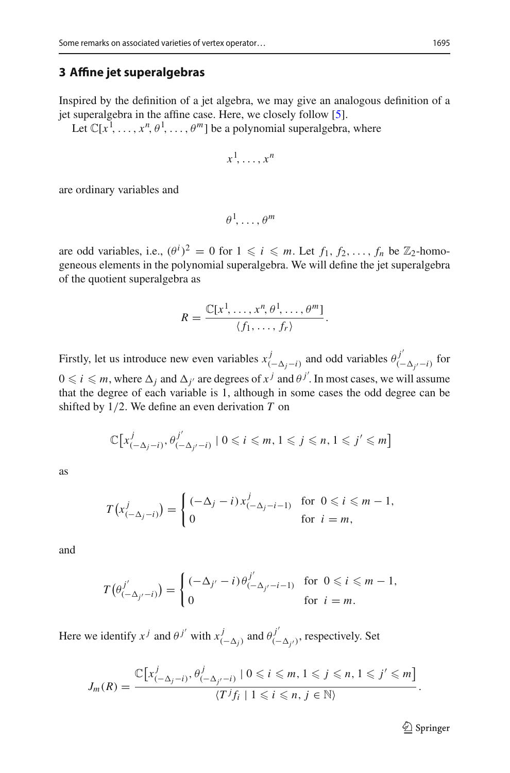## <span id="page-6-0"></span>**3 Affine jet superalgebras**

Inspired by the definition of a jet algebra, we may give an analogous definition of a jet superalgebra in the affine case. Here, we closely follow [\[5](#page-37-1)].

Let  $\mathbb{C}[x^1, \ldots, x^n, \theta^1, \ldots, \theta^m]$  be a polynomial superalgebra, where

$$
x^1, \ldots, x^n
$$

are ordinary variables and

$$
\theta^1,\ldots,\theta^m
$$

are odd variables, i.e.,  $(\theta^i)^2 = 0$  for  $1 \leq i \leq m$ . Let  $f_1, f_2, ..., f_n$  be  $\mathbb{Z}_2$ -homogeneous elements in the polynomial superalgebra. We will define the jet superalgebra of the quotient superalgebra as

$$
R = \frac{\mathbb{C}[x^1, \ldots, x^n, \theta^1, \ldots, \theta^m]}{\langle f_1, \ldots, f_r \rangle}.
$$

Firstly, let us introduce new even variables  $x^j_{(-\Delta_j - i)}$  and odd variables  $\theta^{j'}_{(-\Delta_{j'} - i)}$  for  $0 \leq i \leq m$ , where  $\Delta_j$  and  $\Delta_{j'}$  are degrees of  $x^j$  and  $\theta^{j'}$ . In most cases, we will assume that the degree of each variable is 1, although in some cases the odd degree can be shifted by 1/2. We define an even derivation *T* on

$$
\mathbb{C}\big[x_{(-\Delta_j-i)}^j, \theta_{(-\Delta_{j'}-i)}^{j'} \mid 0 \leqslant i \leqslant m, 1 \leqslant j \leqslant n, 1 \leqslant j' \leqslant m\big]
$$

as

$$
T(x_{(-\Delta_j - i)}^j) = \begin{cases} (-\Delta_j - i)x_{(-\Delta_j - i - 1)}^j & \text{for } 0 \leq i \leq m - 1, \\ 0 & \text{for } i = m, \end{cases}
$$

and

$$
T(\theta_{(-\Delta_{j'}-i)}^{j'}) = \begin{cases} (-\Delta_{j'}-i)\theta_{(-\Delta_{j'}-i-1)}^{j'} & \text{for } 0 \leq i \leq m-1, \\ 0 & \text{for } i = m. \end{cases}
$$

Here we identify  $x^j$  and  $\theta^{j'}$  with  $x^j_{(-\Delta_j)}$  and  $\theta^{j'}_{(-\Delta_{j'})}$ , respectively. Set

$$
J_m(R)=\frac{\mathbb{C}\big[x_{(-\Delta_j-i)}^j,\theta_{(-\Delta_{j'}-i)}^j\mid 0\leqslant i\leqslant m, 1\leqslant j\leqslant n, 1\leqslant j'\leqslant m\big]}{\langle T^j f_i\mid 1\leqslant i\leqslant n, j\in\mathbb{N}\rangle}.
$$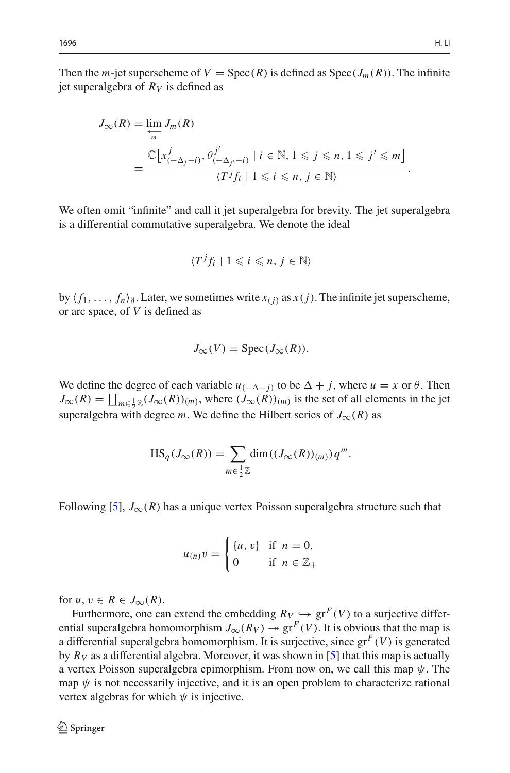Then the *m*-jet superscheme of  $V = \text{Spec}(R)$  is defined as  $\text{Spec}(J_m(R))$ . The infinite jet superalgebra of  $R_V$  is defined as

$$
J_{\infty}(R) = \underbrace{\lim_{\leftarrow} J_m(R)}_{m} = \frac{\mathbb{C}\big[x_{(-\Delta_j - i)}^j, \theta_{(-\Delta_{j'} - i)}^{j'} \mid i \in \mathbb{N}, 1 \leq j \leq n, 1 \leq j' \leq m\big]}_{\langle T^j f_i \mid 1 \leq i \leq n, j \in \mathbb{N}\rangle}.
$$

We often omit "infinite" and call it jet superalgebra for brevity. The jet superalgebra is a differential commutative superalgebra. We denote the ideal

$$
\langle T^j f_i \mid 1 \leqslant i \leqslant n, j \in \mathbb{N} \rangle
$$

by  $\langle f_1, \ldots, f_n \rangle_{\partial}$ . Later, we sometimes write  $x_{(j)}$  as  $x(j)$ . The infinite jet superscheme, or arc space, of *V* is defined as

$$
J_{\infty}(V) = \operatorname{Spec}(J_{\infty}(R)).
$$

We define the degree of each variable  $u_{(-\Delta - j)}$  to be  $\Delta + j$ , where  $u = x$  or  $\theta$ . Then We define the  $J_{\infty}(R) = \coprod$  $\coprod_{m \in \frac{1}{2}\mathbb{Z}} (J_{\infty}(R))_{(m)}$ , where  $(J_{\infty}(R))_{(m)}$  is the set of all elements in the jet<br>ra with degree *m*. We define the Hilbert series of  $J_{\infty}(R)$  as<br> $\text{HS}_q(J_{\infty}(R)) = \sum \dim((J_{\infty}(R))_{(m)}) q^m$ . superalgebra with degree *m*. We define the Hilbert series of  $J_{\infty}(R)$  as

$$
HS_q(J_\infty(R)) = \sum_{m \in \frac{1}{2}\mathbb{Z}} \dim((J_\infty(R))_{(m)}) q^m.
$$

Following [\[5](#page-37-1)],  $J_{\infty}(R)$  has a unique vertex Poisson superalgebra structure such that

$$
u_{(n)}v = \begin{cases} \{u, v\} & \text{if } n = 0, \\ 0 & \text{if } n \in \mathbb{Z}_+ \end{cases}
$$

for  $u, v \in R \in J_\infty(R)$ .

Furthermore, one can extend the embedding  $R_V \hookrightarrow \text{gr}^F(V)$  to a surjective differential superalgebra homomorphism  $J_{\infty}(R_V) \rightarrow \text{gr}^F(V)$ . It is obvious that the map is a differential superalgebra homomorphism. It is surjective, since  $gr<sup>F</sup>(V)$  is generated by  $R_V$  as a differential algebra. Moreover, it was shown in [\[5\]](#page-37-1) that this map is actually a vertex Poisson superalgebra epimorphism. From now on, we call this map  $\psi$ . The map  $\psi$  is not necessarily injective, and it is an open problem to characterize rational vertex algebras for which  $\psi$  is injective.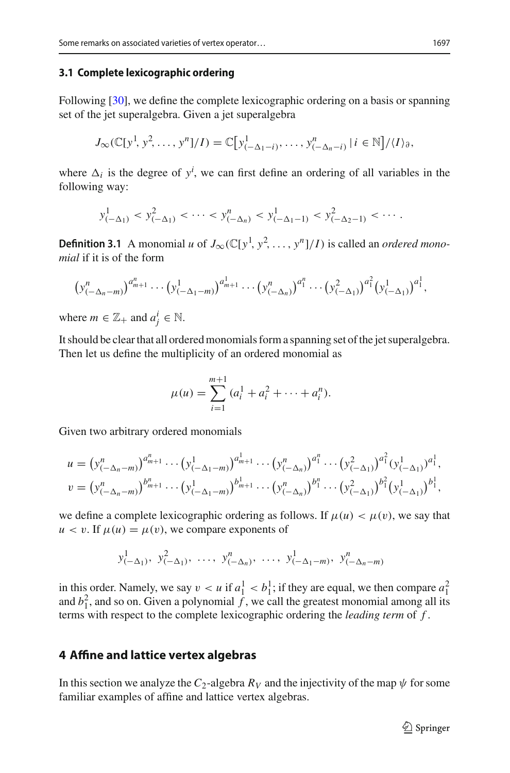## <span id="page-8-1"></span>**3.1 Complete lexicographic ordering**

Following [\[30\]](#page-38-3), we define the complete lexicographic ordering on a basis or spanning set of the jet superalgebra. Given a jet superalgebra

$$
J_{\infty}(\mathbb{C}[y^1, y^2, \ldots, y^n]/I) = \mathbb{C}[y^1_{(-\Delta_1 - i)}, \ldots, y^n_{(-\Delta_n - i)} | i \in \mathbb{N}]/\langle I \rangle_{\partial},
$$

where  $\Delta_i$  is the degree of  $y^i$ , we can first define an ordering of all variables in the following way:

$$
y_{(-\Delta_1)}^1 < y_{(-\Delta_1)}^2 < \cdots < y_{(-\Delta_n)}^n < y_{(-\Delta_1-1)}^1 < y_{(-\Delta_2-1)}^2 < \cdots
$$

**Definition 3.1** A monomial *u* of  $J_{\infty}(\mathbb{C}[y^1, y^2, \dots, y^n]/I)$  is called an *ordered monomial* if it is of the form **inition 3.1** A monomial *u* of  $J_{\infty}(\mathbb{C}[y^1, y^2, ..., y^n]/I)$  is called an *ordered*<br>*il* if it is of the form<br> $(y_{(-\Delta_n-m)}^n)^{a_{m+1}^n} \cdots (y_{(-\Delta_1-m)}^1)^{a_{m+1}^1} \cdots (y_{(-\Delta_n)}^n)^{a_1^n} \cdots (y_{(-\Delta_1)}^2)^{a_1^n} (y_{(-\Delta_1)}^1)$ 

$$
(y_{(-\Delta_n-m)}^n)^{a_{m+1}^n} \cdots (y_{(-\Delta_1-m)}^1)^{a_{m+1}^1} \cdots (y_{(-\Delta_n)}^n)^{a_1^n} \cdots (y_{(-\Delta_1)}^2)^{a_1^2} (y_{(-\Delta_1)}^1)^{a_1^1},
$$

where  $m \in \mathbb{Z}_+$  and  $a_j^i \in \mathbb{N}$ .

It should be clear that all ordered monomials form a spanning set of the jet superalgebra. Then let us define the multiplicity of an ordered monomial as

$$
\mu(u) = \sum_{i=1}^{m+1} (a_i^1 + a_i^2 + \dots + a_i^n).
$$

Given two arbitrary ordered monomials

$$
i=1
$$
  
iven two arbitrary ordered monomials  

$$
u = (y_{(-\Delta_n - m)}^n)^{a_{m+1}^n} \cdots (y_{(-\Delta_1 - m)}^1)^{a_{m+1}^1} \cdots (y_{(-\Delta_n)}^n)^{a_1^n} \cdots (y_{(-\Delta_1)}^2)^{a_1^2} (y_{(-\Delta_1)}^1)^{a_1^1},
$$

$$
v = (y_{(-\Delta_n - m)}^n)^{b_{m+1}^n} \cdots (y_{(-\Delta_1 - m)}^1)^{b_{m+1}^1} \cdots (y_{(-\Delta_n)}^n)^{b_1^n} \cdots (y_{(-\Delta_1)}^2)^{b_1^1} (y_{(-\Delta_1)}^1)^{b_1^1},
$$

we define a complete lexicographic ordering as follows. If  $\mu(u) < \mu(v)$ , we say that  $u < v$ . If  $\mu(u) = \mu(v)$ , we compare exponents of

$$
y_{(-\Delta_1)}^1, y_{(-\Delta_1)}^2, \ldots, y_{(-\Delta_n)}^n, \ldots, y_{(-\Delta_1-m)}^1, y_{(-\Delta_n-m)}^n
$$

in this order. Namely, we say  $v < u$  if  $a_1^1 < b_1^1$ ; if they are equal, we then compare  $a_1^2$ and  $b_1^2$ , and so on. Given a polynomial  $\tilde{f}$ , we call the greatest monomial among all its terms with respect to the complete lexicographic ordering the *leading term* of *f* .

## <span id="page-8-0"></span>**4 Affine and lattice vertex algebras**

In this section we analyze the  $C_2$ -algebra  $R_V$  and the injectivity of the map  $\psi$  for some familiar examples of affine and lattice vertex algebras.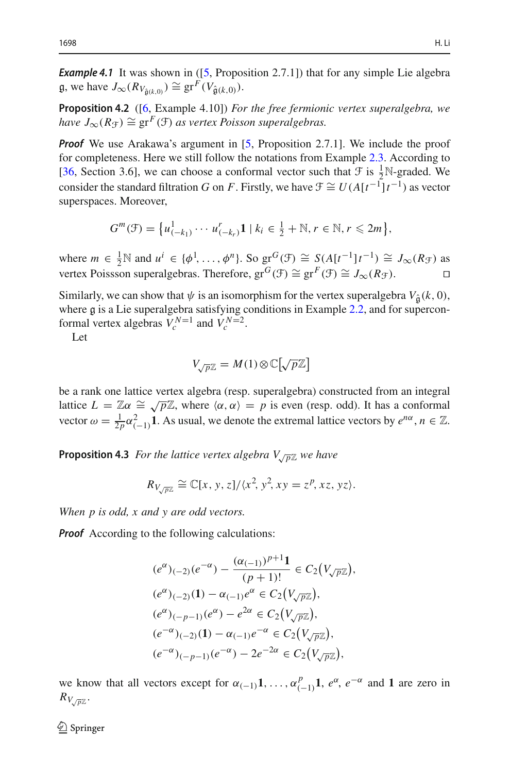**Example 4.1** It was shown in ([\[5,](#page-37-1) Proposition 2.7.1]) that for any simple Lie algebra  $g$ , we have  $J_{\infty}(R_{V_{\hat{\mathfrak{g}}(k,0)}}) \cong \text{gr}^F(V_{\hat{\mathfrak{g}}(k,0)}).$ 

<span id="page-9-1"></span>**Proposition 4.2** ([\[6,](#page-37-11) Example 4.10]) *For the free fermionic vertex superalgebra, we have*  $J_{\infty}(R_{\mathcal{F}}) \cong \text{gr}^F(\mathcal{F})$  *as vertex Poisson superalgebras.* 

*Proof* We use Arakawa's argument in [\[5,](#page-37-1) Proposition 2.7.1]. We include the proof for completeness. Here we still follow the notations from Example [2.3.](#page-3-0) According to [\[36](#page-38-1), Section 3.6], we can choose a conformal vector such that  $\mathcal F$  is  $\frac{1}{2}N$ -graded. We consider the standard filtration *G* on *F*. Firstly, we have  $\mathcal{F} \cong U(A[t^{-1}]t^{-1})$  as vector superspaces. Moreover, *n* 3.6], we can choose a conformal vector such that  $\mathcal{F}$  is  $\frac{1}{2}$ f<br> *e* standard filtration *G* on *F*. Firstly, we have  $\mathcal{F} \cong U(A[t^{-1}])$ <br> *G*<sup>*m*</sup>( $\mathcal{F}$ ) = { $u_{(-k_1)}^1 \cdots u_{(-k_r)}^r \mathbf{1} \mid k_i \in \frac{1}{2} + \mathbb{N}, r \$ 

$$
G^{m}(\mathcal{F}) = \{u^{1}_{(-k_1)} \cdots u^{r}_{(-k_r)}\mathbf{1} \mid k_i \in \frac{1}{2} + \mathbb{N}, r \in \mathbb{N}, r \leq 2m\},\
$$

where  $m \in \frac{1}{2} \mathbb{N}$  and  $u^i \in \{\phi^1, \dots, \phi^n\}$ . So  $\operatorname{gr}^G(\mathcal{F}) \cong S(A[t^{-1}]t^{-1}) \cong J_\infty(R_{\mathcal{F}})$  as vertex Poissson superalgebras. Therefore,  $gr^G(\mathcal{F}) \cong gr^F(\mathcal{F}) \cong J_{\infty}(R_{\mathcal{F}})$ . □

Similarly, we can show that  $\psi$  is an isomorphism for the vertex superalgebra  $V_{\hat{a}}(k, 0)$ , where g is a Lie superalgebra satisfying conditions in Example [2.2,](#page-2-1) and for supercon-<br>formal vertex algebras  $V^{N=1}$  and  $V^{N=2}$ formal vertex algebras  $V_c^{N=1}$  and  $V_c^{N=2}$ .

Let

$$
V_{\sqrt{p}\mathbb{Z}} = M(1) \otimes \mathbb{C}[\sqrt{p}\mathbb{Z}]
$$

<span id="page-9-0"></span>be a rank one lattice vertex algebra (resp. superalgebra) constructed from an integral lattice  $L = \mathbb{Z}\alpha \cong \sqrt{p}\mathbb{Z}$ , where  $\langle \alpha, \alpha \rangle = p$  is even (resp. odd). It has a conformal vector  $\omega = \frac{1}{2p} \alpha_{(-1)}^2 \mathbf{1}$ . As usual, we denote the extremal lattice vectors by  $e^{n\alpha}$ ,  $n \in \mathbb{Z}$ .

**Proposition 4.3** *For the lattice vertex algebra*  $V_{\sqrt{p}}\mathbb{Z}$  *we have* 

$$
R_{V_{\sqrt{p}\mathbb{Z}}} \cong \mathbb{C}[x, y, z]/\langle x^2, y^2, xy = z^p, xz, yz \rangle.
$$

*When p is odd, x and y are odd vectors.*

*Proof* According to the following calculations:

$$
(e^{\alpha})_{(-2)}(e^{-\alpha}) - \frac{(\alpha_{(-1)})^{p+1}1}{(p+1)!} \in C_2(V_{\sqrt{p}\mathbb{Z}}),
$$
  
\n
$$
(e^{\alpha})_{(-2)}(1) - \alpha_{(-1)}e^{\alpha} \in C_2(V_{\sqrt{p}\mathbb{Z}}),
$$
  
\n
$$
(e^{\alpha})_{(-p-1)}(e^{\alpha}) - e^{2\alpha} \in C_2(V_{\sqrt{p}\mathbb{Z}}),
$$
  
\n
$$
(e^{-\alpha})_{(-2)}(1) - \alpha_{(-1)}e^{-\alpha} \in C_2(V_{\sqrt{p}\mathbb{Z}}),
$$
  
\n
$$
(e^{-\alpha})_{(-p-1)}(e^{-\alpha}) - 2e^{-2\alpha} \in C_2(V_{\sqrt{p}\mathbb{Z}}),
$$

we know that all vectors except for  $\alpha_{(-1)}\mathbf{1}, \ldots, \alpha_{(-1)}^p\mathbf{1}, e^{\alpha}, e^{-\alpha}$  and **1** are zero in  $R_{V\sqrt{p}\mathbb{Z}}$  .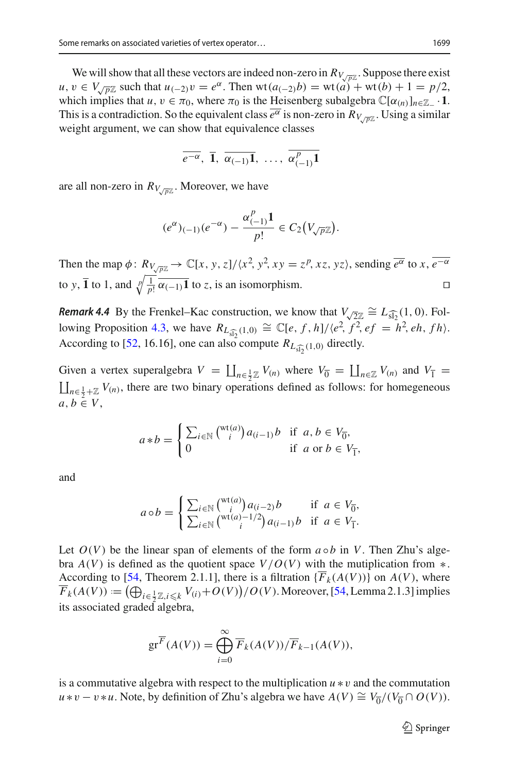We will show that all these vectors are indeed non-zero in  $R_{V, \sqrt{p}\mathbb{Z}}$ . Suppose there exist *u*, *v* ∈ *V*<sub>√*p*<sup>γ</sup><sub>∠</sub> such that *u*<sub>(−2)</sub>*v* =  $e^{\alpha}$ . Then wt( $a_{(-2)}b$ ) = wt( $a$ ) + wt( $b$ ) + 1 =  $p/2$ ,</sub> which implies that  $u, v \in \pi_0$ , where  $\pi_0$  is the Heisenberg subalgebra  $\mathbb{C}[\alpha_{(n)}]_{n \in \mathbb{Z}_+} \cdot 1$ . This is a contradiction. So the equivalent class  $\overline{e^{\alpha}}$  is non-zero in  $R_{V,\overline{p}Z}$ . Using a similar weight argument, we can show that equivalence classes

$$
\overline{e^{-\alpha}}, \ \overline{1}, \ \overline{\alpha_{(-1)}1}, \ \ldots, \ \overline{\alpha_{(-1)}^p1}
$$

are all non-zero in  $R_{V/\overline{p}Z}$ . Moreover, we have

$$
(e^{\alpha})_{(-1)}(e^{-\alpha}) - \frac{\alpha_{(-1)}^p 1}{p!} \in C_2(V_{\sqrt{p}\mathbb{Z}}).
$$

Then the map  $\phi: R_{V\sqrt{p\mathbb{Z}}}\to \mathbb{C}[x, y, z]/\langle x^2, y^2, xy = z^p, xz, yz \rangle$ , sending  $\overline{e^{\alpha}}$  to  $x, \overline{e^{-\alpha}}$ to *y*,  $\overline{1}$  to 1, and  $\sqrt[p]{\frac{1}{p!}} \overline{\alpha_{(-1)}} \overline{1}$  to *z*, is an isomorphism. *Remark 4.4* By the Frenkel–Kac construction, we know that  $V_{\sqrt{2}\mathbb{Z}} \cong L_{\widehat{\mathfrak{sl}_2}}(1, 0)$ . Fol-<br>*Remark 4.4* By the Frenkel–Kac construction, we know that  $V_{\sqrt{2}\mathbb{Z}} \cong L_{\widehat{\mathfrak{sl}_2}}(1, 0)$ . Fol-

**Remark 4.4** By the Frenkel–Kac const<br>lowing Proposition [4.3,](#page-9-0) we have  $R_{L_{\widehat{sl_2}}}$  $(1,0) \cong \mathbb{C}[e, f, h]/\langle e^2, f^2, ef = h^2, eh, fh \rangle.$ lowing Proposition 4.3, we have  $R_{L_{\widehat{\mathfrak{sl}_2}}(1,0)} \cong \mathbb{C}[e, f, h]/\langle e^2, f^2 \rangle$ .<br>According to [\[52,](#page-39-0) 16.16], one can also compute  $R_{L_{\widehat{\mathfrak{sl}_2}}(1,0)}$  directly. Hemark 4.4 By the Frenkel-Kac construction, we know that  $v_{\sqrt{2}z}$ <br>lowing Proposition 4.3, we have  $R_{L_{\widehat{sl}_2}(1,0)} \cong \mathbb{C}[e, f, h]/\langle e^2, f^2 \rangle$ <br>According to [52, 16.16], one can also compute  $R_{L_{\widehat{sl}_2}(1,0)}$  directly<br> *n*<sub>c</sub> *n*<sub>1</sub> *n*<sub>1</sub> *n*<sub>2</sub> *n*<sub>2</sub> *n*<sub>2</sub> *n*<sub>2</sub> *n*<sub>2</sub> *n*<sub>3</sub> *n*<sub>2</sub> *n*<sub>2</sub> *n*<sub>3</sub> *n*<sub>2</sub> *n*<sub>2</sub> *n*<sub>2</sub> *n*<sub>2</sub> *n*<sub>2</sub> *n*<sub>2</sub> *n*<sub>2</sub> *n*<sub>2</sub> *n*<sub>2</sub> *n*<sub>2</sub> *n*<sub>2</sub> *n*<sub>2</sub> *n*<sub>2</sub> *n*<sub>2</sub> *n*<sub>2</sub> *n*<sub>2</sub> *n*<sub>2</sub> *n*<sub>2</sub> *n*<sub>2</sub> *n*<sub></sub>

 $\prod_{n \in \frac{1}{2}\mathbb{Z}} V_{(n)}$  where  $V_{\overline{0}} =$  $\coprod_{n\in\frac{1}{2}+\mathbb{Z}}V_{(n)}$ , there are two binary operations defined as follows: for homegeneous  $a, b \in V$ ,

$$
a * b = \begin{cases} \sum_{i \in \mathbb{N}} {(\mathbf{wt}(a)) a_{(i-1)} b} & \text{if } a, b \in V_{\overline{0}}, \\ 0 & \text{if } a \text{ or } b \in V_{\overline{1}}, \end{cases}
$$

and

$$
a \circ b = \begin{cases} \sum_{i \in \mathbb{N}} \binom{\mathrm{wt}(a)}{i} a_{(i-2)} b & \text{if } a \in V_{\overline{0}}, \\ \sum_{i \in \mathbb{N}} \binom{\mathrm{wt}(a)-1/2}{i} a_{(i-1)} b & \text{if } a \in V_{\overline{1}}. \end{cases}
$$

Let  $O(V)$  be the linear span of elements of the form  $a \circ b$  in V. Then Zhu's algebra  $A(V)$  is defined as the quotient space  $V/O(V)$  with the mutiplication from  $*$ . According to [\[54,](#page-39-2) Theorem 2.1.1], there is a filtration  $\{\overline{F}_k(A(V))\}$  on  $A(V)$ , where Let  $O(V)$  be the linear span of elements of the form  $a \circ b$  in V. Then Zhu's algebra  $A(V)$  is defined as the quotient space  $V/O(V)$  with the mutiplication from \*.<br>According to [\[54](#page-39-2), Theorem 2.1.1], there is a filtration  $\{\$ its associated graded algebra,

$$
\mathrm{gr}^{\overline{F}}(A(V)) = \bigoplus_{i=0}^{\infty} \overline{F}_k(A(V))/\overline{F}_{k-1}(A(V)),
$$

is a commutative algebra with respect to the multiplication *u* ∗v and the commutation *u* ∗*v* − *v* ∗*u*. Note, by definition of Zhu's algebra we have  $A(V) \cong V_{\overline{0}}/(V_{\overline{0}} \cap O(V))$ .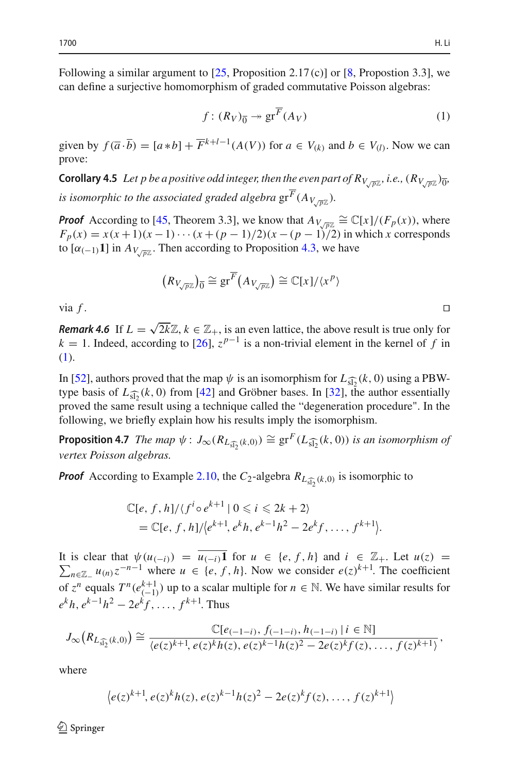Following a similar argument to  $[25,$  $[25,$  Proposition 2.17(c)] or  $[8,$  $[8,$  Propostion 3.3], we can define a surjective homomorphism of graded commutative Poisson algebras:

$$
f: (R_V)_{\overline{0}} \to \operatorname{gr}^{\overline{F}}(A_V) \tag{1}
$$

given by  $f(\overline{a} \cdot \overline{b}) = [a * b] + \overline{F}^{k+l-1}(A(V))$  for  $a \in V_{(k)}$  and  $b \in V_{(l)}$ . Now we can prove:

**Corollary 4.5** *Let p be a positive odd integer, then the even part of*  $R_{V,\overline{pZ}}$ *, i.e.,*  $(R_{V,\overline{pZ}})_{\overline{0}}$ *, is isomorphic to the associated graded algebra*  $gr^{\overline{F}}(A_{V/\overline{p}\mathbb{Z}})$ *.* 

*Proof* According to [\[45,](#page-38-5) Theorem 3.3], we know that  $A_{V\sqrt{p\}} \cong \mathbb{C}[x]/(F_p(x))$ , where *F<sub>p</sub>*(*x*) = *x*(*x* +1)(*x* −1) ··· (*x* +(*p* − 1)/2)(*x* − (*p* − 1)/2) in which *x* corresponds<br>
to [ $\alpha$ <sub>(−1</sub>)1] in  $A_{V_{\sqrt{pZ}}}$ . Then according to Proposition 4.3, we have<br>  $(R_{V_{\sqrt{pZ}}})_0 \cong \text{gr}^{\overline{F}}(A_{V_{\sqrt{pZ}}})$ to  $[\alpha_{(-1)}\mathbf{1}]$  in  $A_{V,\overline{p}\mathbb{Z}}$ . Then according to Proposition [4.3,](#page-9-0) we have

$$
(R_{V_{\sqrt{p}\mathbb{Z}}})_{\overline{0}} \cong \mathrm{gr}^{\overline{F}}(A_{V_{\sqrt{p}\mathbb{Z}}}) \cong \mathbb{C}[x]/\langle x^p \rangle
$$

via  $f$ .

*Remark 4.6* If  $L = \sqrt{2k}\mathbb{Z}$ ,  $k \in \mathbb{Z}_+$ , is an even lattice, the above result is true only for  $k = 1$ . Indeed, according to [\[26](#page-38-6)],  $z^{p-1}$  is a non-trivial element in the kernel of *f* in [\(1\)](#page-11-0). In [\[52](#page-39-0)], authors proved that the map  $\psi$  is an isomorphism for  $L_{\widehat{\mathfrak{sl}_2}}(k, 0)$  using a PBW-<br>In [52], authors proved that the map  $\psi$  is an isomorphism for  $L_{\widehat{\mathfrak{sl}_2}}(k, 0)$  using a PBW-

(1).<br>In [52], authors pr<br>type basis of  $L_{\widehat{\text{sl}_2}}$ type basis of  $L_{\widehat{\leq}0}(k, 0)$  from [\[42](#page-38-7)] and Gröbner bases. In [\[32\]](#page-38-8), the author essentially proved the same result using a technique called the "degeneration procedure". In the following, we briefly explain how his results imply the isomorphism. proved the same result using a technique called the "degeneration procedure". In the following, we briefly explain how his results imply the isomorphism.<br>**Proposition 4.7** *The map*  $\psi$  :  $J_{\infty}(R_{L_{\widehat{\mathfrak{U}}_2}(k,0)}) \cong \$ 

*vertex Poisson algebras.*

*vertex Poisson algebras.*  
\n**Proof** According to Example 2.10, the 
$$
C_2
$$
-algebra  $R_{L_{\widehat{\mathfrak{sl}_2}}(k,0)}$  is isomorphic to  
\n
$$
\mathbb{C}[e, f, h]/\langle f^i \circ e^{k+1} | 0 \leq i \leq 2k+2 \rangle
$$
\n
$$
= \mathbb{C}[e, f, h]/\langle e^{k+1}, e^k h, e^{k-1} h^2 - 2e^k f, \dots, f^{k+1} \rangle.
$$

 $\sum_{n \in \mathbb{Z}_-} u_{(n)} z^{-n-1}$  where *u* ∈ {*e*, *f*, *h*}. Now we consider  $e(z)^{k+1}$ . The coefficient It is clear that  $\psi(u_{(-i)}) = \overline{u_{(-i)}}$  for  $u \in \{e, f, h\}$  and  $i \in \mathbb{Z}_+$ . Let  $u(z) =$  $\overline{z}^n$  equals  $T^n(e^{k+1}_{(-1)})$  up to a scalar multiple for  $n \in \mathbb{N}$ . We have similar results for  $e^{k}h, e^{k-1}h^2 - 2e^{k}f, \ldots, f^{k+1}$ . Thus

$$
J_{\infty}(R_{L_{\widehat{\mathfrak{sl}_2}}(k,0)}) \cong \frac{\mathbb{C}[e_{(-1-i)}, f_{(-1-i)}, h_{(-1-i)} \mid i \in \mathbb{N}]}{\langle e(z)^{k+1}, e(z)^k h(z), e(z)^{k-1} h(z)^2 - 2e(z)^k f(z), \dots, f(z)^{k+1} \rangle},
$$
  
where  

$$
\langle e(z)^{k+1}, e(z)^k h(z), e(z)^{k-1} h(z)^2 - 2e(z)^k f(z), \dots, f(z)^{k+1} \rangle
$$

where

$$
\left\langle e(z)^{k+1}, e(z)^k h(z), e(z)^{k-1} h(z)^2 - 2e(z)^k f(z), \ldots, f(z)^{k+1} \right\rangle
$$

 $\mathcal{L}$  Springer

<span id="page-11-1"></span><span id="page-11-0"></span>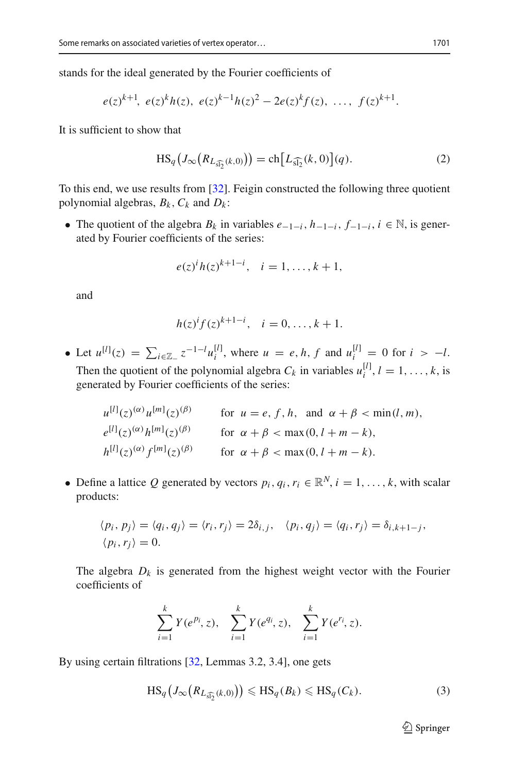stands for the ideal generated by the Fourier coefficients of

$$
e(z)^{k+1}
$$
,  $e(z)^k h(z)$ ,  $e(z)^{k-1} h(z)^2 - 2e(z)^k f(z)$ , ...,  $f(z)^{k+1}$ .

It is sufficient to show that

<span id="page-12-1"></span>
$$
z)^{n}h(z), e(z)^{n} h(z)^{2} - 2e(z)^{n} f(z), ..., f(z)^{n+1}.
$$
  
with  

$$
HS_{q}(J_{\infty}(R_{L_{\widehat{sl_2}}(k,0)})) = ch[L_{\widehat{sl_2}}(k,0)](q).
$$
 (2)

To this end, we use results from [\[32\]](#page-38-8). Feigin constructed the following three quotient polynomial algebras,  $B_k$ ,  $C_k$  and  $D_k$ :

• The quotient of the algebra  $B_k$  in variables  $e_{-1-i}$ ,  $h_{-1-i}$ ,  $f_{-1-i}$ ,  $i \in \mathbb{N}$ , is generated by Fourier coefficients of the series:

$$
e(z)^{i}h(z)^{k+1-i}, \quad i = 1, ..., k+1,
$$

and

$$
h(z)^{i}f(z)^{k+1-i}, \quad i = 0, \ldots, k+1.
$$

 $h(z)^{i} f(z)^{k+1-i}$ ,  $i = 0, ..., k+1$ .<br>
■ Let  $u^{[l]}(z) = \sum_{i \in \mathbb{Z}_{-}} z^{-1-l} u_i^{[l]}$ , where  $u = e, h, f$  and  $u_i^{[l]} = 0$  for  $i > -l$ . Then the quotient of the polynomial algebra  $C_k$  in variables  $u_i^{[l]}$ ,  $l = 1, ..., k$ , is generated by Fourier coefficients of the series:

$$
u^{[l]}(z)^{(\alpha)} u^{[m]}(z)^{(\beta)}
$$
 for  $u = e, f, h$ , and  $\alpha + \beta < \min(l, m)$ ,  
\n
$$
e^{[l]}(z)^{(\alpha)} h^{[m]}(z)^{(\beta)}
$$
 for  $\alpha + \beta < \max(0, l + m - k)$ ,  
\n
$$
h^{[l]}(z)^{(\alpha)} f^{[m]}(z)^{(\beta)}
$$
 for  $\alpha + \beta < \max(0, l + m - k)$ .

• Define a lattice Q generated by vectors  $p_i, q_i, r_i \in \mathbb{R}^N$ ,  $i = 1, \ldots, k$ , with scalar products:

$$
\langle p_i, p_j \rangle = \langle q_i, q_j \rangle = \langle r_i, r_j \rangle = 2\delta_{i,j}, \quad \langle p_i, q_j \rangle = \langle q_i, r_j \rangle = \delta_{i,k+1-j},
$$
  

$$
\langle p_i, r_j \rangle = 0.
$$

The algebra  $D_k$  is generated from the highest weight vector with the Fourier<br>coefficients of<br> $\sum_{i=1}^{k} Y(e^{pi}, z)$ ,  $\sum_{i=1}^{k} Y(e^{qi}, z)$ ,  $\sum_{i=1}^{k} Y(e^{r_i}, z)$ . coefficients of

$$
\sum_{i=1}^{k} Y(e^{p_i}, z), \quad \sum_{i=1}^{k} Y(e^{q_i}, z), \quad \sum_{i=1}^{k} Y(e^{r_i}, z).
$$

By using certain filtrations [\[32](#page-38-8), Lemmas 3.2, 3.4], one gets

$$
HS_q(J_\infty(R_{L_{\widehat{\mathfrak{sl}_2}}(k,0)})) \leq H\mathfrak{S}_q(B_k) \leq H\mathfrak{S}_q(C_k). \tag{3}
$$

<span id="page-12-0"></span> $\mathcal{D}$  Springer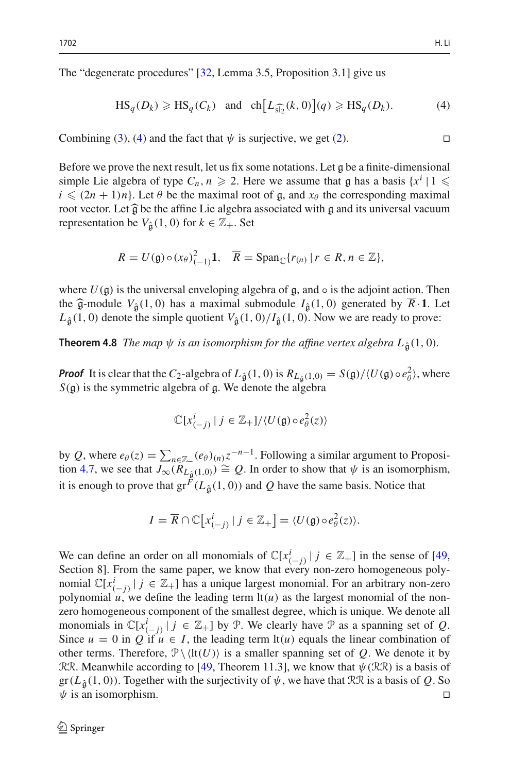The "degenerate procedures" [\[32,](#page-38-8) Lemma 3.5, Proposition 3.1] give us

erate procedures" [32, Lemma 3.5, Proposition 3.1] give us

\n
$$
HS_q(D_k) \geq HS_q(C_k) \quad \text{and} \quad ch\left[L_{\widehat{\mathfrak{sl}_2}}(k,0)\right](q) \geq HS_q(D_k). \tag{4}
$$

<span id="page-13-0"></span> $\overline{a}$ 

Combining [\(3\)](#page-12-0), [\(4\)](#page-13-0) and the fact that  $\psi$  is surjective, we get [\(2\)](#page-12-1).

Before we prove the next result, let us fix some notations. Let g be a finite-dimensional simple Lie algebra of type  $C_n$ ,  $n \ge 2$ . Here we assume that g has a basis  $\{x^i \mid 1 \le i \le (2n+1)n\}$ . Let  $\theta$  be the maximal root of g and  $x_0$  the corresponding maximal  $i \leq (2n + 1)n$ . Let  $\theta$  be the maximal root of g, and  $x_{\theta}$  the corresponding maximal root vector Let  $\hat{\theta}$  be the affine Lie algebra associated with g and its universal vacuum Before we prove the next result, let us fix some notations. Let g be a finite-dimensional<br>simple Lie algebra of type  $C_n$ ,  $n \ge 2$ . Here we assume that g has a basis  $\{x^i | 1 \le i \le (2n + 1)n\}$ . Let  $\theta$  be the maximal root representation be  $V_{\hat{a}}(1, 0)$  for  $k \in \mathbb{Z}_+$ . Set

$$
R = U(\mathfrak{g}) \circ (x_{\theta})_{(-1)}^2 \mathbf{1}, \quad \overline{R} = \text{Span}_{\mathbb{C}}\{r_{(n)} \mid r \in R, n \in \mathbb{Z}\},
$$

where  $U(\mathfrak{g})$  is the universal enveloping algebra of  $\mathfrak{g}$ , and  $\circ$  is the adjoint action. Then the  $\hat{\mathfrak{g}}$ -module  $V_{\hat{\mathfrak{g}}}(1,0)$  has a maximal submodule  $I_{\hat{\mathfrak{g}}}(1,0)$  generated by  $\overline{R} \cdot \mathbf{1}$ . Let  $L<sub>\hat{\alpha}</sub>(1, 0)$  denote the simple quotient  $V<sub>\hat{\alpha}</sub>(1, 0)/I<sub>\hat{\alpha}</sub>(1, 0)$ . Now we are ready to prove:

**Theorem 4.8** *The map*  $\psi$  *is an isomorphism for the affine vertex algebra*  $L_{\hat{\sigma}}(1,0)$ *.* 

*Proof* It is clear that the *C*<sub>2</sub>-algebra of *L*<sub>ĝ</sub>(1, 0) is  $R_{L_{\hat{\theta}}}(1,0) = S(g)/\langle U(g) \circ e_{\theta}^2 \rangle$ , where  $S(g)$  is the symmetric algebra of g. We denote the algebra  $S(\mathfrak{g})$  is the symmetric algebra of  $\mathfrak{g}$ . We denote the algebra

$$
\mathbb{C}[x_{(-j)}^i \mid j \in \mathbb{Z}_+]/\langle U(\mathfrak{g}) \circ e_{\theta}^2(z) \rangle
$$

 $\mathbb{C}[x_{(-j)}^i | j \in \mathbb{Z}_+] / \langle U(\mathfrak{g}) \circ e_{\theta}^2(z) \rangle$ <br>by *Q*, where  $e_{\theta}(z) = \sum_{n \in \mathbb{Z}_-} (e_{\theta})_{(n)} z^{-n-1}$ . Following a similar argument to Proposi-tion [4.7,](#page-11-1) we see that  $J_{\infty}(R_{L_{\hat{\mathfrak{g}}}(1,0)}) \cong Q$ . In order to show that  $\psi$  is an isomorphism, it is enough to prove that  $gr^F(L_{\hat{\alpha}}(1, 0))$  and Q have the same basis. Notice that

$$
I = \overline{R} \cap \mathbb{C}[x_{(-j)}^i | j \in \mathbb{Z}_+] = \langle U(\mathfrak{g}) \circ e_{\theta}^2(z) \rangle.
$$

We can define an order on all monomials of  $\mathbb{C}[x_{(-j)}^i | j \in \mathbb{Z}_+]$  in the sense of [\[49,](#page-39-3) Section 8]. From the same paper, we know that every non-zero homogeneous polynomial  $\mathbb{C}[x_{i-j}^i | j \in \mathbb{Z}_+]$  has a unique largest monomial. For an arbitrary non-zero polynomial  $u$ , we define the leading term  $\text{lt}(u)$  as the largest monomial of the nonzero homogeneous component of the smallest degree, which is unique. We denote all monomials in  $\mathbb{C}[x_{(-j)}^i | j \in \mathbb{Z}_+]$  by P. We clearly have P as a spanning set of *Q*. Since  $u = 0$  in Q if  $u \in I$ , the leading term  $\text{lt}(u)$  equals the linear combination of other terms. Therefore,  $\mathcal{P} \setminus \langle \text{lt}(U) \rangle$  is a smaller spanning set of *Q*. We denote it by RR. Meanwhile according to [\[49](#page-39-3), Theorem 11.3], we know that  $\psi$  (RR) is a basis of gr(*L*<sub>ĝ</sub>(1, 0)). Together with the surjectivity of  $\psi$ , we have that RR is a basis of *Q*. So  $\psi$  is an isomorphism.  $\psi$  is an isomorphism.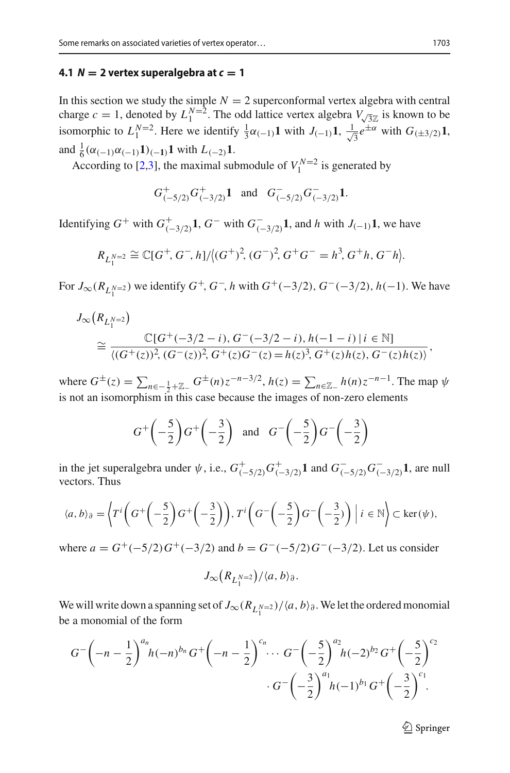## <span id="page-14-0"></span>**4.1**  $N = 2$  vertex superalgebra at  $c = 1$

In this section we study the simple  $N = 2$  superconformal vertex algebra with central charge  $c = 1$ , denoted by  $L_1^{N=2}$ . The odd lattice vertex algebra  $V_{\sqrt{3}\mathbb{Z}}$  is known to be isomorphic to  $L_1^{N=2}$ . Here we identify  $\frac{1}{3}\alpha_{(-1)}\mathbf{1}$  with  $J_{(-1)}\mathbf{1}$ ,  $\frac{1}{\sqrt{2}}$  $\overline{3}e^{\pm\alpha}$  with  $G_{(\pm 3/2)}1$ , and  $\frac{1}{6}(\alpha_{(-1)}\alpha_{(-1)}\mathbf{1})_{(-1)}\mathbf{1}$  with  $L_{(-2)}\mathbf{1}$ .

According to [\[2](#page-37-13)[,3\]](#page-37-14), the maximal submodule of  $V_1^{N=2}$  is generated by

$$
G^+_{(-5/2)}G^+_{(-3/2)}\mathbf{1}
$$
 and  $G^-_{(-5/2)}G^-_{(-3/2)}\mathbf{1}$ .

Identifying  $G^+$  with  $G^+_{(-3/2)}$ **1**,  $G^-$  with  $G^-_{(-3/2)}$ **1**, and *h* with  $J_{(-1)}$ **1**, we have

$$
R_{L_1^{N=2}} \cong \mathbb{C}[G^+, G^-, h]/\langle (G^+)^2, (G^-)^2, G^+G^- = h^3, G^+h, G^-h \rangle.
$$

For  $J_{\infty}(R_{L_1^{N=2}})$  we identify  $G^+, G^-, h$  with  $G^+(-3/2), G^-(-3/2), h(-1)$ . We have

$$
J_{\infty}(R_{L_1^{N=2}})
$$
  
\n
$$
\approx \frac{\mathbb{C}[G^+(-3/2-i), G^-(-3/2-i), h(-1-i) | i \in \mathbb{N}]}{\langle (G^+(z))^2, (G^-(z))^2, G^+(z)G^-(z) = h(z)^3, G^+(z)h(z), G^-(z)h(z) \rangle},
$$
  
\nwhere  $G^{\pm}(z) = \sum_{n \in -\frac{1}{2} + \mathbb{Z}_+} G^{\pm}(n) z^{-n-3/2}, h(z) = \sum_{n \in \mathbb{Z}_-} h(n) z^{-n-1}$ . The map  $\psi$ 

is not an isomorphism in this case because the images of non-zero elements  $\begin{array}{c} \n\hline\n\end{array}$ 

$$
G^+\left(-\frac{5}{2}\right)G^+\left(-\frac{3}{2}\right) \quad \text{and} \quad G^-\left(-\frac{5}{2}\right)G^-\left(-\frac{3}{2}\right)
$$

in the jet superalgebra under  $\psi$ , i.e.,  $G^+_{(-5/2)}G^+_{(-3/2)}\mathbf{1}$  and  $G^-_{(-5/2)}G^-_{(-3/2)}\mathbf{1}$ , are null vectors. Thus uperalgebra under  $\psi$ , i.e.,  $G^+_{(-5/2)} G^+_{(-3/2)} \mathbf{1}$  and  $G^-_{(-5/2)}$ <br>us

$$
\langle a, b \rangle_{\partial} = \left\langle T^{i} \left( G^{+} \left( -\frac{5}{2} \right) G^{+} \left( -\frac{3}{2} \right) \right), T^{i} \left( G^{-} \left( -\frac{5}{2} \right) G^{-} \left( -\frac{3}{2} \right) \right) \middle| i \in \mathbb{N} \right\rangle \subset \text{ker}(\psi),
$$

where  $a = G^+(-5/2)G^+(-3/2)$  and  $b = G^-(-5/2)G^-(-3/2)$ . Let us consider

$$
J_\infty\big(R_{L_1^{N=2}}\big)/\langle a,b\rangle_{\partial}.
$$

We will write down a spanning set of  $J_{\infty}(R_{L_1^{N=2}})/\langle a, b \rangle_{\partial}$ . We let the ordered monomial be a monomial of the form

$$
G^{-}\left(-n-\frac{1}{2}\right)^{a_n}h(-n)^{b_n}G^{+}\left(-n-\frac{1}{2}\right)^{c_n}\cdots G^{-}\left(-\frac{5}{2}\right)^{a_2}h(-2)^{b_2}G^{+}\left(-\frac{5}{2}\right)^{c_2}\cdots G^{-}\left(-\frac{3}{2}\right)^{a_1}h(-1)^{b_1}G^{+}\left(-\frac{3}{2}\right)^{c_1}.
$$

 $\mathcal{D}$  Springer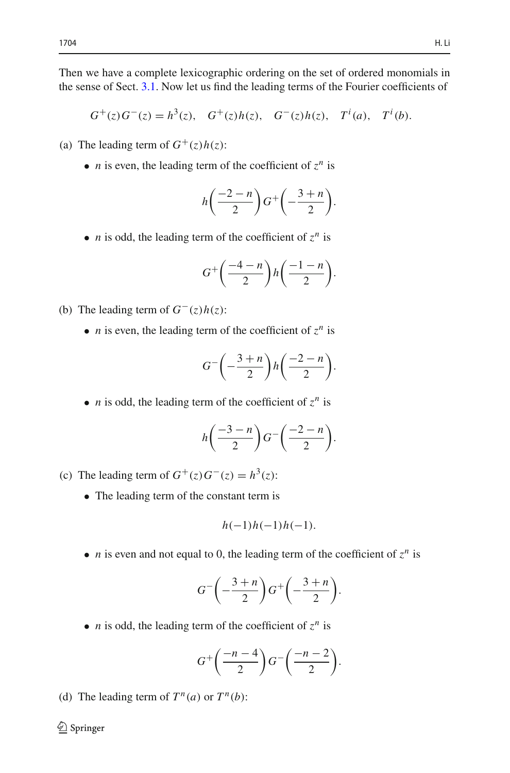Then we have a complete lexicographic ordering on the set of ordered monomials in the sense of Sect. [3.1.](#page-8-1) Now let us find the leading terms of the Fourier coefficients of

 $G^+(z)G^-(z) = h^3(z), G^+(z)h(z), G^-(z)h(z), T^i(a), T^i(b).$ 

- (a) The leading term of  $G^+(z)h(z)$ :
	- *n* is even, the leading term of the coefficient of  $z^n$  is

$$
h\left(\frac{-2-n}{2}\right)G^+\left(-\frac{3+n}{2}\right).
$$

• *n* is odd, the leading term of the coefficient of  $z^n$  is

$$
G^+\left(\frac{-4-n}{2}\right)h\left(\frac{-1-n}{2}\right).
$$

- (b) The leading term of *G*−(*z*)*h*(*z*):
	- *n* is even, the leading term of the coefficient of  $z^n$  is

$$
G^{-}\left(-\frac{3+n}{2}\right)h\left(\frac{-2-n}{2}\right).
$$

• *n* is odd, the leading term of the coefficient of  $z^n$  is

$$
h\left(\frac{-3-n}{2}\right)G^{-}\left(\frac{-2-n}{2}\right).
$$

- (c) The leading term of  $G^+(z)G^-(z) = h^3(z)$ :
	- The leading term of the constant term is

$$
h(-1)h(-1)h(-1)
$$
.

• *n* is even and not equal to 0, the leading term of the coefficient of  $z^n$  is

$$
G^{-}\left(-\frac{3+n}{2}\right)G^{+}\left(-\frac{3+n}{2}\right).
$$

• *n* is odd, the leading term of the coefficient of  $z^n$  is

$$
G^+\left(\frac{-n-4}{2}\right)G^-\left(\frac{-n-2}{2}\right).
$$

(d) The leading term of  $T^n(a)$  or  $T^n(b)$ :

 $\bigcirc$  Springer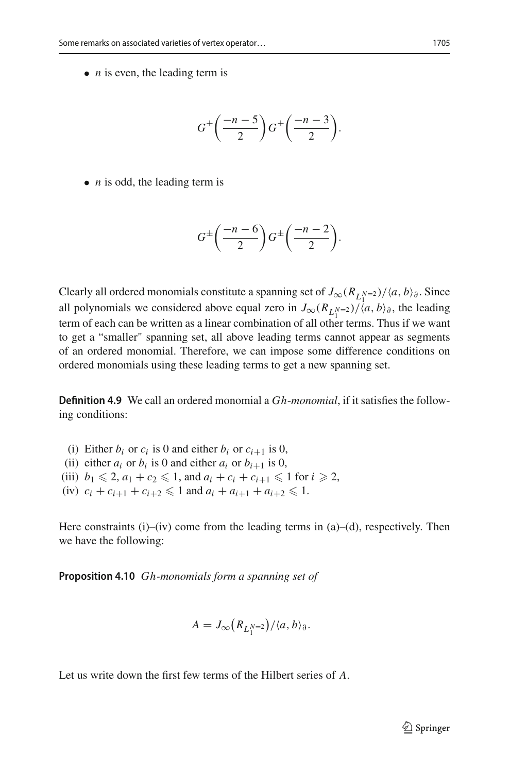• *n* is even, the leading term is

$$
G^{\pm}\left(\frac{-n-5}{2}\right)G^{\pm}\left(\frac{-n-3}{2}\right).
$$

• *n* is odd, the leading term is

$$
G^{\pm}\left(\frac{-n-6}{2}\right)G^{\pm}\left(\frac{-n-2}{2}\right).
$$

Clearly all ordered monomials constitute a spanning set of  $J_{\infty}(R_{L_1^{N=2}})/(a, b)_{\partial}$ . Since all polynomials we considered above equal zero in  $J_{\infty}(R_{L_1^{N=2}})/\langle a, b \rangle_{\partial}$ , the leading term of each can be written as a linear combination of all other terms. Thus if we want to get a "smaller" spanning set, all above leading terms cannot appear as segments of an ordered monomial. Therefore, we can impose some difference conditions on ordered monomials using these leading terms to get a new spanning set.

**Definition 4.9** We call an ordered monomial a *Gh*-*monomial*, if it satisfies the following conditions:

- (i) Either  $b_i$  or  $c_i$  is 0 and either  $b_i$  or  $c_{i+1}$  is 0,
- (ii) either  $a_i$  or  $b_i$  is 0 and either  $a_i$  or  $b_{i+1}$  is 0,
- (iii)  $b_1 \leq 2, a_1 + c_2 \leq 1$ , and  $a_i + c_i + c_{i+1} \leq 1$  for  $i \geq 2$ ,
- (iv)  $c_i + c_{i+1} + c_{i+2} \leq 1$  and  $a_i + a_{i+1} + a_{i+2} \leq 1$ .

Here constraints  $(i)$ – $(iv)$  come from the leading terms in  $(a)$ – $(d)$ , respectively. Then we have the following:

**Proposition 4.10** *Gh-monomials form a spanning set of* 

$$
A = J_{\infty}(R_{L_1^{N=2}})/\langle a, b \rangle_{\partial}.
$$

Let us write down the first few terms of the Hilbert series of *A*.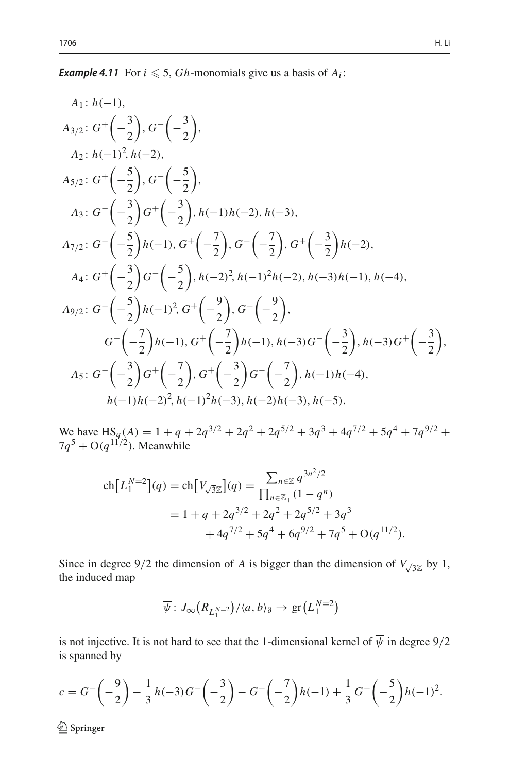**Example 4.11** For  $i \le 5$ , *Gh*-monomials give us a basis of  $A_i$ :

A<sub>1</sub>: 
$$
h(-1)
$$
,  
\nA<sub>3/2</sub>:  $G^+\left(-\frac{3}{2}\right), G^-\left(-\frac{3}{2}\right),$   
\nA<sub>2</sub>:  $h(-1)^2, h(-2),$   
\nA<sub>5/2</sub>:  $G^+\left(-\frac{5}{2}\right), G^-\left(-\frac{5}{2}\right),$   
\nA<sub>3</sub>:  $G^-\left(-\frac{3}{2}\right)G^+\left(-\frac{3}{2}\right), h(-1)h(-2), h(-3),$   
\nA<sub>7/2</sub>:  $G^-\left(-\frac{5}{2}\right)h(-1), G^+\left(-\frac{7}{2}\right), G^-\left(-\frac{7}{2}\right), G^+\left(-\frac{3}{2}\right)h(-2),$   
\nA<sub>4</sub>:  $G^+\left(-\frac{3}{2}\right)G^-\left(-\frac{5}{2}\right), h(-2)^2, h(-1)^2h(-2), h(-3)h(-1), h(-4),$   
\nA<sub>9/2</sub>:  $G^-\left(-\frac{5}{2}\right)h(-1)^2, G^+\left(-\frac{9}{2}\right), G^-\left(-\frac{9}{2}\right),$   
\n $G^-\left(-\frac{7}{2}\right)h(-1), G^+\left(-\frac{7}{2}\right)h(-1), h(-3)G^-\left(-\frac{3}{2}\right), h(-3)G^+\left(-\frac{3}{2}\right),$   
\nA<sub>5</sub>:  $G^-\left(-\frac{3}{2}\right)G^+\left(-\frac{7}{2}\right), G^+\left(-\frac{3}{2}\right)G^-\left(-\frac{7}{2}\right), h(-1)h(-4),$   
\n $h(-1)h(-2)^2, h(-1)^2h(-3), h(-2)h(-3), h(-5).$ 

We have  $\text{HS}_q(A) = 1 + q + 2q^{3/2} + 2q^2 + 2q^{5/2} + 3q^3 + 4q^{7/2} + 5q^4 + 7q^{9/2} +$  $7q^5 + O(q^{11/2})$ . Meanwhile HS<sub>q</sub>(A) = 1 + q + 2q<sup>3/2</sup> + 2q<sup>2</sup> + 2q<br>
q<sup>11/2</sup>). Meanwhile<br>
ch $\left[L_1^{N=2}\right](q) = ch\left[V_{\sqrt{3}\mathbb{Z}}\right](q) = \frac{\sum}{\prod_{i=1}^{N}q_i^2}$ i.

$$
\operatorname{ch}\left[L_1^{N=2}\right](q) = \operatorname{ch}\left[V_{\sqrt{3}\mathbb{Z}}\right](q) = \frac{\sum_{n\in\mathbb{Z}} q^{3n^2/2}}{\prod_{n\in\mathbb{Z}_+} (1-q^n)} \n= 1 + q + 2q^{3/2} + 2q^2 + 2q^{5/2} + 3q^3 \n+ 4q^{7/2} + 5q^4 + 6q^{9/2} + 7q^5 + O(q^{11/2}).
$$

Since in degree 9/2 the dimension of *A* is bigger than the dimension of  $V_{\sqrt{3}\mathbb{Z}}$  by 1, the induced map msion of *A* is bigger than the contained  $\left(R_{L_1^{N=2}}\right) / \langle a, b \rangle_{\partial} \rightarrow \text{gr}\left(L_1^{N=2}\right)$ 

$$
\overline{\psi}: J_{\infty}(R_{L_1^{N-2}})/\langle a, b \rangle_{\partial} \to \text{gr}(L_1^{N-2})
$$

is not injective. It is not hard to see that the 1-dimensional kernel of  $\psi$  in degree  $9/2$ is spanned by <u> 대한 대학 대학 대학 대학 대학 대학 대학 대학 대학 대학 대학 대학</u>

$$
c = G^{-}\left(-\frac{9}{2}\right) - \frac{1}{3}h(-3)G^{-}\left(-\frac{3}{2}\right) - G^{-}\left(-\frac{7}{2}\right)h(-1) + \frac{1}{3}G^{-}\left(-\frac{5}{2}\right)h(-1)^{2}.
$$

<sup>2</sup> Springer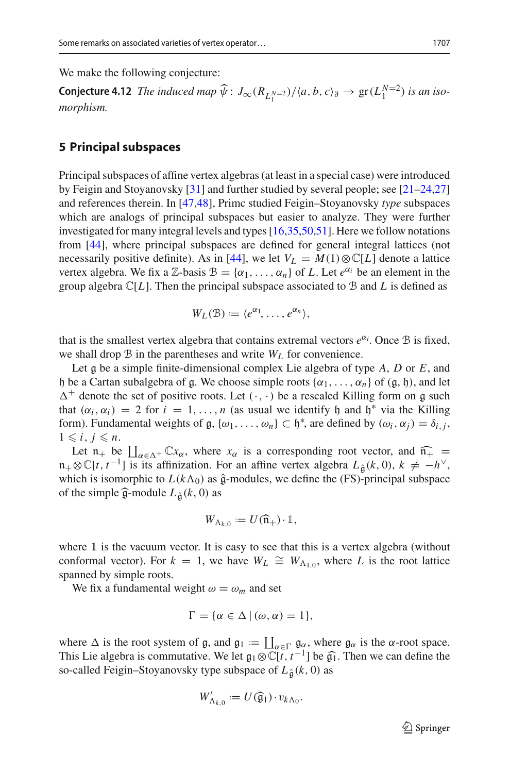We make the following conjecture:

**Conjecture 4.12** *The induced map*  $\widehat{\psi}$ :  $J_{\infty}(R_{L_1^{N=2}})/\langle a, b, c \rangle_{\partial} \rightarrow$  gr $(L_1^{N=2})$  *is an isomorphism.*

## <span id="page-18-0"></span>**5 Principal subspaces**

Principal subspaces of affine vertex algebras (at least in a special case) were introduced by Feigin and Stoyanovsky [\[31](#page-38-9)] and further studied by several people; see [\[21](#page-38-10)[–24](#page-38-11)[,27\]](#page-38-12) and references therein. In [\[47](#page-38-13)[,48\]](#page-39-4), Primc studied Feigin–Stoyanovsky *type* subspaces which are analogs of principal subspaces but easier to analyze. They were further investigated for many integral levels and types [\[16](#page-37-15)[,35](#page-38-14)[,50](#page-39-5)[,51](#page-39-6)]. Here we follow notations from [\[44](#page-38-15)], where principal subspaces are defined for general integral lattices (not necessarily positive definite). As in [\[44](#page-38-15)], we let  $V_L = M(1) \otimes \mathbb{C}[L]$  denote a lattice vertex algebra. We fix a Z-basis  $\mathcal{B} = {\alpha_1, \ldots, \alpha_n}$  of *L*. Let  $e^{\alpha_i}$  be an element in the group algebra  $\mathbb{C}[L]$ . Then the principal subspace associated to B and L is defined as

$$
W_L(\mathcal{B}) \coloneqq \langle e^{\alpha_1}, \ldots, e^{\alpha_n} \rangle,
$$

that is the smallest vertex algebra that contains extremal vectors  $e^{\alpha_i}$ . Once  $\mathcal B$  is fixed, we shall drop B in the parentheses and write *WL* for convenience.

Let g be a simple finite-dimensional complex Lie algebra of type *<sup>A</sup>*, *<sup>D</sup>* or *<sup>E</sup>*, and h be a Cartan subalgebra of g. We choose simple roots  $\{\alpha_1, \dots, \alpha_n\}$  of  $(g, h)$ , and let  $\Delta^+$  denote the set of positive roots. Let  $(\cdot, \cdot)$  be a rescaled Killing form on g such that  $(\alpha_i, \alpha_i) = 2$  for  $i = 1, \ldots, n$  (as usual we identify h and h<sup>\*</sup> via the Killing form). Fundamental weights of  $\mathfrak{g}, \{\omega_1, \dots, \omega_n\} \subset \mathfrak{h}^*$ , are defined by  $(\omega_i, \alpha_j) = \delta_{i,j}$ ,  $1 \le i \le n$  $1 \leq i, j \leq n$ . F denote the set of positive roots. Let  $(\cdot, \cdot)$  be a rescaled Killing form on g such t  $(\alpha_i, \alpha_i) = 2$  for  $i = 1, ..., n$  (as usual we identify  $\mathfrak{h}$  and  $\mathfrak{h}^*$  via the Killing m). Fundamental weights of  $\mathfrak{g}, {\{\omega_1,$ 

Let  $n_+$  be  $\prod_{\alpha \in \Delta^+} \mathbb{C}x_\alpha$ , where  $x_\alpha$  is a corresponding root vector, and  $\widehat{n_+}$  =  $n_+\otimes \mathbb{C}[t, t^{-1}]$  is its affinization. For an affine vertex algebra  $L_{\hat{\theta}}(k, 0), k \neq -h^\vee$ , which is isomorphic to  $I(k\wedge\alpha)$  as  $\hat{\theta}$ -modules we define the (FS)-principal subspace which is isomorphic to  $L(k\Lambda_0)$  as  $\hat{\mathfrak{g}}$ -modules, we define the (FS)-principal subspace<br>of the simple  $\hat{\mathfrak{g}}$ -module  $L_{\hat{\mathfrak{g}}}(k, 0)$  as<br> $W_{\Lambda_{k,0}} := U(\hat{\mathfrak{n}}_+) \cdot \mathbb{1}$ , Let  $n_+$  be  $\coprod_{\alpha \in \Delta^+} \mathbb{C}x_\alpha$ , where  $n_+ \otimes \mathbb{C}[t, t^{-1}]$  is its affinization. F<br>which is isomorphic to  $L(k\Lambda_0)$  as of the simple  $\widehat{\mathfrak{g}}$ -module  $L_{\widehat{\mathfrak{g}}}(k, 0)$  as

$$
W_{\Lambda_{k,0}}:=U(\widehat{\mathfrak{n}}_+)\cdot \mathbb{1},
$$

where  $\mathbbm{1}$  is the vacuum vector. It is easy to see that this is a vertex algebra (without conformal vector). For  $k = 1$ , we have  $W_L \cong W_{\Lambda_{1,0}}$ , where *L* is the root lattice spanned by simple roots.

We fix a fundamental weight  $\omega = \omega_m$  and set

$$
\Gamma = \{ \alpha \in \Delta \mid (\omega, \alpha) = 1 \},\
$$

We fix a fundamental weight  $\omega = \omega_m$  and s<br>  $\Gamma = {\alpha \in \Delta \mid (\omega, \alpha)}$ <br>
where  $\Delta$  is the root system of g, and  $g_1 := \coprod$ <br>
This I is algebra is commutative. We let  $g_1 \otimes \mathbb{C}$  $\prod_{\alpha \in \Gamma} \mathfrak{g}_{\alpha}$ , where  $\mathfrak{g}_{\alpha}$  is the  $\alpha$ -root space.<br> $\bigcap_{\alpha \in \Gamma} \mathfrak{f}_{t} t^{-1}$  be  $\widehat{\alpha}_{t}$ . Then we can define the  $\Gamma = {\alpha \in \Delta \mid (\omega, \alpha) = 1},$ <br>where  $\Delta$  is the root system of g, and  $\mathfrak{g}_1 := \coprod_{\alpha \in \Gamma} \mathfrak{g}_\alpha$ , where  $\mathfrak{g}_\alpha$  is the  $\alpha$ -root space.<br>This Lie algebra is commutative. We let  $\mathfrak{g}_1 \otimes \mathbb{C}[t, t^{-1}]$  be  $\widehat{\mathfrak{g}}_1$ so-called Feigin–Stoyanovsky type subspace of  $L<sub>\hat{\sigma</sub>$ (*k*, 0) as This Lie algebra is commutative. We let  $\mathfrak{g}_1 \otimes \mathbb{C}[t, t^{-1}]$  be  $\widehat{\mathfrak{g}_1}$ . Then we can define the

$$
W'_{\Lambda_{k,0}} := U(\widehat{\mathfrak{g}}_1) \cdot v_{k\Lambda_0}.
$$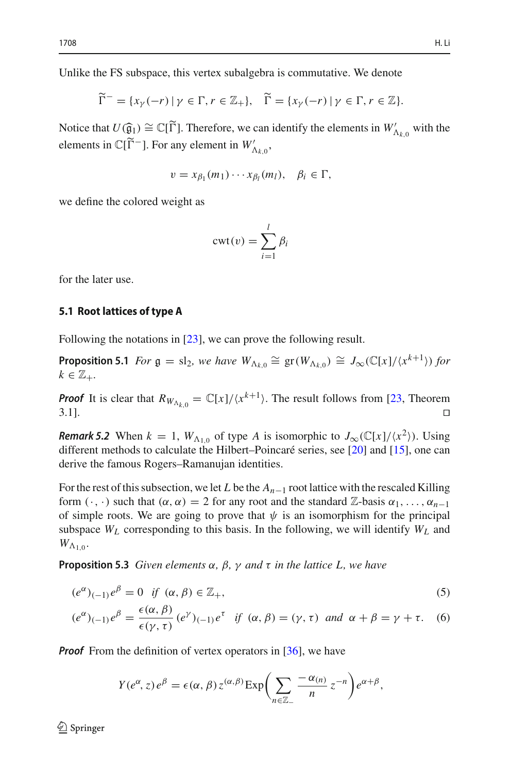Unlike the FS subspace, this vertex subalgebra is commutative. We denote

the FS subspace, this vertex subalgebra is commutative. We denote  
\n
$$
\widetilde{\Gamma}^- = \{x_\gamma(-r) \mid \gamma \in \Gamma, r \in \mathbb{Z}_+\}, \quad \widetilde{\Gamma} = \{x_\gamma(-r) \mid \gamma \in \Gamma, r \in \mathbb{Z}\}.
$$

 $\widetilde{\Gamma}^- = \{x_\gamma(-r) \mid \gamma \in \Gamma, r \in \mathbb{Z}_+\}, \quad \widetilde{\Gamma} = \{x_\gamma(-r) \mid \gamma \in \Gamma, r \in \mathbb{Z}\}.$ <br>Notice that  $U(\widehat{\mathfrak{g}}_1) \cong \mathbb{C}[\widetilde{\Gamma}].$  Therefore, we can identify the elements in  $W'_{\Lambda_{k,0}}$  with the clarents in  $\mathbb{C}[\widetilde{\Gamma}^{-1}]$ .  $\widetilde{\Gamma}^- = \{x_\gamma(-r) \mid \gamma \in \Gamma, r \in \mathbb{Z}_+\}, \quad \widetilde{\Gamma}$ <br>
Notice that  $U(\widehat{\mathfrak{g}}_1) \cong \mathbb{C}[\widetilde{\Gamma}].$  Therefore, we can elements in  $\mathbb{C}[\widetilde{\Gamma}^-]$ . For any element in  $W'_{\Lambda_{k,0}}$ ,

$$
v = x_{\beta_1}(m_1) \cdots x_{\beta_l}(m_l), \quad \beta_i \in \Gamma,
$$

we define the colored weight as

<span id="page-19-3"></span>
$$
cut(v) = \sum_{i=1}^{l} \beta_i
$$

for the later use.

#### **5.1 Root lattices of type A**

Following the notations in [\[23](#page-38-16)], we can prove the following result.

**Proposition 5.1** *For*  $\mathfrak{g} = \mathrm{sl}_2$ *, we have*  $W_{\Lambda_{k,0}} \cong \mathrm{gr}(W_{\Lambda_{k,0}}) \cong J_{\infty}(\mathbb{C}[x]/\langle x^{k+1} \rangle)$  for  $k \in \mathbb{Z}$ .  $k \in \mathbb{Z}_+$ .

*Proof* It is clear that  $R_{W_{\Lambda_{k,0}}} = \mathbb{C}[x]/\langle x^{k+1} \rangle$ . The result follows from [\[23,](#page-38-16) Theorem  $3.1$ ].

*Remark 5.2* When  $k = 1$ ,  $W_{\Lambda_{1,0}}$  of type *A* is isomorphic to  $J_{\infty}(\mathbb{C}[x]/\langle x^2 \rangle)$ . Using different methods to calculate the Hilbert–Poincaré series, see [\[20](#page-38-17)] and [\[15](#page-37-16)], one can derive the famous Rogers–Ramanujan identities.

For the rest of this subsection, we let *L* be the *An*−<sup>1</sup> root lattice with the rescaled Killing form  $(\cdot, \cdot)$  such that  $(\alpha, \alpha) = 2$  for any root and the standard  $\mathbb{Z}$ -basis  $\alpha_1, \ldots, \alpha_{n-1}$ of simple roots. We are going to prove that  $\psi$  is an isomorphism for the principal subspace  $W_L$  corresponding to this basis. In the following, we will identify  $W_L$  and  $W_{\Lambda_{1,0}}$ .

<span id="page-19-2"></span>**Proposition 5.3** *Given elements* α*,* β*,* γ *and* τ *in the lattice L, we have*

$$
(e^{\alpha})_{(-1)}e^{\beta} = 0 \quad \text{if} \quad (\alpha, \beta) \in \mathbb{Z}_{+}, \tag{5}
$$

$$
(e^{\alpha})_{(-1)}e^{\beta} = \frac{\epsilon(\alpha,\beta)}{\epsilon(\gamma,\tau)}(e^{\gamma})_{(-1)}e^{\tau} \text{ if } (\alpha,\beta) = (\gamma,\tau) \text{ and } \alpha + \beta = \gamma + \tau. \tag{6}
$$

*Proof* From the definition of vertex operators in [\[36](#page-38-1)], we have

<span id="page-19-1"></span><span id="page-19-0"></span>
$$
= \frac{1}{\epsilon(\gamma, \tau)} e^{-\beta} \int_{(-1)^{\epsilon}}^{\epsilon} \eta'(\alpha, \beta) d\beta - \frac{1}{\epsilon} \int_{\alpha}^{\alpha} \eta'(\alpha, \beta) d\beta
$$
\nthe definition of vertex operators in [36], we have

\n
$$
Y(e^{\alpha}, z) e^{\beta} = \epsilon(\alpha, \beta) z^{(\alpha, \beta)} \exp\left(\sum_{n \in \mathbb{Z}_+} \frac{-\alpha_{(n)}}{n} z^{-n}\right) e^{\alpha + \beta},
$$

 $\mathcal{D}$  Springer

-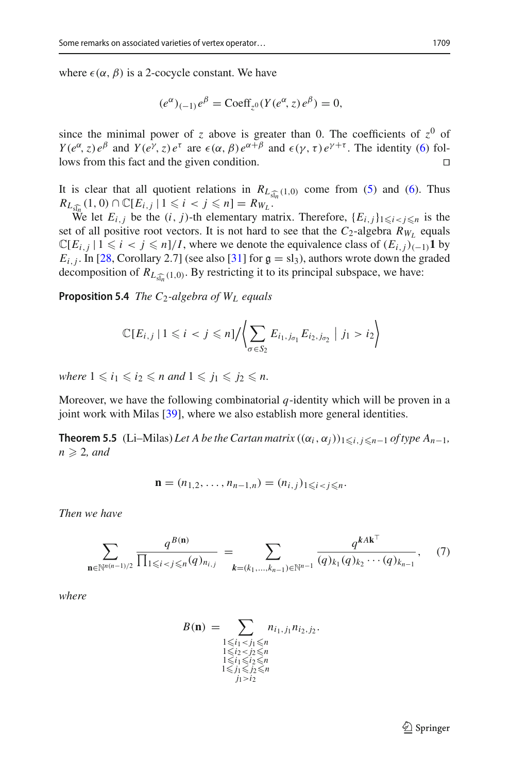where  $\epsilon(\alpha, \beta)$  is a 2-cocycle constant. We have

<span id="page-20-1"></span>
$$
(e^{\alpha})_{(-1)}e^{\beta} = \text{Coeff}_{z^0}(Y(e^{\alpha}, z)e^{\beta}) = 0,
$$

since the minimal power of *z* above is greater than 0. The coefficients of  $z^0$  of *Y*( $e^{\alpha}$ , *z*)  $e^{\beta}$  and *Y*( $e^{\gamma}$ , *z*)  $e^{\tau}$  are  $\epsilon(\alpha, \beta) e^{\alpha+\beta}$  and  $\epsilon(\gamma, \tau) e^{\gamma+\tau}$ . The identity [\(6\)](#page-19-0) follows from this fact and the given condition.

It is clear that all quotient relations in  $R_{L_{\widehat{\mathfrak{sl}_n}}(1,0)}$  come from [\(5\)](#page-19-1) and [\(6\)](#page-19-0). Thus It is clear that all quotient relations in  $R_{L_{\tilde{s}}}$ <br>  $R_{L_{\tilde{s}}\overline{y}_n}(1,0) \cap \mathbb{C}[E_{i,j} | 1 \leq i < j \leq n] = R_{W_L}$ .

We let  $E_{i,j}$  be the  $(i, j)$ -th elementary matrix. Therefore,  $\{E_{i,j}\}_{1 \leq i \leq j \leq n}$  is the set of all positive root vectors. It is not hard to see that the  $C_2$ -algebra  $R_{W_L}$  equals  $\mathbb{C}[E_{i,j} \mid 1 \leq i < j \leq n]/I$ , where we denote the equivalence class of  $(E_{i,j})_{(-1)}\mathbf{1}$  by  $E_{i,j}$ . In [\[28](#page-38-18), Corollary 2.7] (see also [\[31](#page-38-9)] for  $g = sl_3$ ), authors wrote down the graded decomposition of  $R_{L_{\widehat{M}_n}(1,0)}$ . By restricting it to its principal subspace, we have: ting it to its principal subspace,

**Proposition 5.4** *The C*2*-algebra of WL equals*

$$
\mathbb{C}[E_{i,j} | 1 \leq i < j \leq n] / \left\langle \sum_{\sigma \in S_2} E_{i_1, j_{\sigma_1}} E_{i_2, j_{\sigma_2}} \middle| j_1 > i_2 \right\rangle
$$

*where*  $1 \le i_1 \le i_2 \le n$  *and*  $1 \le i_1 \le i_2 \le n$ .

Moreover, we have the following combinatorial *q*-identity which will be proven in a joint work with Milas [\[39](#page-38-19)], where we also establish more general identities.

**Theorem 5.5** (Li–Milas) *Let A be the Cartan matrix*  $((\alpha_i, \alpha_j))_{1 \leq i, j \leq n-1}$  *of type A<sub>n–1</sub>*,  $n \geqslant 2$ , and

<span id="page-20-0"></span>
$$
\mathbf{n}=(n_{1,2},\ldots,n_{n-1,n})=(n_{i,j})_{1\leqslant i
$$

*Then we have*

we have  
\n
$$
\sum_{\mathbf{n}\in\mathbb{N}^{n(n-1)/2}}\frac{q^{B(\mathbf{n})}}{\prod_{1\leq i
$$

*where*

<span id="page-20-2"></span>
$$
B(n) = \sum_{\substack{1 \le i_1 < j_1 \le n \\ 1 \le i_2 < j_2 \le n \\ 1 \le i_1 \le i_2 \le n \\ 1 \le i_1 \le i_2 \le n \\ 1 \le j_1 \le i_2 \le n \\ j_i > j_2}} n_{i_1, j_1} n_{i_2, j_2}.
$$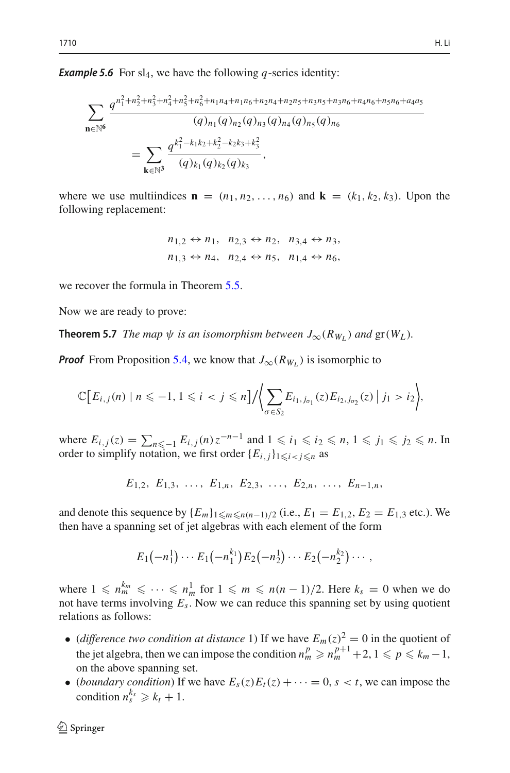**Example 5.6** For  $sl_4$ , we have the following *q*-series identity:

$$
\sum_{\mathbf{n}\in\mathbb{N}^6} \frac{q^{n_1^2+n_2^2+n_3^2+n_4^2+n_5^2+n_6^2+n_1n_4+n_1n_6+n_2n_4+n_2n_5+n_3n_5+n_3n_6+n_4n_6+n_5n_6+a_4a_5}}{(q)_{n_1}(q)_{n_2}(q)_{n_3}(q)_{n_4}(q)_{n_5}(q)_{n_6}}
$$
  
= 
$$
\sum_{\mathbf{k}\in\mathbb{N}^3} \frac{q^{k_1^2-k_1k_2+k_2^2-k_2k_3+k_3^2}}{(q)_{k_1}(q)_{k_2}(q)_{k_3}},
$$

where we use multiindices  $\mathbf{n} = (n_1, n_2, \dots, n_6)$  and  $\mathbf{k} = (k_1, k_2, k_3)$ . Upon the following replacement:

$$
n_{1,2} \leftrightarrow n_1, n_{2,3} \leftrightarrow n_2, n_{3,4} \leftrightarrow n_3,
$$
  

$$
n_{1,3} \leftrightarrow n_4, n_{2,4} \leftrightarrow n_5, n_{1,4} \leftrightarrow n_6,
$$

we recover the formula in Theorem [5.5.](#page-20-0)

Now we are ready to prove:

**Theorem 5.7** *The map*  $\psi$  *is an isomorphism between*  $J_{\infty}(R_{W_L})$  *and*  $gr(W_L)$ *.* 

*Proof* From Proposition [5.4,](#page-20-1) we know that  $J_{\infty}(R_{W_L})$  is isomorphic to

$$
\mathbb{C}\Big[E_{i,j}(n) \mid n \leq -1, 1 \leq i < j \leq n\Big] / \Bigg\langle \sum_{\sigma \in S_2} E_{i_1, j_{\sigma_1}}(z) E_{i_2, j_{\sigma_2}}(z) \mid j_1 > i_2 \Bigg\rangle,
$$
\nwhere  $E_{i,j}(z) = \sum_{n \leq -1} E_{i,j}(n) z^{-n-1}$  and  $1 \leq i_1 \leq i_2 \leq n, 1 \leq j_1 \leq j_2 \leq n$ . In

order to simplify notation, we first order  $\{E_{i,j}\}_{1 \leq i \leq j \leq n}$  as

 $E_1$ , *E*<sub>1</sub>, *E*<sub>1</sub>, *E*<sub>1,*n*</sub>, *E*<sub>2,</sub><sup>3</sup>, ..., *E*<sub>2,*n*</sub>, ..., *E*<sub>*n*−1,*n*</sub>,

and denote this sequence by  ${E_m}_{1 \le m \le n(n-1)/2}$  (i.e.,  $E_1 = E_{1,2}$ ,  $E_2 = E_{1,3}$  etc.). We then have a spanning set of jet algebras with each element of the form 

$$
E_1(-n_1^1)\cdots E_1(-n_1^{k_1})E_2(-n_2^1)\cdots E_2(-n_2^{k_2})\cdots,
$$

where  $1 \leq n_m^{k_m} \leq \cdots \leq n_m^1$  for  $1 \leq m \leq n(n-1)/2$ . Here  $k_s = 0$  when we do not have terms involving *Es*. Now we can reduce this spanning set by using quotient relations as follows:

- (*difference two condition at distance* 1) If we have  $E_m(z)^2 = 0$  in the quotient of the jet algebra, then we can impose the condition  $n_m^p \geqslant n_m^{p+1} + 2, 1 \leqslant p \leqslant k_m - 1$ , on the above spanning set.
- (*boundary condition*) If we have  $E_s(z)E_t(z) + \cdots = 0$ ,  $s < t$ , we can impose the condition  $n_s^{k_s} \geq k_t + 1$ .

Ξ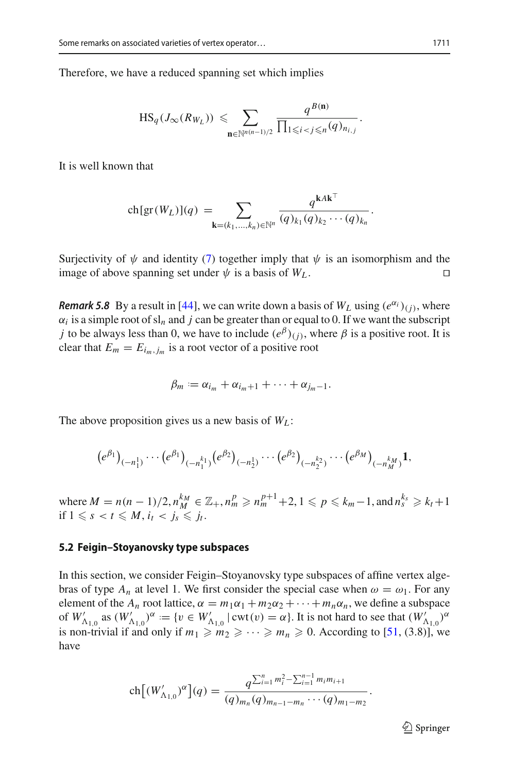Therefore, we have a reduced spanning set which implies ch

we a reduced spanning set which implies  
\n
$$
HS_q(J_\infty(R_{W_L})) \leqslant \sum_{\mathbf{n} \in \mathbb{N}^{n(n-1)/2}} \frac{q^{B(\mathbf{n})}}{\prod_{1 \leqslant i < j \leqslant n} (q)_{n_{i,j}}}.
$$

It is well known that

n that  
\n
$$
\operatorname{ch}[\operatorname{gr}(W_L)](q) = \sum_{\mathbf{k}=(k_1,\ldots,k_n)\in\mathbb{N}^n} \frac{q^{\mathbf{k}A\mathbf{k}^\top}}{(q)_{k_1}(q)_{k_2}\cdots(q)_{k_n}}.
$$

Surjectivity of  $\psi$  and identity [\(7\)](#page-20-2) together imply that  $\psi$  is an isomorphism and the image of above spanning set under  $\psi$  is a basis of  $W_L$ .

*Remark 5.8* By a result in [\[44\]](#page-38-15), we can write down a basis of  $W_L$  using  $(e^{\alpha_i})_{(i)}$ , where  $\alpha_i$  is a simple root of sl<sub>n</sub> and *j* can be greater than or equal to 0. If we want the subscript *j* to be always less than 0, we have to include  $(e^{\beta})$ <sub>(*j*)</sub>, where  $\beta$  is a positive root. It is clear that  $E_m = E_{i_m, j_m}$  is a root vector of a positive root

$$
\beta_m := \alpha_{i_m} + \alpha_{i_m+1} + \cdots + \alpha_{j_m-1}.
$$

The above proposition gives us a new basis of *WL* :

we proposition gives us a new basis of 
$$
W_L
$$
:

\n
$$
(e^{\beta_1})_{(-n_1^1)} \cdots (e^{\beta_1})_{(-n_1^{k_1})} (e^{\beta_2})_{(-n_2^1)} \cdots (e^{\beta_2})_{(-n_2^{k_2})} \cdots (e^{\beta_M})_{(-n_M^{k_M})} \mathbf{1},
$$

where  $M = n(n-1)/2$ ,  $n_M^{k_M} \in \mathbb{Z}_+, n_m^p \geq n_m^{p+1} + 2$ ,  $1 \leq p \leq k_m - 1$ , and  $n_s^{k_s} \geq k_t + 1$ if  $1 \leq s < t \leq M$ ,  $i_t < j_s \leq i_t$ .

#### **5.2 Feigin–Stoyanovsky type subspaces**

In this section, we consider Feigin–Stoyanovsky type subspaces of affine vertex algebras of type  $A_n$  at level 1. We first consider the special case when  $\omega = \omega_1$ . For any element of the  $A_n$  root lattice,  $\alpha = m_1\alpha_1 + m_2\alpha_2 + \cdots + m_n\alpha_n$ , we define a subspace of  $W'_{\Delta_{1,0}}$  as  $(W'_{\Delta_{1,0}})^\alpha := \{v \in W'_{\Delta_{1,0}} \mid \text{cut}(v) = \alpha\}.$  It is not hard to see that  $(W'_{\Delta_{1,0}})^\alpha$ is non-trivial if and only if  $m_1 \geq m_2 \geq \cdots \geq m_n \geq 0$ . According to [\[51,](#page-39-6) (3.8)], we have ί $n$ <br>α]  $\sum_{i=1}^{n} \sum_{i=1}^{n-1} m_i m_{i+1}$ 

and only if 
$$
m_1 \ge m_2 \ge \cdots \ge m_n \ge 0
$$
. According to  

$$
\text{ch}\left[\left(W'_{\Lambda_{1,0}}\right)^{\alpha}\right](q) = \frac{q^{\sum_{i=1}^{n} m_i^2 - \sum_{i=1}^{n-1} m_i m_{i+1}}}{(q)_{m_n} (q)_{m_{n-1} - m_n} \cdots (q)_{m_1 - m_2}}.
$$

 $\mathcal{D}$  Springer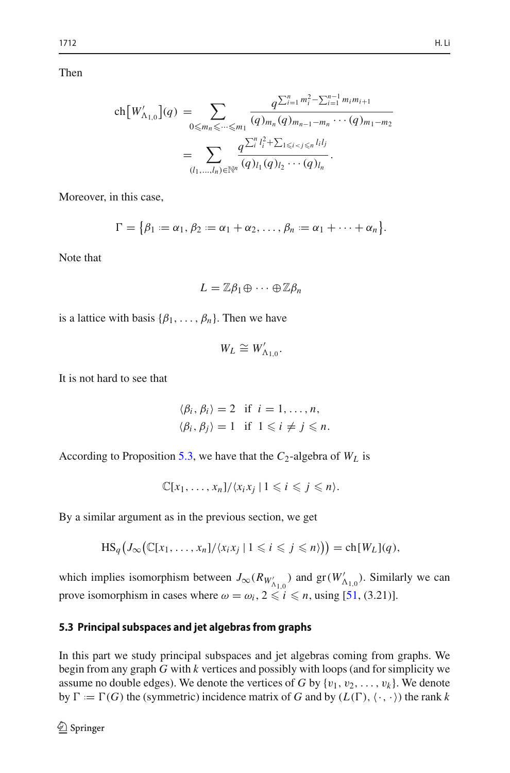Then

$$
\operatorname{ch}[W'_{\Lambda_{1,0}}](q) = \sum_{0 \le m_n \le \dots \le m_1} \frac{q^{\sum_{i=1}^n m_i^2 - \sum_{i=1}^{n-1} m_i m_{i+1}}}{(q)_{m_n} (q)_{m_{n-1} - m_n} \cdots (q)_{m_1 - m_2}}
$$

$$
= \sum_{(l_1, \dots, l_n) \in \mathbb{N}^n} \frac{q^{\sum_{i=1}^n l_i^2 + \sum_{1 \le i < j \le n} l_i l_j}}{(q)_{l_1} (q)_{l_2} \cdots (q)_{l_n}}.
$$

Moreover, in this case,

$$
(l_1,...,l_n) \in \mathbb{N}^n \xrightarrow{\alpha_1, \alpha_2, \beta_3, \gamma_4}
$$
\nIn this case,

\n
$$
\Gamma = \{ \beta_1 := \alpha_1, \beta_2 := \alpha_1 + \alpha_2, \dots, \beta_n := \alpha_1 + \dots + \alpha_n \}.
$$

Note that

$$
L=\mathbb{Z}\beta_1\oplus\cdots\oplus\mathbb{Z}\beta_n
$$

is a lattice with basis  $\{\beta_1, \ldots, \beta_n\}$ . Then we have

Ī

$$
W_L \cong W'_{\Lambda_{1,0}}.
$$

It is not hard to see that

$$
\langle \beta_i, \beta_i \rangle = 2
$$
 if  $i = 1, ..., n$ ,  
 $\langle \beta_i, \beta_j \rangle = 1$  if  $1 \leq i \neq j \leq n$ .

According to Proposition [5.3,](#page-19-2) we have that the  $C_2$ -algebra of  $W_L$  is

 $\mathbb{C}[x_1,\ldots,x_n]/\langle x_ix_j \mid 1 \leq i \leq j \leq n \rangle.$ 

By a similar argument as in the previous section, we get

$$
HS_q(J_\infty(\mathbb{C}[x_1,\ldots,x_n]/\langle x_ix_j \mid 1 \leq i \leq j \leq n \rangle)) = ch[W_L](q),
$$

which implies isomorphism between  $J_{\infty}(R_{W'_{\Lambda_{1,0}}})$  and  $gr(W'_{\Lambda_{1,0}})$ . Similarly we can prove isomorphism in cases where  $\omega = \omega_i$ ,  $2 \le i \le n$ , using [\[51,](#page-39-6) (3.21)].

## **5.3 Principal subspaces and jet algebras from graphs**

In this part we study principal subspaces and jet algebras coming from graphs. We begin from any graph *G* with *k* vertices and possibly with loops (and for simplicity we assume no double edges). We denote the vertices of *G* by  $\{v_1, v_2, \ldots, v_k\}$ . We denote by  $\Gamma := \Gamma(G)$  the (symmetric) incidence matrix of *G* and by  $(L(\Gamma), \langle \cdot, \cdot \rangle)$  the rank *k*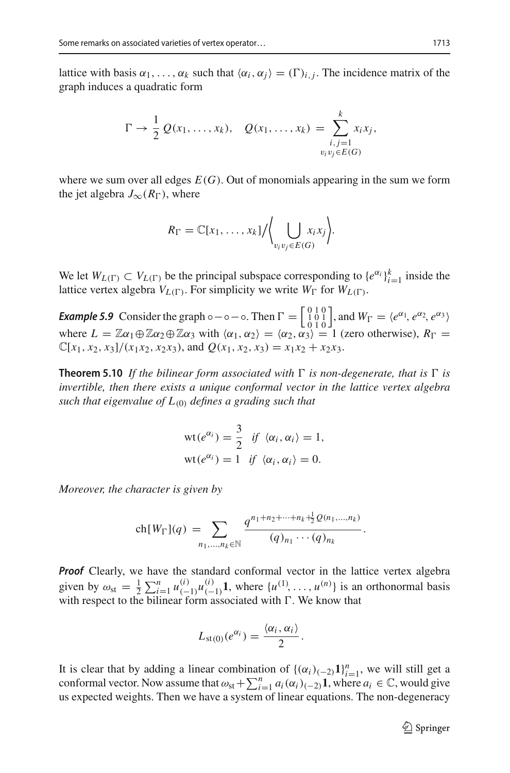lattice with basis  $\alpha_1, \ldots, \alpha_k$  such that  $\langle \alpha_i, \alpha_j \rangle = (\Gamma)_{i,j}$ . The incidence matrix of the graph induces a quadratic form<br> $\Gamma \to \frac{1}{2} Q(x_1, \ldots, x_k), Q(x_1, \ldots, x_k) = \sum_{i,j=1}^k x_i x_j$ , graph induces a quadratic form

$$
\Gamma \to \frac{1}{2} Q(x_1, ..., x_k), \quad Q(x_1, ..., x_k) = \sum_{\substack{i,j=1 \ v_i v_j \in E(G)}}^k x_i x_j,
$$

where we sum over all edges  $E(G)$ . Out of monomials appearing in the sum we form the jet algebra  $J_{\infty}(R_{\Gamma})$ , where the jet algebra  $J_{\infty}(R_{\Gamma})$ , where

$$
R_{\Gamma} = \mathbb{C}[x_1,\ldots,x_k]/\Biggl\langle \bigcup_{v_i v_j \in E(G)} x_i x_j \Biggr\rangle.
$$

We let  $W_{L(\Gamma)} \subset V_{L(\Gamma)}$  be the principal subspace corresponding to  $\{e^{\alpha_i}\}_{i=1}^k$  inside the lattice vertex algebra  $V_{L(\Gamma)}$ . For simplicity we write  $W_{\Gamma}$  for  $W_{L(\Gamma)}$ .

*Example 5.9* Consider the graph ∘−∘−◦. Then  $\Gamma = \begin{bmatrix} 0 & 1 & 0 \\ 1 & 0 & 1 \\ 0 & 1 & 0 \end{bmatrix}$  $\Big\},$  and  $W_{\Gamma} = \langle e^{\alpha_1}, e^{\alpha_2}, e^{\alpha_3} \rangle$ where  $L = \mathbb{Z}\alpha_1 \oplus \mathbb{Z}\alpha_2 \oplus \mathbb{Z}\alpha_3$  with  $\langle \alpha_1, \alpha_2 \rangle = \langle \alpha_2, \alpha_3 \rangle = 1$  (zero otherwise),  $R_{\Gamma} =$  $\mathbb{C}[x_1, x_2, x_3]/(x_1x_2, x_2x_3)$ , and  $Q(x_1, x_2, x_3) = x_1x_2 + x_2x_3$ .

<span id="page-24-0"></span>**Theorem 5.10** If the bilinear form associated with  $\Gamma$  is non-degenerate, that is  $\Gamma$  is *invertible, then there exists a unique conformal vector in the lattice vertex algebra such that eigenvalue of L*(0) *defines a grading such that*

$$
wt(e^{\alpha_i}) = \frac{3}{2} \text{ if } \langle \alpha_i, \alpha_i \rangle = 1,
$$
  

$$
wt(e^{\alpha_i}) = 1 \text{ if } \langle \alpha_i, \alpha_i \rangle = 0.
$$

*Moreover, the character is given by*

$$
a \n\begin{aligned}\n\text{aracter is given by} \\
\text{ch}[W_{\Gamma}](q) &= \sum_{n_1, \dots, n_k \in \mathbb{N}} \frac{q^{n_1 + n_2 + \dots + n_k + \frac{1}{2} Q(n_1, \dots, n_k)}}{(q)_{n_1} \cdots (q)_{n_k}}.\n\end{aligned}
$$

*Proof* Clearly, we have the standard conformal vector in the lattice vertex algebra given by  $\omega_{\text{st}} = \frac{1}{2}$  $\sum_{i=1}^{n} u_{(-1)}^{(i)} u_{(-1)}^{(i)}$ **1**, where  $\{u^{(1)}, \ldots, u^{(n)}\}$  is an orthonormal basis with respect to the bilinear form associated with  $\Gamma$ . We know that

$$
L_{\mathrm{st}(0)}(e^{\alpha_i})=\frac{\langle \alpha_i,\alpha_i\rangle}{2}.
$$

It is clear that by adding a linear combination of  $\{(\alpha_i)_{(-2)}\mathbf{1}\}_{i=1}^n$ , we will still get a  $L_{\text{st}(0)}(e^{\alpha_i}) = \frac{\langle \alpha_i, \alpha_i \rangle}{2}$ .<br>It is clear that by adding a linear combination of  $\{(\alpha_i)_{(-2)}\mathbf{1}\}_{i=1}^n$ , we will still get a conformal vector. Now assume that  $\omega_{\text{st}} + \sum_{i=1}^n a_i(\alpha_i)_{(-2)}\mathbf{1}$ , where  $a_i \in \mathbb$ us expected weights. Then we have a system of linear equations. The non-degeneracy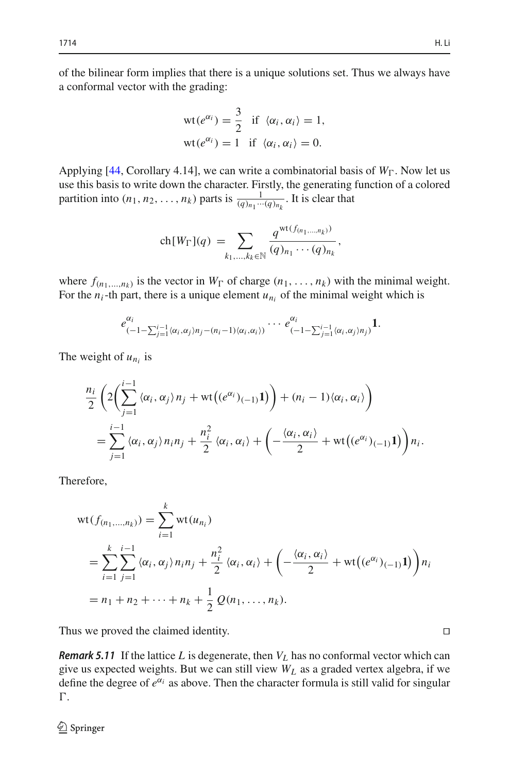of the bilinear form implies that there is a unique solutions set. Thus we always have a conformal vector with the grading:

$$
wt(e^{\alpha_i}) = \frac{3}{2} \text{ if } \langle \alpha_i, \alpha_i \rangle = 1,
$$
  

$$
wt(e^{\alpha_i}) = 1 \text{ if } \langle \alpha_i, \alpha_i \rangle = 0.
$$

Applying [\[44](#page-38-15), Corollary 4.14], we can write a combinatorial basis of  $W_{\Gamma}$ . Now let us use this basis to write down the character. Firstly, the generating function of a colored partition into  $(n_1, n_2, \ldots, n_k)$  parts is  $\frac{1}{(q)_{n_1} \cdots (q)_{n_k}}$ . It is clear that down the character. 1<br>
...,  $n_k$ ) parts is  $\frac{q}{(q)_n}$ <br>
ch $[W_{\Gamma}](q) = \sum$ 

$$
\text{ch}[W_{\Gamma}](q) = \sum_{k_1,\dots,k_k \in \mathbb{N}} \frac{q^{\text{wt}(f_{(n_1,\dots,n_k)})}}{(q)_{n_1} \cdots (q)_{n_k}},
$$

where  $f_{(n_1,...,n_k)}$  is the vector in  $W_{\Gamma}$  of charge  $(n_1,...,n_k)$  with the minimal weight.

For the 
$$
n_i
$$
-th part, there is a unique element  $u_{n_i}$  of the minimal weight which is  
\n
$$
e_{(-1-\sum_{j=1}^{i-1} \langle \alpha_i, \alpha_j \rangle n_j - (n_i-1) \langle \alpha_i, \alpha_i \rangle)}^{\alpha_i} \cdots e_{(-1-\sum_{j=1}^{i-1} \langle \alpha_i, \alpha_j \rangle n_j)}^{\alpha_i}
$$
\n1.

The weight of  $u_{n_i}$  is

weight of 
$$
u_{n_i}
$$
 is  
\n
$$
\frac{n_i}{2} \left( 2 \left( \sum_{j=1}^{i-1} \langle \alpha_i, \alpha_j \rangle n_j + \text{wt} \big( (e^{\alpha_i})_{(-1)} \mathbf{1} \big) \right) + (n_i - 1) \langle \alpha_i, \alpha_i \rangle \right)
$$
\n
$$
= \sum_{j=1}^{i-1} \langle \alpha_i, \alpha_j \rangle n_i n_j + \frac{n_i^2}{2} \langle \alpha_i, \alpha_i \rangle + \left( -\frac{\langle \alpha_i, \alpha_i \rangle}{2} + \text{wt} \big( (e^{\alpha_i})_{(-1)} \mathbf{1} \big) \right) n_i.
$$

Therefore,

$$
\begin{aligned}\n\text{refore,} \\
\text{wt}(f_{(n_1,\ldots,n_k)}) &= \sum_{i=1}^k \text{wt}(u_{n_i}) \\
&= \sum_{i=1}^k \sum_{j=1}^{i-1} \langle \alpha_i, \alpha_j \rangle n_i n_j + \frac{n_i^2}{2} \langle \alpha_i, \alpha_i \rangle + \left( -\frac{\langle \alpha_i, \alpha_i \rangle}{2} + \text{wt}\big((e^{\alpha_i})(-1)\big) \right) n_i \\
&= n_1 + n_2 + \cdots + n_k + \frac{1}{2} \mathcal{Q}(n_1, \ldots, n_k).\n\end{aligned}
$$

Thus we proved the claimed identity.

**Remark 5.11** If the lattice L is degenerate, then  $V_L$  has no conformal vector which can give us expected weights. But we can still view *WL* as a graded vertex algebra, if we define the degree of  $e^{\alpha_i}$  as above. Then the character formula is still valid for singular Г.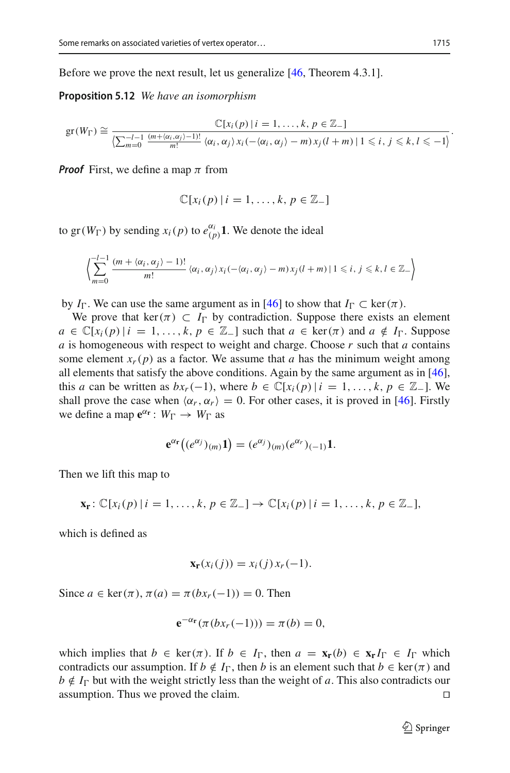Before we prove the next result, let us generalize [\[46](#page-38-20), Theorem 4.3.1].

**Proposition 5.12** *We have an isomorphism*

$$
\text{gr}(W_{\Gamma}) \cong \frac{\mathbb{C}[x_i(p) \mid i = 1, \ldots, k, p \in \mathbb{Z}_{-}]}{\left(\sum_{m=0}^{-l-1} \frac{(m + \langle \alpha_i, \alpha_j \rangle - 1)!}{m!} \langle \alpha_i, \alpha_j \rangle x_i(-\langle \alpha_i, \alpha_j \rangle - m) x_j(l+m) \mid 1 \leq i, j \leq k, l \leq -1\right)}.
$$

*Proof* First, we define a map  $\pi$  from

<span id="page-26-0"></span>
$$
\mathbb{C}[x_i(p) | i = 1, \ldots, k, p \in \mathbb{Z}_-\]
$$

to gr( $W_{\Gamma}$ ) by sending  $x_i(p)$  to  $e_{(p)}^{\alpha_i}$  1. We denote the ideal  $\frac{1}{2}$ 

$$
\left\langle \sum_{m=0}^{l-1} \frac{(m + \langle \alpha_i, \alpha_j \rangle - 1)!}{m!} \langle \alpha_i, \alpha_j \rangle x_i(-\langle \alpha_i, \alpha_j \rangle - m) x_j(l+m) | 1 \leq i, j \leq k, l \in \mathbb{Z}_-\right\rangle
$$

by  $I_{\Gamma}$ . We can use the same argument as in [\[46\]](#page-38-20) to show that  $I_{\Gamma} \subset \text{ker}(\pi)$ .

We prove that ker( $\pi$ )  $\subset I_{\Gamma}$  by contradiction. Suppose there exists an element  $a \in \mathbb{C}[x_i(p) | i = 1, \ldots, k, p \in \mathbb{Z}$  | such that  $a \in \text{ker}(\pi)$  and  $a \notin I_{\Gamma}$ . Suppose *a* is homogeneous with respect to weight and charge. Choose *r* such that *a* contains some element  $x_r(p)$  as a factor. We assume that *a* has the minimum weight among all elements that satisfy the above conditions. Again by the same argument as in [\[46](#page-38-20)], this *a* can be written as  $bx_r(-1)$ , where  $b \in \mathbb{C}[x_i(p) | i = 1, ..., k, p \in \mathbb{Z}_-]$ . We shall prove the case when  $\langle \alpha_r, \alpha_r \rangle = 0$ . For other cases, it is proved in [\[46](#page-38-20)]. Firstly we define a map  $e^{\alpha r}$  :  $W_{\Gamma} \rightarrow W_{\Gamma}$  as

$$
\mathbf{e}^{\alpha_{\mathbf{r}}}((e^{\alpha_j})_{(m)}\mathbf{1})=(e^{\alpha_j})_{(m)}(e^{\alpha_r})_{(-1)}\mathbf{1}.
$$

Then we lift this map to

$$
\mathbf{x}_{\mathbf{r}}\colon \mathbb{C}[x_i(p) \mid i=1,\ldots,k,\, p\in\mathbb{Z}_-\,]\to \mathbb{C}[x_i(p) \mid i=1,\ldots,k,\, p\in\mathbb{Z}_-\,],
$$

which is defined as

$$
\mathbf{x}_{\mathbf{r}}(x_i(j)) = x_i(j)x_r(-1).
$$

Since  $a \in \text{ker}(\pi)$ ,  $\pi(a) = \pi(bx_r(-1)) = 0$ . Then

$$
\mathbf{e}^{-\alpha_{\mathbf{r}}}(\pi(bx_{r}(-1))) = \pi(b) = 0,
$$

<span id="page-26-1"></span>which implies that  $b \in \text{ker}(\pi)$ . If  $b \in I_{\Gamma}$ , then  $a = \mathbf{x}_{\Gamma}(b) \in \mathbf{x}_{\Gamma} I_{\Gamma} \in I_{\Gamma}$  which contradicts our assumption. If  $b \notin I_{\Gamma}$ , then *b* is an element such that  $b \in \text{ker}(\pi)$  and *b* ∉ *I*<sub>D</sub> but with the weight strictly less than the weight of *a*. This also contradicts our assumption. Thus we proved the claim. assumption. Thus we proved the claim.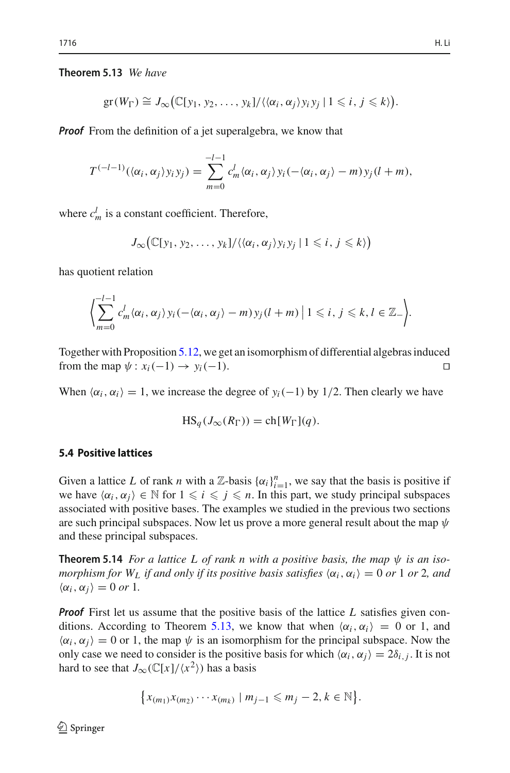$\overline{a}$ 

## **Theorem 5.13** *We have*

$$
\mathrm{gr}(W_{\Gamma}) \cong J_{\infty}(\mathbb{C}[y_1, y_2, \ldots, y_k]/\langle\langle \alpha_i, \alpha_j \rangle y_i y_j | 1 \leq i, j \leq k \rangle).
$$

*Proof* From the definition of a jet superalgebra, we know that

$$
T^{(-l-1)}(\langle \alpha_i, \alpha_j \rangle y_i y_j) = \sum_{m=0}^{-l-1} c_m^l \langle \alpha_i, \alpha_j \rangle y_i(-\langle \alpha_i, \alpha_j \rangle - m) y_j(l+m),
$$

where  $c_m^l$  is a constant coefficient. Therefore,

 $\overline{a}$ 

$$
J_{\infty}(\mathbb{C}[y_1, y_2, \ldots, y_k]/\langle\langle \alpha_i, \alpha_j \rangle y_i y_j | 1 \leq i, j \leq k \rangle)
$$

has quotient relation

$$
\left\langle \sum_{m=0}^{-l-1} c_m^l \langle \alpha_i, \alpha_j \rangle y_i(-\langle \alpha_i, \alpha_j \rangle - m) y_j(l+m) \mid 1 \leq i, j \leq k, l \in \mathbb{Z}_-\right\rangle.
$$

Together with Proposition [5.12,](#page-26-0) we get an isomorphism of differential algebras induced from the map  $\psi$  :  $x_i(-1) \rightarrow y_i(-1)$ .

When  $\langle \alpha_i, \alpha_i \rangle = 1$ , we increase the degree of  $y_i(-1)$  by 1/2. Then clearly we have

$$
HS_q(J_\infty(R_\Gamma)) = ch[W_\Gamma](q).
$$

## **5.4 Positive lattices**

Given a lattice *L* of rank *n* with a  $\mathbb{Z}$ -basis  $\{\alpha_i\}_{i=1}^n$ , we say that the basis is positive if we have  $\langle \alpha_i, \alpha_j \rangle \in \mathbb{N}$  for  $1 \leq i \leq j \leq n$ . In this part, we study principal subspaces associated with positive bases. The examples we studied in the previous two sections are such principal subspaces. Now let us prove a more general result about the map  $\psi$ and these principal subspaces.

**Theorem 5.14** *For a lattice L of rank n with a positive basis, the map*  $\psi$  *is an isomorphism for*  $W_L$  *if and only if its positive basis satisfies*  $\langle \alpha_i, \alpha_i \rangle = 0$  *or* 1 *or* 2*, and*  $\langle \alpha_i, \alpha_j \rangle = 0 \text{ or } 1.$ 

*Proof* First let us assume that the positive basis of the lattice *L* satisfies given con-ditions. According to Theorem [5.13,](#page-26-1) we know that when  $\langle \alpha_i, \alpha_i \rangle = 0$  or 1, and  $\langle \alpha_i, \alpha_j \rangle = 0$  or 1, the map  $\psi$  is an isomorphism for the principal subspace. Now the only case we need to consider is the positive basis for which  $\langle \alpha_i, \alpha_j \rangle = 2\delta_{i,j}$ . It is not hard to see that  $J_{\infty}(\mathbb{C}[x]/\langle x^2 \rangle)$  has a basis

$$
\big\{x_{(m_1)}x_{(m_2)}\cdots x_{(m_k)}\mid m_{j-1}\leqslant m_j-2, k\in\mathbb{N}\big\}.
$$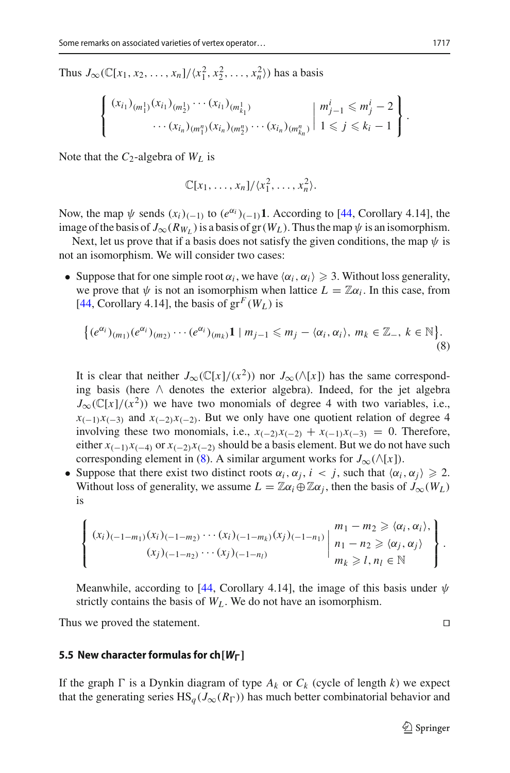Thus  $J_{\infty}(\mathbb{C}[x_1, x_2, ..., x_n]/\langle x_1^2, x_2^2, ..., x_n^2 \rangle)$  has a basis  $\mathbf{s}$ 

$$
\begin{bmatrix} (x_{i_1})_{(m_1^1)}(x_{i_1})_{(m_2^1)} \cdots (x_{i_1})_{(m_{k_1}^1)} & m_{j-1}^i \leq m_j^i - 2 \\ \cdots (x_{i_n})_{(m_1^n)}(x_{i_n})_{(m_2^n)} \cdots (x_{i_n})_{(m_{k_n}^n)} & 1 \leq j \leq k_i - 1 \end{bmatrix}.
$$

f

Note that the  $C_2$ -algebra of  $W_L$  is

⎨

$$
\mathbb{C}[x_1,\ldots,x_n]/\langle x_1^2,\ldots,x_n^2\rangle.
$$

Now, the map  $\psi$  sends  $(x_i)_{(-1)}$  to  $(e^{\alpha_i})_{(-1)}$ **1**. According to [\[44,](#page-38-15) Corollary 4.14], the image of the basis of  $J_{\infty}(R_{W_L})$  is a basis of gr( $W_L$ ). Thus the map  $\psi$  is an isomorphism.

Next, let us prove that if a basis does not satisfy the given conditions, the map  $\psi$  is not an isomorphism. We will consider two cases:

• Suppose that for one simple root  $\alpha_i$ , we have  $\langle \alpha_i, \alpha_i \rangle \geq 3$ . Without loss generality, we prove that  $\psi$  is not an isomorphism when lattice  $L = \mathbb{Z}\alpha_i$ . In this case, from [\[44,](#page-38-15) Corollary 4.14], the basis of  $gr<sup>F</sup>(W<sub>L</sub>)$  is

$$
\left\{ (e^{\alpha_i})_{(m_1)}(e^{\alpha_i})_{(m_2)}\cdots(e^{\alpha_i})_{(m_k)}\mathbf{1} \mid m_{j-1} \leq m_j - \langle \alpha_i, \alpha_i \rangle, m_k \in \mathbb{Z}_-, k \in \mathbb{N} \right\}.
$$
\n(8)

It is clear that neither  $J_{\infty}(\mathbb{C}[x]/(x^2))$  nor  $J_{\infty}(\wedge[x])$  has the same correspond-It is clear that neit<br>ing basis (here  $\wedge$ ing basis (here  $\wedge$  denotes the exterior algebra). Indeed, for the jet algebra  $J_{\infty}(\mathbb{C}[x]/(x^2))$  we have two monomials of degree 4 with two variables, i.e.,  $x_{(-1)}x_{(-3)}$  and  $x_{(-2)}x_{(-2)}$ . But we only have one quotient relation of degree 4 involving these two monomials, i.e.,  $x_{(-2)}x_{(-2)} + x_{(-1)}x_{(-3)} = 0$ . Therefore, either  $x_{(-1)}x_{(-4)}$  or  $x_{(-2)}x_{(-2)}$  should be a basis element. But we do not have such corresponding element in [\(8\)](#page-28-0). A similar argument works for  $J_{\infty}(\wedge[x])$ .

• Suppose that there exist two distinct roots  $\alpha_i$ ,  $\alpha_j$ ,  $i < j$ , such that  $\langle \alpha_i, \alpha_j \rangle \geq 2$ . Without loss of generality, we assume  $L = \mathbb{Z}\alpha_i \oplus \mathbb{Z}\alpha_j$ , then the basis of  $J_{\infty}(W_L)$ is ⎪⎩⎪⎬

$$
\begin{bmatrix}\n(x_i)_{(-1-m_1)}(x_i)_{(-1-m_2)}\cdots(x_i)_{(-1-m_k)}(x_j)_{(-1-n_1)} \\
(x_j)_{(-1-n_2)}\cdots(x_j)_{(-1-n_l)}\n\end{bmatrix}\n\begin{bmatrix}\nm_1 - m_2 \geq \langle \alpha_i, \alpha_i \rangle, \\
n_1 - n_2 \geq \langle \alpha_j, \alpha_j \rangle \\
m_k \geq l, n_l \in \mathbb{N}\n\end{bmatrix}.
$$

Meanwhile, according to [\[44,](#page-38-15) Corollary 4.14], the image of this basis under  $\psi$ strictly contains the basis of  $W_L$ . We do not have an isomorphism.

Thus we proved the statement.

## 5.5 New character formulas for ch $[W_{\Gamma}]$

If the graph  $\Gamma$  is a Dynkin diagram of type  $A_k$  or  $C_k$  (cycle of length k) we expect that the generating series  $HS_a(J_\infty(R_\Gamma))$  has much better combinatorial behavior and

<span id="page-28-0"></span>j. Ξ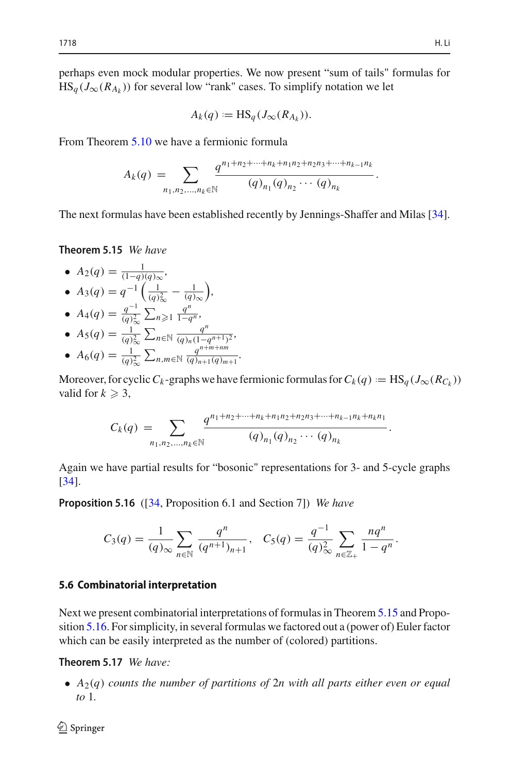.

perhaps even mock modular properties. We now present "sum of tails" formulas for  $HS_q(J_\infty(R_{A_k}))$  for several low "rank" cases. To simplify notation we let

$$
A_k(q) := \mathrm{HS}_q(J_\infty(R_{A_k})).
$$

From Theorem [5.10](#page-24-0) we have a fermionic formula

$$
A_k(q) := \text{HS}_q(J_{\infty}(K_{A_k})).
$$
  
\n
$$
A_k(q) = \sum_{n_1, n_2, \dots, n_k \in \mathbb{N}} \frac{q^{n_1 + n_2 + \dots + n_k + n_1 n_2 + n_2 n_3 + \dots + n_{k-1} n_k}}{(q)_{n_1} (q)_{n_2} \cdots (q)_{n_k}}
$$

<span id="page-29-0"></span>The next formulas have been established recently by Jennings-Shaffer and Milas [\[34](#page-38-21)].

**Theorem 5.15** *We have*

- $A_2(q) = \frac{1}{(1-q)(q)_{\infty}}$ •  $A_3(q) = q^{-1} \left( \frac{1}{(q)_{\infty}^2} - \frac{1}{(q)_{\infty}} \right)$  *,*  $\binom{q}{ }$
- $A_4(q) = \frac{q^{-1}}{(q)_{\infty}^2} \sum_{n \geqslant 0}$  $\sum_{n\geqslant1}$ *qn* <sup>1</sup>−*q<sup>n</sup> ,*  $\left( q\right)$
- $A_5(q) = \frac{1}{(q)_{\infty}^2}$  $\sum_{n \in \mathbb{N}} \frac{q^n}{(q)_n (1 - q^{n+1})^2}$
- $A_6(q) = \frac{1}{(q)_\infty^2}$  $\sum_{n,m \in \mathbb{N}} \frac{q^{n+m+nm}}{(q)_{n+1}(q)_m}$  $\frac{q}{(q)_{n+1}(q)_{m+1}}$ .

Moreover, for cyclic *C<sub>k</sub>* -graphs we have fermionic formulas for *C<sub>k</sub>* (*q*) := HS<sub>*q*</sub> (*J*<sub>∞</sub>(*R<sub>Ck</sub>*))<br>valid for  $k \ge 3$ ,<br> $C_k(q) = \sum_{(a) \ (a) \ (a) \ (b) \ (b) \ (c)}$ valid for  $k \geqslant 3$ ,

$$
C_k(q) = \sum_{n_1,n_2,\ldots,n_k \in \mathbb{N}} \frac{q^{n_1+n_2+\cdots+n_k+n_1n_2+n_2n_3+\cdots+n_{k-1}n_k+n_kn_1}}{(q)_{n_1}(q)_{n_2}\cdots(q)_{n_k}}.
$$

<span id="page-29-1"></span>Again we have partial results for "bosonic" representations for 3- and 5-cycle graphs [\[34](#page-38-21)].

**Proposition 5.16** ([\[34,](#page-38-21) Proposition 6.1 and Section 7]) *We have*

$$
C_3(q) = \frac{1}{(q)_{\infty}} \sum_{n \in \mathbb{N}} \frac{q^n}{(q^{n+1})_{n+1}}, \quad C_5(q) = \frac{q^{-1}}{(q)_{\infty}^2} \sum_{n \in \mathbb{Z}_+} \frac{nq^n}{1-q^n}.
$$

#### **5.6 Combinatorial interpretation**

Next we present combinatorial interpretations of formulas in Theorem [5.15](#page-29-0) and Proposition [5.16.](#page-29-1) For simplicity, in several formulas we factored out a (power of) Euler factor which can be easily interpreted as the number of (colored) partitions.

**Theorem 5.17** *We have:*

• *A*2(*q*) *counts the number of partitions of* 2*n with all parts either even or equal to* 1*.*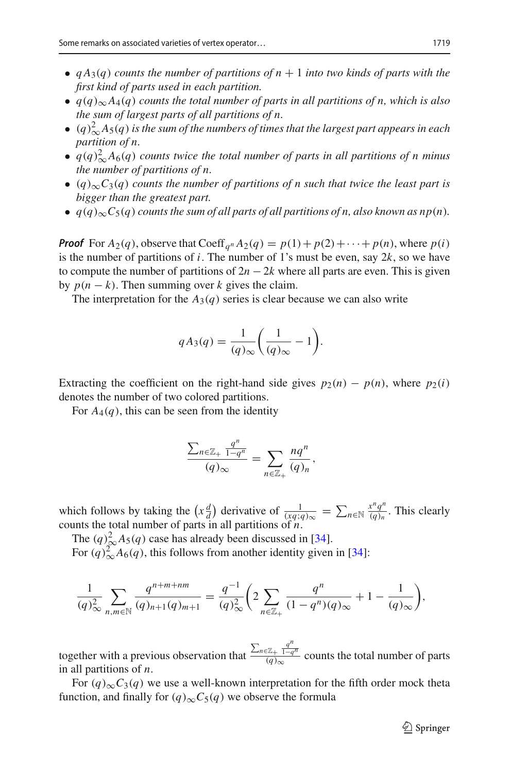- $qA_3(q)$  *counts the number of partitions of n* + 1 *into two kinds of parts with the first kind of parts used in each partition.*
- *q*(*q*)<sup>∞</sup> *A*4(*q*) *counts the total number of parts in all partitions of n, which is also the sum of largest parts of all partitions of n.*
- $\bullet$  (q)<sup>2</sup> $\Delta A_5(q)$  is the sum of the numbers of times that the largest part appears in each *partition of n.*
- $q(q)^2_{\infty}A_6(q)$  counts twice the total number of parts in all partitions of n minus *the number of partitions of n.*
- (*q*)∞*C*3(*q*) *counts the number of partitions of n such that twice the least part is bigger than the greatest part.*
- $q(q)_{\infty}C_5(q)$  counts the sum of all parts of all partitions of n, also known as  $np(n)$ .

*Proof* For  $A_2(q)$ , observe that Coeff<sub>q</sub><sup>*n*</sup> $A_2(q) = p(1) + p(2) + \cdots + p(n)$ , where  $p(i)$ is the number of partitions of *i*. The number of 1's must be even, say 2*k*, so we have to compute the number of partitions of  $2n - 2k$  where all parts are even. This is given<br>by  $p(n - k)$  Then summing over k gives the claim by  $p(n - k)$ . Then summing over *k* gives the claim.

The interpretation for the  $A_3(q)$  series is clear because we can also write

$$
qA_3(q) = \frac{1}{(q)_{\infty}} \left( \frac{1}{(q)_{\infty}} - 1 \right).
$$

Extracting the coefficient on the right-hand side gives  $p_2(n) - p(n)$ , where  $p_2(i)$ denotes the number of two colored partitions.

Eore 
$$
A_4(q)
$$
, this can be seen from the identity  
\n
$$
\frac{\sum_{n \in \mathbb{Z}_+} \frac{q^n}{1 - q^n}}{(q)_{\infty}} = \sum_{n \in \mathbb{Z}_+} \frac{nq^n}{(q)_n},
$$

 $\frac{\angle n \in \mathbb{Z}_+}{(q)_{\infty}} = \sum_{n \in \mathbb{Z}_+} \frac{nq}{(q)_n},$ <br>which follows by taking the  $(x\frac{d}{d})$  derivative of  $\frac{1}{(xq;q)_{\infty}} = \sum_{n \in \mathbb{N}} \frac{x^n q^n}{(q)_n}$ . This clearly counts the total number of parts in all partitions of *n*.

The  $(q)_{\infty}^2 A_5(q)$  case has already been discussed in [\[34](#page-38-21)].

For  $(q)_{\infty}^2 A_6(q)$ , this follows from another identity given in [\[34](#page-38-21)]:

$$
\frac{1}{(q)_{\infty}^2} \sum_{n,m \in \mathbb{N}} \frac{q^{n+m+nm}}{(q)_{n+1}(q)_{m+1}} = \frac{q^{-1}}{(q)_{\infty}^2} \left(2 \sum_{n \in \mathbb{Z}_+} \frac{q^n}{(1-q^n)(q)_{\infty}} + 1 - \frac{1}{(q)_{\infty}}\right),
$$

together with a previous observation that  $\frac{\sum_{n\in\mathbb{Z}_+} \frac{q^n}{1-q^n}}{(q)_{\infty}}$  counts the total number of parts in all partitions of *n*.

For  $(q)_{\infty}C_3(q)$  we use a well-known interpretation for the fifth order mock theta function, and finally for  $(q)_{\infty}C_5(q)$  we observe the formula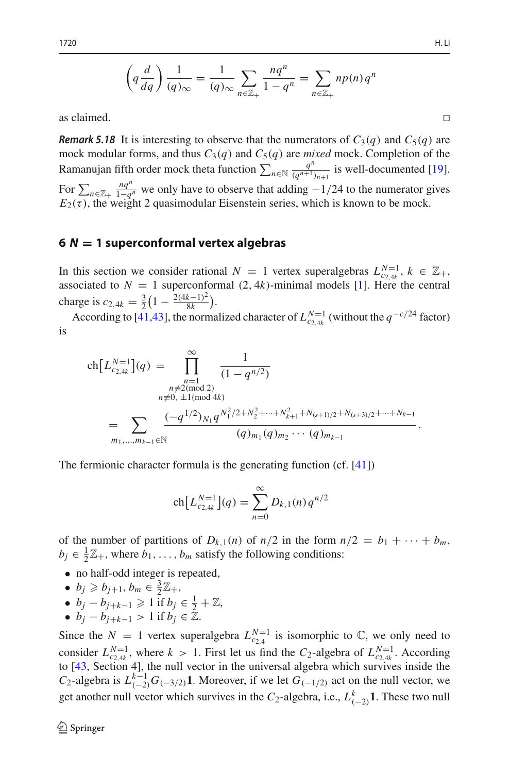$$
\left(q\frac{d}{dq}\right)\frac{1}{(q)_{\infty}} = \frac{1}{(q)_{\infty}}\sum_{n\in\mathbb{Z}_+} \frac{nq^n}{1-q^n} = \sum_{n\in\mathbb{Z}_+} n p(n) q^n
$$

as claimed.  $\Box$ 

*Remark 5.18* It is interesting to observe that the numerators of  $C_3(q)$  and  $C_5(q)$  are mock modular forms, and thus  $C_3(q)$  and  $C_5(q)$  are *mixed* mock. Completion of the as claimed. <br> **Remark 5.18** It is interesting to observe that the numerators of  $C_3(q)$  and  $C_5(q)$  are mock modular forms, and thus  $C_3(q)$  and  $C_5(q)$  are *mixed* mock. Completion of the Ramanujan fifth order mock thet **Remark 5.18** It is interesting to observe that the numerators of  $C_3(q)$  and  $C_5(q)$  are mock. Completion of the Ramanujan fifth order mock theta function  $\sum_{n \in \mathbb{N}} \frac{q^n}{(q^{n+1})_{n+1}}$  is well-documented [19]. For  $\sum$ 

# <span id="page-31-0"></span>**<sup>6</sup>** *<sup>N</sup>* **<sup>=</sup> 1 superconformal vertex algebras**

In this section we consider rational *N* = 1 vertex superalgebras  $L_{c_2,4k}^{N=1}$ ,  $k \in \mathbb{Z}_+$ , associated to  $N = 1$  superconformal  $(2, 4k)$ -minimal models [\[1](#page-37-17)]. Here the central charge is  $c_{2,4k} = \frac{3}{2} \left( 1 - \frac{2(4k-1)^2}{8k} \right)$ .

According to [\[41](#page-38-23)[,43](#page-38-24)], the normalized character of  $L_{c_2,4k}^{N=1}$  (without the  $q^{-c/24}$  factor)<br>
ch  $\left[L_{c_2,4k}^{N=1}\right](q) = \prod_{r=1}^{\infty} \frac{1}{(1-q^{n/2})^r}$ is

$$
\operatorname{ch}\left[L_{c_2,4k}^{N=1}\right](q) = \prod_{\substack{n=1 \ n \neq 2 \pmod{2} \\ n \neq 0, \ \pm 1 \pmod{4k} \\ n \neq 0, \ \pm 1 \pmod{4k}}} \frac{1}{(1 - q^{n/2})}
$$
\n
$$
= \sum_{m_1, \dots, m_{k-1} \in \mathbb{N}} \frac{(-q^{1/2})_{N_1} q^{N_1^2/2 + N_2^2 + \dots + N_{k+1}^2 + N_{(s+1)/2} + N_{(s+3)/2} + \dots + N_{k-1}}}{(q)_{m_1} (q)_{m_2} \cdots (q)_{m_{k-1}}}
$$

The fermionic character formula is the generating function (cf. [\[41](#page-38-23)])

formula is the generating function  
\n
$$
\operatorname{ch}\left[L_{c_{2,4k}}^{N=1}\right](q) = \sum_{n=0}^{\infty} D_{k,1}(n) q^{n/2}
$$

of the number of partitions of  $D_{k,1}(n)$  of  $n/2$  in the form  $n/2 = b_1 + \cdots + b_m$ ,  $b_j \in \frac{1}{2}\mathbb{Z}_+$ , where  $b_1, \ldots, b_m$  satisfy the following conditions:

- no half-odd integer is repeated,
- $b_j \geq b_{j+1}, b_m \in \frac{3}{2}\mathbb{Z}_+,$
- $b_j b_{j+k-1} \geq 1$  if  $b_j \in \frac{1}{2} + \mathbb{Z}$ ,
- $b_j b_{j+k-1} > 1$  if  $b_j \in \mathbb{Z}$ .

Since the  $N = 1$  vertex superalgebra  $L_{c_2,4}^{N=1}$  is isomorphic to  $\mathbb{C}$ , we only need to consider  $L_{c_{2,4k}}^{N=1}$ , where  $k > 1$ . First let us find the  $C_2$ -algebra of  $L_{c_{2,4k}}^{N=1}$ . According to [\[43,](#page-38-24) Section 4], the null vector in the universal algebra which survives inside the *C*<sub>2</sub>-algebra is  $L_{(-2)}^{k-1}G_{(-3/2)}\mathbf{1}$ . Moreover, if we let  $G_{(-1/2)}$  act on the null vector, we get another null vector which survives in the *C*<sub>2</sub>-algebra, i.e.,  $L_{(-2)}^k \mathbf{1}$ . These two null

.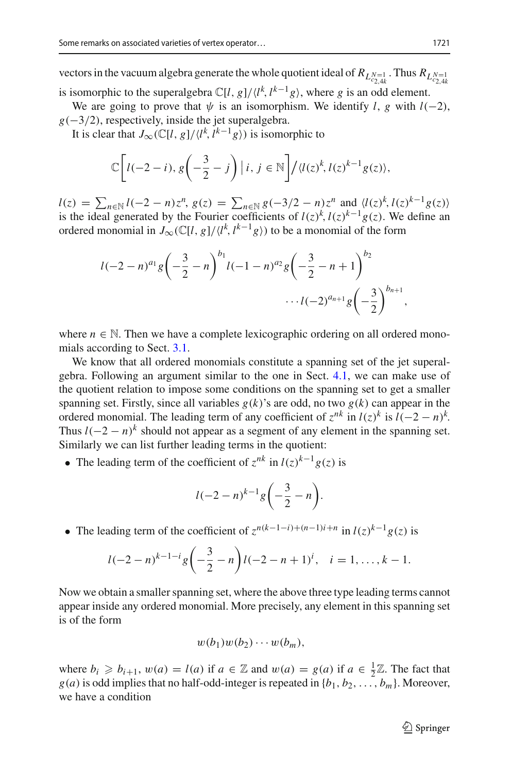vectors in the vacuum algebra generate the whole quotient ideal of  $R_{L_{c_{2,4k}}^{N=1}}$ . Thus  $R_{L_{c_{2,4k}}^{N=1}}$ is isomorphic to the superalgebra  $\mathbb{C}[l, g]/\langle l^k, l^{k-1}g \rangle$ , where *g* is an odd element.

We are going to prove that  $\psi$  is an isomorphism. We identify *l*, *g* with *l*(−2),  $g(-3/2)$ , respectively, inside the jet superalgebra.

It is clear that  $J_{\infty}(\mathbb{C}[l, g]/\langle l^k, l^{k-1}g \rangle)$  is isomorphic to

$$
\mathbb{C}\bigg[l(-2-i), g\bigg(-\frac{3}{2}-j\bigg)\,|\,i, j \in \mathbb{N}\bigg] / \langle l(z)^k, l(z)^{k-1}g(z) \rangle,
$$
\n
$$
l(z) = \sum_{n \in \mathbb{N}} l(-2-n)z^n, g(z) = \sum_{n \in \mathbb{N}} g(-3/2-n)z^n \text{ and } \langle l(z)^k, l(z)^{k-1}g(z) \rangle
$$

is the ideal generated by the Fourier coefficients of  $l(z)^k$ ,  $l(z)^{k-1}g(z)$ . We define an ordered monomial in  $J_{\infty}(\mathbb{C}[l, g]/\langle l^k, l^{k-1}g \rangle)$  to be a monomial of the form

$$
l(-2-n)^{a_1}g\left(-\frac{3}{2}-n\right)^{b_1}l(-1-n)^{a_2}g\left(-\frac{3}{2}-n+1\right)^{b_2}\cdots l(-2)^{a_{n+1}}g\left(-\frac{3}{2}\right)^{b_{n+1}},
$$

where  $n \in \mathbb{N}$ . Then we have a complete lexicographic ordering on all ordered monomials according to Sect. [3.1.](#page-8-1)

We know that all ordered monomials constitute a spanning set of the jet superalgebra. Following an argument similar to the one in Sect. [4.1,](#page-14-0) we can make use of the quotient relation to impose some conditions on the spanning set to get a smaller spanning set. Firstly, since all variables  $g(k)$ 's are odd, no two  $g(k)$  can appear in the ordered monomial. The leading term of any coefficient of  $z^{nk}$  in  $l(z)^k$  is  $l(-2 - n)^k$ . Thus  $l(-2 - n)^k$  should not appear as a segment of any element in the spanning set. Similarly we can list further leading terms in the quotient:

• The leading term of the coefficient of  $z^{nk}$  in  $l(z)^{k-1}g(z)$  is

$$
l(-2-n)^{k-1}g\biggl(-\frac{3}{2}-n\biggr).
$$

• The leading term of the coefficient of  $z^{n(k-1-i)+(n-1)i+n}$  in  $l(z)^{k-1}g(z)$  is

$$
l(-2-n)^{k-1-i}g\left(-\frac{3}{2}-n\right)l(-2-n+1)^i, \quad i=1,\ldots,k-1.
$$

Now we obtain a smaller spanning set, where the above three type leading terms cannot appear inside any ordered monomial. More precisely, any element in this spanning set is of the form

$$
w(b_1)w(b_2)\cdots w(b_m),
$$

where  $b_i \geq b_{i+1}$ ,  $w(a) = l(a)$  if  $a \in \mathbb{Z}$  and  $w(a) = g(a)$  if  $a \in \frac{1}{2}\mathbb{Z}$ . The fact that  $g(a)$  is odd implies that no half-odd-integer is repeated in  $\{b_1, b_2, \ldots, b_m\}$ . Moreover, we have a condition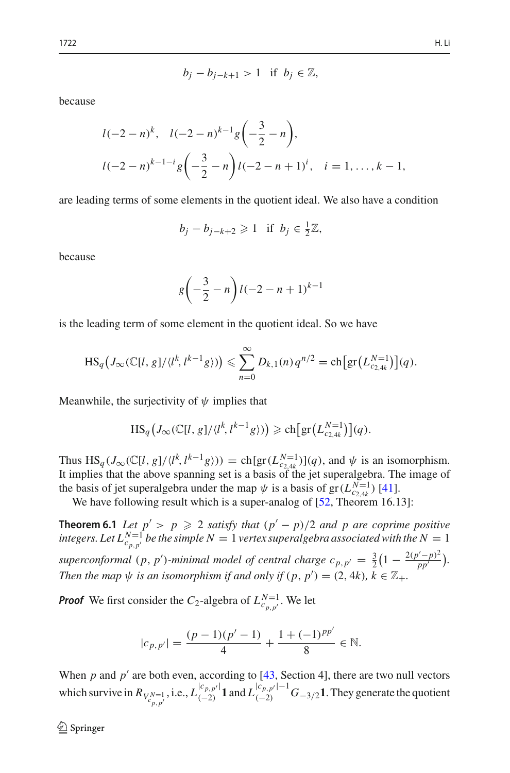$$
b_j - b_{j-k+1} > 1 \quad \text{if} \quad b_j \in \mathbb{Z},
$$

because

$$
l(-2-n)^{k}, \quad l(-2-n)^{k-1}g\left(-\frac{3}{2}-n\right),
$$
  

$$
l(-2-n)^{k-1-i}g\left(-\frac{3}{2}-n\right)l(-2-n+1)^{i}, \quad i=1,\ldots,k-1,
$$

are leading terms of some elements in the quotient ideal. We also have a condition

$$
b_j - b_{j-k+2} \geqslant 1 \quad \text{if} \quad b_j \in \frac{1}{2}\mathbb{Z},
$$

because

$$
g\left(-\frac{3}{2} - n\right)l(-2 - n + 1)^{k-1}
$$

is the leading term of some element in the quotient ideal. So we have

leading term of some element in the quotient ideal. So we have  
\n
$$
HS_q(J_\infty(\mathbb{C}[l, g]/\langle l^k, l^{k-1}g \rangle)) \leq \sum_{n=0}^\infty D_{k,1}(n) q^{n/2} = ch\big[\text{gr}\big(L_{c_2, 4k}^{N-1}\big)\big](q).
$$

Meanwhile, the surjectivity of  $\psi$  implies that

$$
\overline{n=0}
$$
  
 
$$
\text{ surjectivity of } \psi \text{ implies that}
$$
  

$$
\text{HS}_q\left(J_{\infty}(\mathbb{C}[l, g]/\langle l^k, l^{k-1}g \rangle)\right) \geqslant \text{ch}\big[\text{gr}\big(L_{c_{2,4k}}^{N=1}\big)\big](q).
$$

Thus  $\text{HS}_q(J_\infty(\mathbb{C}[l, g]/\langle l^k, l^{k-1}g \rangle)) = \text{ch}[\text{gr}(L_{c_{2,4k}}^{N=1})](q)$ , and  $\psi$  is an isomorphism. It implies that the above spanning set is a basis of the jet superalgebra. The image of the basis of jet superalgebra under the map  $\psi$  is a basis of gr( $L_{c_2,4k}^{N=1}$ ) [\[41](#page-38-23)].

We have following result which is a super-analog of [\[52,](#page-39-0) Theorem 16.13]:

**Theorem 6.1** *Let*  $p' > p \ge 2$  *satisfy that*  $(p' - p)/2$  *and p* are coprime positive *integers. Let*  $L_{c_{p,p'}}^{N=1}$  *be the simple N* = 1 *vertex superalgebra associated with the N* = 1 superconformal (*p*, *p*')-minimal model of central charge  $c_{p,p'} = \frac{3}{2} \left(1 - \frac{2(p'-p)^2}{pp'}\right)$ . *Then the map*  $\psi$  *is an isomorphism if and only if*  $(p, p') = (2, 4k)$ *,*  $k \in \mathbb{Z}_+$ *.* 

*Proof* We first consider the *C*<sub>2</sub>-algebra of  $L_{c,p,p'}^{N=1}$ . We let

$$
|c_{p,p'}| = \frac{(p-1)(p'-1)}{4} + \frac{1+(-1)^{pp'}}{8} \in \mathbb{N}.
$$

When  $p$  and  $p'$  are both even, according to [\[43](#page-38-24), Section 4], there are two null vectors which survive in  $R_{V_{c_{p,p'}}^{N=1}}$ , i.e.,  $L_{(-2)}^{|c_{p,p'}|} 1$  and  $L_{(-2)}^{|c_{p,p'}|-1} G_{-3/2} 1$ . They generate the quotient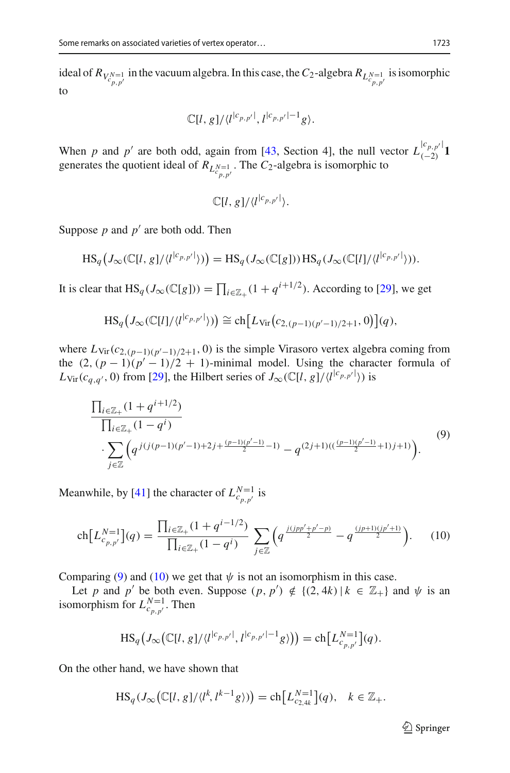ideal of  $R_{V_{c_p,p'}^{N=1}}$  in the vacuum algebra. In this case, the  $C_2$ -algebra  $R_{L_{c_p,p'}^{N=1}}$  is isomorphic to

$$
\mathbb{C}[l,g]/\langle l^{|c_{p,p'}|},l^{|c_{p,p'}|-1}g\rangle.
$$

When *p* and *p'* are both odd, again from [\[43](#page-38-24), Section 4], the null vector  $L_{(-2)}^{[c_{p,p'}]}$  **1** generates the quotient ideal of  $R_{L_{c_{p,p'}}^{N=1}}$ . The  $C_2$ -algebra is isomorphic to

<span id="page-34-0"></span>
$$
\mathbb{C}[l,g]/\langle l^{|c_{p,p'}|}\rangle.
$$

Suppose  $p$  and  $p'$  are both odd. Then

Suppose *p* and *p* are both odd. Then  
\n
$$
HS_q(J_{\infty}(\mathbb{C}[l, g]/\langle l^{c_{p,p'}l} \rangle)) = HS_q(J_{\infty}(\mathbb{C}[g])) HS_q(J_{\infty}(\mathbb{C}[l]/\langle l^{c_{p,p'}l} \rangle)).
$$
\nIt is clear that  $HS_q(J_{\infty}(\mathbb{C}[g])) = \prod_{i \in \mathbb{Z}_+} (1 + q^{i+1/2})$ . According to [29], we get

that 
$$
HS_q(J_\infty(\mathbb{C}[g])) = \prod_{i \in \mathbb{Z}_+} (1 + q^{i+1/2}).
$$
 According to [29],  

$$
HS_q(J_\infty(\mathbb{C}[g])) = \prod_{i \in \mathbb{Z}_+} (1 + q^{i+1/2}).
$$
 According to [29],  

$$
HS_q(J_\infty(\mathbb{C}[l]/\langle l^{[c_{p,p'}]}\rangle)) \cong ch[Lv_{ir}(c_{2,(p-1)(p'-1)/2+1}, 0)](q),
$$

where  $L_{\text{Vir}}(c_{2,(p-1)(p'-1)/2+1}, 0)$  is the simple Virasoro vertex algebra coming from the  $(2, (p-1)(p'-1)/2 + 1)$ -minimal model. Using the character formula of  $L_{\text{Vir}}(c_{q,q'}, 0)$  from [\[29](#page-38-25)], the Hilbert series of  $J_{\infty}(\mathbb{C}[l, g]/\langle l^{(c_{p,p'}|}) \rangle)$  is

$$
\frac{\prod_{i\in\mathbb{Z}_+}(1+q^{i+1/2})}{\prod_{i\in\mathbb{Z}_+}(1-q^i)} \cdot \sum_{j\in\mathbb{Z}} \left(q^{j(j(p-1)(p^{\prime}-1)+2j+\frac{(p-1)(p^{\prime}-1)}{2}-1)}-q^{(2j+1)((\frac{(p-1)(p^{\prime}-1)}{2}+1)j+1)}\right).
$$
\n(9)

Meanwhile, by [\[41](#page-38-23)] the character of  $L_{c_{p,p'}}^{N=1}$  is

anwhile, by [41] the character of 
$$
L_{c_{p,p'}}^{N=1}
$$
 is  
\n
$$
\text{ch}\left[L_{c_{p,p'}}^{N=1}\right](q) = \frac{\prod_{i \in \mathbb{Z}_+} (1 + q^{i-1/2})}{\prod_{i \in \mathbb{Z}_+} (1 - q^i)} \sum_{j \in \mathbb{Z}} \left(q^{\frac{j(jpp' + p' - p)}{2}} - q^{\frac{(jp+1)(jp' + 1)}{2}}\right).
$$
\n(10)

Comparing [\(9\)](#page-34-0) and [\(10\)](#page-34-1) we get that  $\psi$  is not an isomorphism in this case.

Let *p* and *p'* be both even. Suppose  $(p, p') \notin \{(2, 4k) | k \in \mathbb{Z}_+\}$  and  $\psi$  is an morphism for  $L_{c_{p,p'}}^{N=1}$ . Then<br>  $\text{HS}_q\big(\int_{-\infty}^{\infty}(|U_{\alpha}|g|/ \langle l^{[c_{p,p'}]}, l^{[c_{p,p'}]-1}g \rangle\big) = \text{ch}\big[L_{c_{p,p'}}^{N=1}\big](q)$ . isomorphism for  $L_{c_{p,p'}}^{N=1}$ . Then

<span id="page-34-1"></span>
$$
\mathrm{HS}_q\big(J_{\infty}\big(\mathbb{C}[l,g]/\langle l^{c_{p,p'}|},l^{c_{p,p'}|-1}g\rangle\big)\big)=\mathrm{ch}\big[L^{N=1}_{c_{p,p'}}\big](q).
$$

On the other hand, we have shown that

$$
\begin{aligned} \text{HS}_q\big(J_{\infty}(\mathbb{C}[l, g]/\langle l^{p,p,q}, l^{p,p,p+1} \rangle g)\big) &= \text{cn}[L_{c_{p,p'}}^{\circ}] \{q\}. \\\\ \text{hand, we have shown that} \\\\ \text{HS}_q\big(J_{\infty}\big(\mathbb{C}[l, g]/\langle l^k, l^{k-1}g \rangle\big)\big) &= \text{ch}\big[L_{c_{2,4k}}^{N=1}\big] \{q\}, \quad k \in \mathbb{Z}_+. \end{aligned}
$$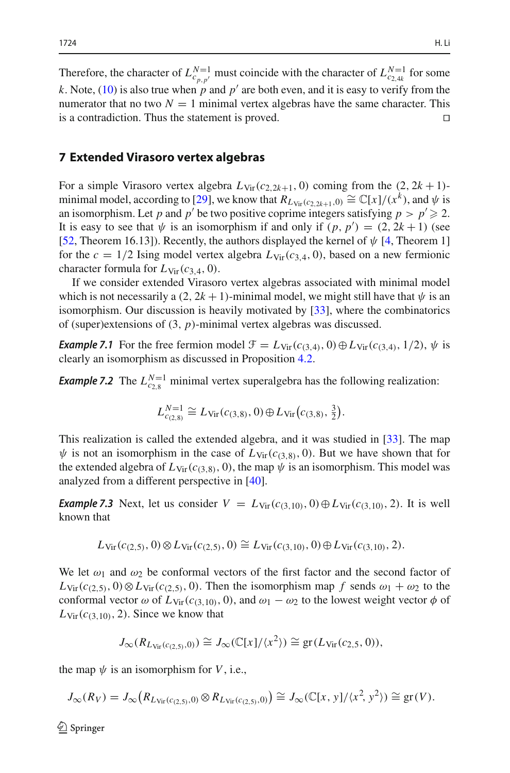Therefore, the character of  $L_{c_{p,p'}}^{N=1}$  must coincide with the character of  $L_{c_{2,4k}}^{N=1}$  for some *k*. Note, [\(10\)](#page-34-1) is also true when *p* and  $p'$  are both even, and it is easy to verify from the numerator that no two  $N = 1$  minimal vertex algebras have the same character. This is a contradiction. Thus the statement is proved is a contradiction. Thus the statement is proved.

## <span id="page-35-0"></span>**7 Extended Virasoro vertex algebras**

For a simple Virasoro vertex algebra  $L_{\text{Vir}}(c_{2,2k+1}, 0)$  coming from the  $(2, 2k+1)$ -minimal model, according to [\[29](#page-38-25)], we know that  $R_{L_{\text{Vir}}(c_2,2k+1,0)} \cong \mathbb{C}[x]/(x^k)$ , and  $\psi$  is an isomorphism. Let *p* and *p'* be two positive coprime integers satisfying  $p > p' \ge 2$ . It is easy to see that  $\psi$  is an isomorphism if and only if  $(p, p') = (2, 2k + 1)$  (see [\[52](#page-39-0), Theorem 16.13]). Recently, the authors displayed the kernel of  $\psi$  [\[4,](#page-37-10) Theorem 1] for the  $c = 1/2$  Ising model vertex algebra  $L_{\text{Vir}}(c_{3,4}, 0)$ , based on a new fermionic character formula for  $L_{\text{Vir}}(c_{3,4}, 0)$ .

If we consider extended Virasoro vertex algebras associated with minimal model which is not necessarily a  $(2, 2k + 1)$ -minimal model, we might still have that  $\psi$  is an isomorphism. Our discussion is heavily motivated by [\[33\]](#page-38-26), where the combinatorics of (super)extensions of (3, *p*)-minimal vertex algebras was discussed.

*Example 7.1* For the free fermion model  $\mathcal{F} = L_{\text{Vir}}(c_{(3,4)}, 0) \oplus L_{\text{Vir}}(c_{(3,4)}, 1/2), \psi$  is clearly an isomorphism as discussed in Proposition [4.2.](#page-9-1)

*Example 7.2* The  $L_{c_{2,8}}^{N=1}$  minimal vertex superalgebra has the following realization:

sm as discussed in Proposition 4.2.  
\n<sup>=1</sup> minimal vertex superalgebra has the f  
\n
$$
L_{c_{(2,8)}}^{N=1} \cong L_{\text{Vir}}(c_{(3,8)}, 0) \oplus L_{\text{Vir}}(c_{(3,8)}, \frac{3}{2}).
$$

This realization is called the extended algebra, and it was studied in [\[33](#page-38-26)]. The map  $\psi$  is not an isomorphism in the case of  $L_{\text{Vir}}(c_{(3,8)}, 0)$ . But we have shown that for the extended algebra of  $L_{\text{Vir}}(c_{(3,8)}, 0)$ , the map  $\psi$  is an isomorphism. This model was analyzed from a different perspective in [\[40\]](#page-38-27).

*Example 7.3* Next, let us consider  $V = L_{\text{Vir}}(c_{(3,10)}, 0) \oplus L_{\text{Vir}}(c_{(3,10)}, 2)$ . It is well known that

$$
L_{\text{Vir}}(c_{(2,5)},0)\otimes L_{\text{Vir}}(c_{(2,5)},0)\cong L_{\text{Vir}}(c_{(3,10)},0)\oplus L_{\text{Vir}}(c_{(3,10)},2).
$$

We let  $\omega_1$  and  $\omega_2$  be conformal vectors of the first factor and the second factor of  $L_{\text{Vir}}(c_{(2,5)}, 0) \otimes L_{\text{Vir}}(c_{(2,5)}, 0)$ . Then the isomorphism map *f* sends  $\omega_1 + \omega_2$  to the conformal vector  $\omega$  of  $L_{Vir}(c_{(3,10)}, 0)$ , and  $\omega_1 - \omega_2$  to the lowest weight vector  $\phi$  of  $L_{\text{Vir}}(c_{(3,10)}, 2)$ . Since we know that

$$
J_{\infty}(R_{L_{\mathrm{Vir}}(c_{(2,5)},0)}) \cong J_{\infty}(\mathbb{C}[x]/\langle x^2 \rangle) \cong \mathrm{gr}(L_{\mathrm{Vir}}(c_{2,5},0)),
$$

the map  $\psi$  is an isomorphism for V, i.e.,

$$
J_{\infty}(R_V) = J_{\infty}\big(R_{L_{\text{Vir}}(c_{(2,5)},0)} \otimes R_{L_{\text{Vir}}(c_{(2,5)},0)}\big) \cong J_{\infty}(\mathbb{C}[x, y]/\langle x^2, y^2 \rangle) \cong \text{gr}(V).
$$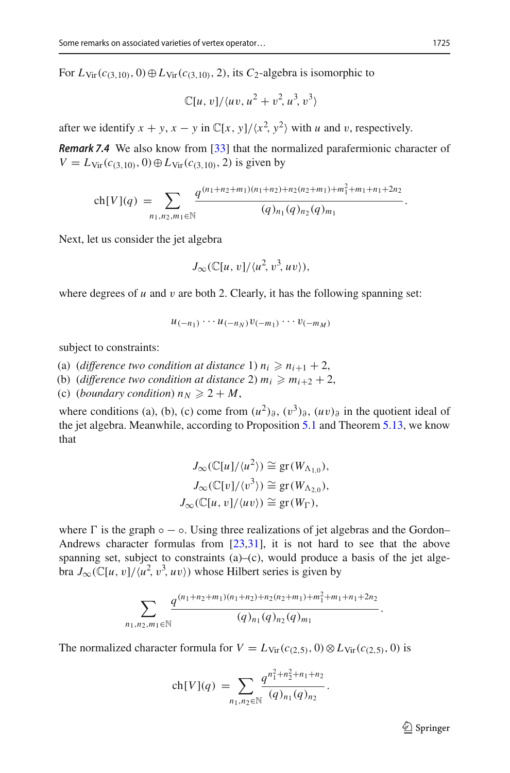For  $L_{\text{Vir}}(c_{(3,10)}, 0) \oplus L_{\text{Vir}}(c_{(3,10)}, 2)$ , its  $C_2$ -algebra is isomorphic to

$$
\mathbb{C}[u,v]/\langle uv, u^2+v^2, u^3, v^3\rangle
$$

after we identify  $x + y$ ,  $x - y$  in  $\mathbb{C}[x, y]/\langle x^2, y^2 \rangle$  with *u* and *v*, respectively.

*Remark 7.4* We also know from [\[33\]](#page-38-26) that the normalized parafermionic character of<br>  $V = L_{\text{Vir}}(c_{(3,10)}, 0) \oplus L_{\text{Vir}}(c_{(3,10)}, 2)$  is given by<br>  $\text{ch}[V](q) = \sum \frac{q^{(n_1+n_2+m_1)(n_1+n_2)+n_2(n_2+m_1)+m_1^2+m_1+n_1+2n_2}}{(q)_n (q)_n (q)_n}.$  $V = L_{\text{Vir}}(c_{(3,10)}, 0) \oplus L_{\text{Vir}}(c_{(3,10)}, 2)$  is given by

$$
\operatorname{ch}[V](q) = \sum_{n_1, n_2, m_1 \in \mathbb{N}} \frac{q^{(n_1+n_2+m_1)(n_1+n_2)+n_2(n_2+m_1)+m_1^2+m_1+n_1+2n_2}}{(q)_{n_1}(q)_{n_2}(q)_{m_1}}.
$$

Next, let us consider the jet algebra

$$
J_{\infty}(\mathbb{C}[u,v]/\langle u^2,v^3,uv\rangle),
$$

where degrees of  $u$  and  $v$  are both 2. Clearly, it has the following spanning set:

$$
u_{(-n_1)}\cdots u_{(-n_N)}v_{(-m_1)}\cdots v_{(-m_M)}
$$

subject to constraints:

- (a) (*difference two condition at distance* 1)  $n_i \geq n_{i+1} + 2$ ,
- (b) (*difference two condition at distance* 2)  $m_i \geq m_{i+2} + 2$ ,
- (c) (*boundary condition*)  $n_N \geqslant 2 + M$ ,

where conditions (a), (b), (c) come from  $(u^2)_{\partial}$ ,  $(v^3)_{\partial}$ ,  $(uv)_{\partial}$  in the quotient ideal of the jet algebra. Meanwhile, according to Proposition [5.1](#page-19-3) and Theorem [5.13,](#page-26-1) we know that

$$
J_{\infty}(\mathbb{C}[u]/\langle u^2 \rangle) \cong \text{gr}(W_{\Lambda_{1,0}}),
$$
  
\n
$$
J_{\infty}(\mathbb{C}[v]/\langle v^3 \rangle) \cong \text{gr}(W_{\Lambda_{2,0}}),
$$
  
\n
$$
J_{\infty}(\mathbb{C}[u, v]/\langle uv \rangle) \cong \text{gr}(W_{\Gamma}),
$$

where  $\Gamma$  is the graph  $\circ$  −  $\circ$ . Using three realizations of jet algebras and the Gordon– Andrews character formulas from [\[23](#page-38-16)[,31](#page-38-9)], it is not hard to see that the above spanning set, subject to constraints (a)–(c), would produce a basis of the jet algebra  $J_{\infty}(\mathbb{C}[u, v]/\langle u^2, v^3, uv \rangle)$  whose Hilbert series is given by

$$
\sum_{n_1,n_2,m_1\in\mathbb{N}}\frac{q^{(n_1+n_2+m_1)(n_1+n_2)+n_2(n_2+m_1)+m_1^2+m_1+n_1+2n_2}}{(q)_{n_1}(q)_{n_2}(q)_{m_1}}.
$$

The normalized character formula for  $V = L_{\text{Vir}}(c_{(2,5)}, 0) \otimes L_{\text{Vir}}(c_{(2,5)}, 0)$  is

$$
\text{or formula for } V = L_{\text{Vir}}(c_{(2,5)}, 0) \in \text{ch}[V](q) = \sum_{n_1, n_2 \in \mathbb{N}} \frac{q^{n_1^2 + n_2^2 + n_1 + n_2}}{(q)_{n_1} (q)_{n_2}}.
$$

 $\mathcal{D}$  Springer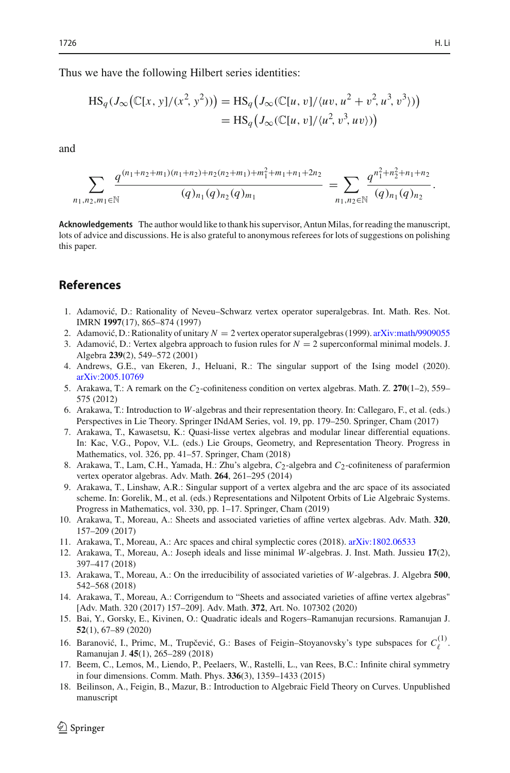Thus we have the following Hilbert series identities:  $\cdot$ 

we have the following Hilbert series identities:  
\n
$$
HS_q(J_\infty(\mathbb{C}[x, y]/(x^2, y^2))) = HS_q(J_\infty(\mathbb{C}[u, v]/\langle uv, u^2 + v^2, u^3, v^3 \rangle))
$$
\n
$$
= HS_q(J_\infty(\mathbb{C}[u, v]/\langle u^2, v^3, uv \rangle))
$$

and

$$
\sum_{n_1, n_2, m_1 \in \mathbb{N}} \frac{q^{(n_1+n_2+m_1)(n_1+n_2)+n_2(n_2+m_1)+m_1^2+m_1+n_1+2n_2}}{(q)_{n_1}(q)_{n_2}(q)_{m_1}} = \sum_{n_1, n_2 \in \mathbb{N}} \frac{q^{n_1^2+n_2^2+n_1+n_2}}{(q)_{n_1}(q)_{n_2}}.
$$

**Acknowledgements** The author would like to thank his supervisor, Antun Milas, for reading the manuscript, lots of advice and discussions. He is also grateful to anonymous referees for lots of suggestions on polishing this paper.

## **References**

- <span id="page-37-17"></span>1. Adamović, D.: Rationality of Neveu–Schwarz vertex operator superalgebras. Int. Math. Res. Not. IMRN **1997**(17), 865–874 (1997)
- <span id="page-37-13"></span>2. Adamović, D.: Rationality of unitary  $N = 2$  vertex operator superalgebras (1999). [arXiv:math/9909055](http://arxiv.org/abs/math/9909055)
- <span id="page-37-14"></span>3. Adamović, D.: Vertex algebra approach to fusion rules for  $N = 2$  superconformal minimal models. J. Algebra **239**(2), 549–572 (2001)
- <span id="page-37-10"></span>4. Andrews, G.E., van Ekeren, J., Heluani, R.: The singular support of the Ising model (2020). [arXiv:2005.10769](http://arxiv.org/abs/2005.10769)
- <span id="page-37-1"></span>5. Arakawa, T.: A remark on the  $C_2$ -cofiniteness condition on vertex algebras. Math. Z. 270(1–2), 559– 575 (2012)
- <span id="page-37-11"></span>6. Arakawa, T.: Introduction to *W*-algebras and their representation theory. In: Callegaro, F., et al. (eds.) Perspectives in Lie Theory. Springer INdAM Series, vol. 19, pp. 179–250. Springer, Cham (2017)
- <span id="page-37-5"></span>7. Arakawa, T., Kawasetsu, K.: Quasi-lisse vertex algebras and modular linear differential equations. In: Kac, V.G., Popov, V.L. (eds.) Lie Groups, Geometry, and Representation Theory. Progress in Mathematics, vol. 326, pp. 41–57. Springer, Cham (2018)
- <span id="page-37-12"></span>8. Arakawa, T., Lam, C.H., Yamada, H.: Zhu's algebra,  $C_2$ -algebra and  $C_2$ -cofiniteness of parafermion vertex operator algebras. Adv. Math. **264**, 261–295 (2014)
- <span id="page-37-8"></span>9. Arakawa, T., Linshaw, A.R.: Singular support of a vertex algebra and the arc space of its associated scheme. In: Gorelik, M., et al. (eds.) Representations and Nilpotent Orbits of Lie Algebraic Systems. Progress in Mathematics, vol. 330, pp. 1–17. Springer, Cham (2019)
- <span id="page-37-2"></span>10. Arakawa, T., Moreau, A.: Sheets and associated varieties of affine vertex algebras. Adv. Math. **320**, 157–209 (2017)
- <span id="page-37-7"></span>11. Arakawa, T., Moreau, A.: Arc spaces and chiral symplectic cores (2018). [arXiv:1802.06533](http://arxiv.org/abs/1802.06533)
- <span id="page-37-3"></span>12. Arakawa, T., Moreau, A.: Joseph ideals and lisse minimal *W*-algebras. J. Inst. Math. Jussieu **17**(2), 397–417 (2018)
- <span id="page-37-4"></span>13. Arakawa, T., Moreau, A.: On the irreducibility of associated varieties of *W*-algebras. J. Algebra **500**, 542–568 (2018)
- <span id="page-37-9"></span>14. Arakawa, T., Moreau, A.: Corrigendum to "Sheets and associated varieties of affine vertex algebras" [Adv. Math. 320 (2017) 157–209]. Adv. Math. **372**, Art. No. 107302 (2020)
- <span id="page-37-16"></span>15. Bai, Y., Gorsky, E., Kivinen, O.: Quadratic ideals and Rogers–Ramanujan recursions. Ramanujan J. **52**(1), 67–89 (2020)
- <span id="page-37-15"></span>16. Baranović, I., Primc, M., Trupčević, G.: Bases of Feigin–Stoyanovsky's type subspaces for  $C_{\ell}^{(1)}$ . Ramanujan J. **45**(1), 265–289 (2018)
- <span id="page-37-6"></span>17. Beem, C., Lemos, M., Liendo, P., Peelaers, W., Rastelli, L., van Rees, B.C.: Infinite chiral symmetry in four dimensions. Comm. Math. Phys. **336**(3), 1359–1433 (2015)
- <span id="page-37-0"></span>18. Beilinson, A., Feigin, B., Mazur, B.: Introduction to Algebraic Field Theory on Curves. Unpublished manuscript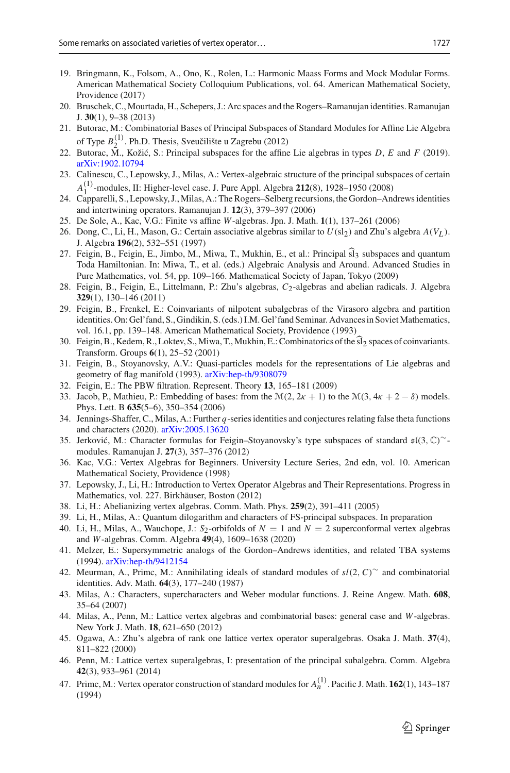- <span id="page-38-22"></span>19. Bringmann, K., Folsom, A., Ono, K., Rolen, L.: Harmonic Maass Forms and Mock Modular Forms. American Mathematical Society Colloquium Publications, vol. 64. American Mathematical Society, Providence (2017)
- <span id="page-38-17"></span>20. Bruschek, C., Mourtada, H., Schepers, J.: Arc spaces and the Rogers–Ramanujan identities. Ramanujan J. **30**(1), 9–38 (2013)
- <span id="page-38-10"></span>21. Butorac, M.: Combinatorial Bases of Principal Subspaces of Standard Modules for Affine Lie Algebra of Type  $B_2^{(1)}$ . Ph.D. Thesis, Sveučilište u Zagrebu (2012)
- 22. Butorac, M., Koži´c, S.: Principal subspaces for the affine Lie algebras in types *D*, *E* and *F* (2019). [arXiv:1902.10794](http://arxiv.org/abs/1902.10794)
- <span id="page-38-16"></span>23. Calinescu, C., Lepowsky, J., Milas, A.: Vertex-algebraic structure of the principal subspaces of certain *A*<sup>(1)</sup>-modules, II: Higher-level case. J. Pure Appl. Algebra **212**(8), 1928–1950 (2008)
- <span id="page-38-11"></span>24. Capparelli, S., Lepowsky, J., Milas, A.: The Rogers–Selberg recursions, the Gordon–Andrews identities and intertwining operators. Ramanujan J. **12**(3), 379–397 (2006)
- <span id="page-38-4"></span>25. De Sole, A., Kac, V.G.: Finite vs affine *W*-algebras. Jpn. J. Math. **1**(1), 137–261 (2006)
- <span id="page-38-6"></span>26. Dong, C., Li, H., Mason, G.: Certain associative algebras similar to  $U(\text{sl}_2)$  and Zhu's algebra  $A(V_I)$ . J. Algebra **196**(2), 532–551 (1997)
- <span id="page-38-12"></span>27. Feigin, B., Feigin, E., Jimbo, M., Miwa, T., Mukhin, E., et al.: Principal  $\widehat{sl}_3$  subspaces and quantum Toda Hamiltonian. In: Miwa, T., et al. (eds.) Algebraic Analysis and Around. Advanced Studies in Pure Mathematics, vol. 54, pp. 109–166. Mathematical Society of Japan, Tokyo (2009)
- <span id="page-38-18"></span>28. Feigin, B., Feigin, E., Littelmann, P.: Zhu's algebras, *C*2-algebras and abelian radicals. J. Algebra **329**(1), 130–146 (2011)
- <span id="page-38-25"></span>29. Feigin, B., Frenkel, E.: Coinvariants of nilpotent subalgebras of the Virasoro algebra and partition identities. On: Gel'fand, S., Gindikin, S. (eds.) I.M. Gel'fand Seminar. Advances in Soviet Mathematics, vol. 16.1, pp. 139–148. American Mathematical Society, Providence (1993)
- <span id="page-38-3"></span>30. Feigin, B., Kedem, R., Loktev, S., Miwa, T., Mukhin, E.: Combinatorics of the  $\widehat{sl}_2$  spaces of coinvariants. Transform. Groups **6**(1), 25–52 (2001)
- <span id="page-38-9"></span>31. Feigin, B., Stoyanovsky, A.V.: Quasi-particles models for the representations of Lie algebras and geometry of flag manifold (1993). [arXiv:hep-th/9308079](http://arxiv.org/abs/hep-th/9308079)
- <span id="page-38-8"></span>32. Feigin, E.: The PBW filtration. Represent. Theory **13**, 165–181 (2009)
- <span id="page-38-26"></span>33. Jacob, P., Mathieu, P.: Embedding of bases: from the  $\mathcal{M}(2, 2\kappa + 1)$  to the  $\mathcal{M}(3, 4\kappa + 2 - \delta)$  models. Phys. Lett. B **635**(5–6), 350–354 (2006)
- <span id="page-38-21"></span>34. Jennings-Shaffer, C., Milas, A.: Further *q*-series identities and conjectures relating false theta functions and characters (2020). [arXiv:2005.13620](http://arxiv.org/abs/2005.13620)
- <span id="page-38-14"></span>35. Jerković, M.: Character formulas for Feigin–Stoyanovsky's type subspaces of standard  $\mathfrak{sl}(3,\mathbb{C})^{\sim}$ modules. Ramanujan J. **27**(3), 357–376 (2012)
- <span id="page-38-1"></span>36. Kac, V.G.: Vertex Algebras for Beginners. University Lecture Series, 2nd edn, vol. 10. American Mathematical Society, Providence (1998)
- <span id="page-38-2"></span>37. Lepowsky, J., Li, H.: Introduction to Vertex Operator Algebras and Their Representations. Progress in Mathematics, vol. 227. Birkhäuser, Boston (2012)
- <span id="page-38-0"></span>38. Li, H.: Abelianizing vertex algebras. Comm. Math. Phys. **259**(2), 391–411 (2005)
- <span id="page-38-19"></span>39. Li, H., Milas, A.: Quantum dilogarithm and characters of FS-principal subspaces. In preparation
- <span id="page-38-27"></span>40. Li, H., Milas, A., Wauchope, J.:  $S_2$ -orbifolds of  $N = 1$  and  $N = 2$  superconformal vertex algebras and *W*-algebras. Comm. Algebra **49**(4), 1609–1638 (2020)
- <span id="page-38-23"></span>41. Melzer, E.: Supersymmetric analogs of the Gordon–Andrews identities, and related TBA systems (1994). [arXiv:hep-th/9412154](http://arxiv.org/abs/hep-th/9412154)
- <span id="page-38-7"></span>42. Meurman, A., Primc, M.: Annihilating ideals of standard modules of *sl*(2,*C*)∼ and combinatorial identities. Adv. Math. **64**(3), 177–240 (1987)
- <span id="page-38-24"></span>43. Milas, A.: Characters, supercharacters and Weber modular functions. J. Reine Angew. Math. **608**, 35–64 (2007)
- <span id="page-38-15"></span>44. Milas, A., Penn, M.: Lattice vertex algebras and combinatorial bases: general case and *W*-algebras. New York J. Math. **18**, 621–650 (2012)
- <span id="page-38-5"></span>45. Ogawa, A.: Zhu's algebra of rank one lattice vertex operator superalgebras. Osaka J. Math. **37**(4), 811–822 (2000)
- <span id="page-38-20"></span>46. Penn, M.: Lattice vertex superalgebras, I: presentation of the principal subalgebra. Comm. Algebra **42**(3), 933–961 (2014)
- <span id="page-38-13"></span>47. Primc, M.: Vertex operator construction of standard modules for *<sup>A</sup>*(1) *<sup>n</sup>* . Pacific J. Math. **<sup>162</sup>**(1), 143–187 (1994)